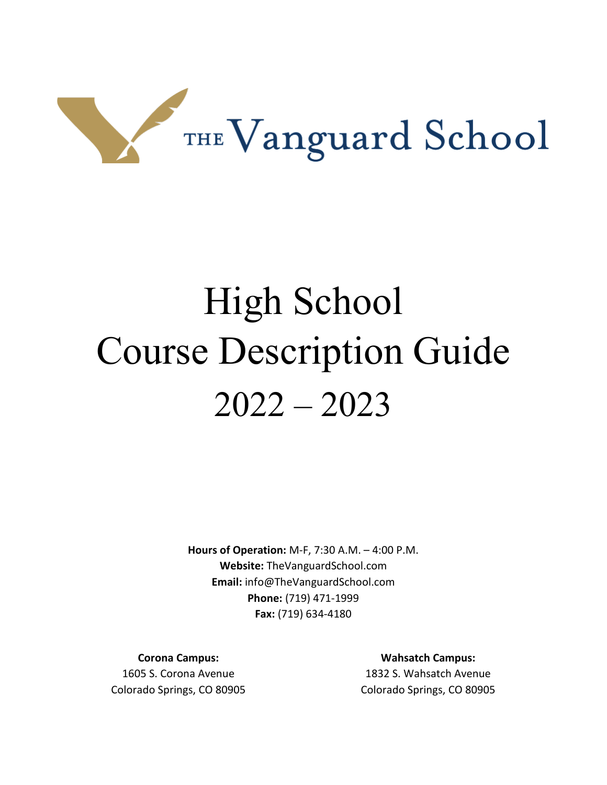

# High School Course Description Guide 2022 – 2023

**Hours of Operation:** M-F, 7:30 A.M. – 4:00 P.M. **Website:** TheVanguardSchool.com **Email:** info@TheVanguardSchool.com **Phone:** (719) 471-1999 **Fax:** (719) 634-4180

**Corona Campus:**

1605 S. Corona Avenue Colorado Springs, CO 80905

**Wahsatch Campus:** 1832 S. Wahsatch Avenue Colorado Springs, CO 80905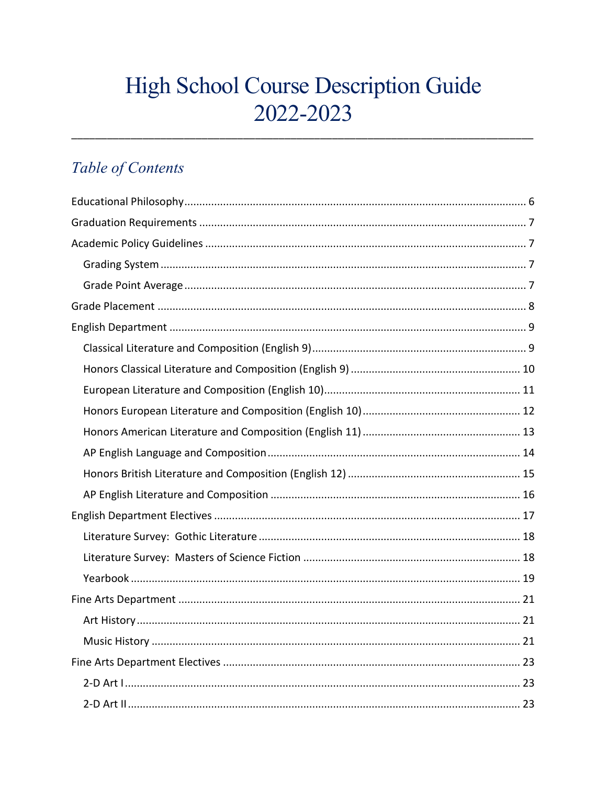# High School Course Description Guide 2022-2023

# Table of Contents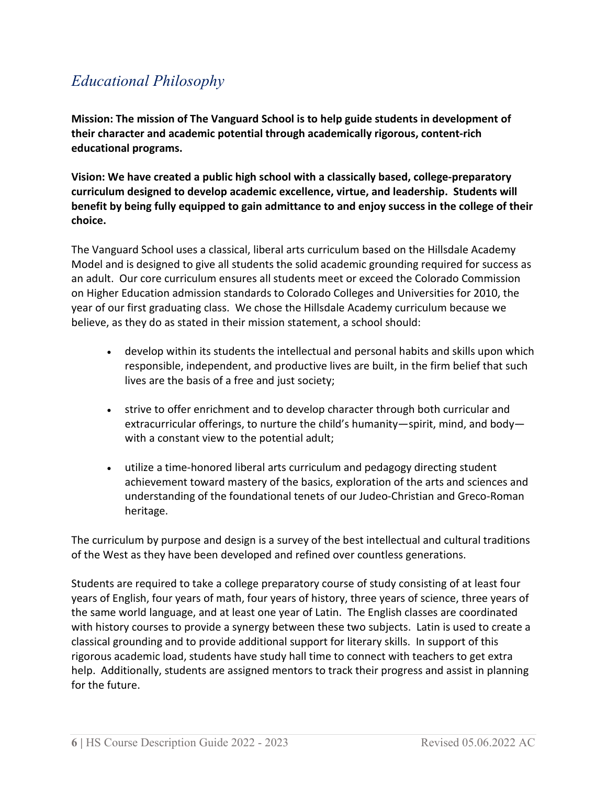# <span id="page-5-0"></span>*Educational Philosophy*

**Mission: The mission of The Vanguard School is to help guide students in development of their character and academic potential through academically rigorous, content-rich educational programs.**

**Vision: We have created a public high school with a classically based, college-preparatory curriculum designed to develop academic excellence, virtue, and leadership. Students will benefit by being fully equipped to gain admittance to and enjoy success in the college of their choice.**

The Vanguard School uses a classical, liberal arts curriculum based on the Hillsdale Academy Model and is designed to give all students the solid academic grounding required for success as an adult. Our core curriculum ensures all students meet or exceed the Colorado Commission on Higher Education admission standards to Colorado Colleges and Universities for 2010, the year of our first graduating class. We chose the Hillsdale Academy curriculum because we believe, as they do as stated in their mission statement, a school should:

- develop within its students the intellectual and personal habits and skills upon which responsible, independent, and productive lives are built, in the firm belief that such lives are the basis of a free and just society;
- strive to offer enrichment and to develop character through both curricular and extracurricular offerings, to nurture the child's humanity—spirit, mind, and body with a constant view to the potential adult;
- utilize a time-honored liberal arts curriculum and pedagogy directing student achievement toward mastery of the basics, exploration of the arts and sciences and understanding of the foundational tenets of our Judeo-Christian and Greco-Roman heritage.

The curriculum by purpose and design is a survey of the best intellectual and cultural traditions of the West as they have been developed and refined over countless generations.

Students are required to take a college preparatory course of study consisting of at least four years of English, four years of math, four years of history, three years of science, three years of the same world language, and at least one year of Latin. The English classes are coordinated with history courses to provide a synergy between these two subjects. Latin is used to create a classical grounding and to provide additional support for literary skills. In support of this rigorous academic load, students have study hall time to connect with teachers to get extra help. Additionally, students are assigned mentors to track their progress and assist in planning for the future.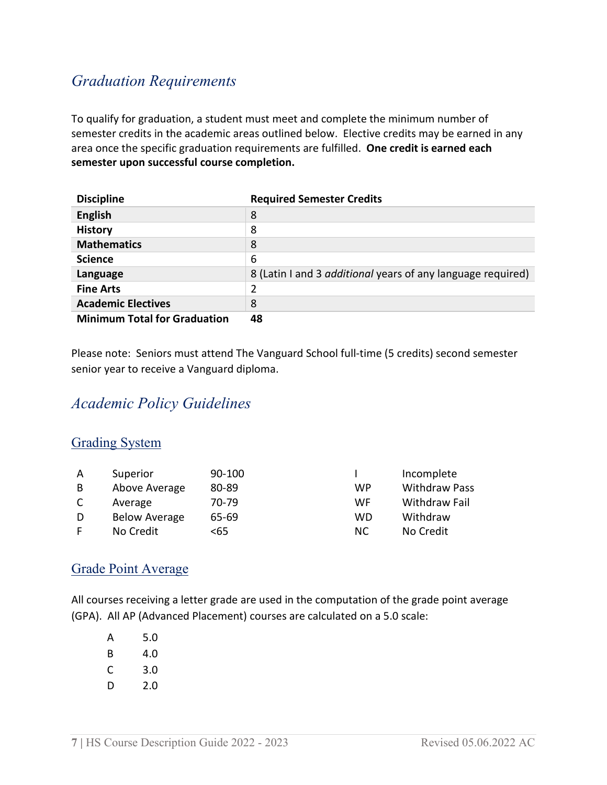# <span id="page-6-0"></span>*Graduation Requirements*

To qualify for graduation, a student must meet and complete the minimum number of semester credits in the academic areas outlined below. Elective credits may be earned in any area once the specific graduation requirements are fulfilled. **One credit is earned each semester upon successful course completion.**

| <b>Discipline</b>                   | <b>Required Semester Credits</b>                                   |
|-------------------------------------|--------------------------------------------------------------------|
| <b>English</b>                      | 8                                                                  |
| <b>History</b>                      | 8                                                                  |
| <b>Mathematics</b>                  | 8                                                                  |
| <b>Science</b>                      | 6                                                                  |
| Language                            | 8 (Latin I and 3 <i>additional</i> years of any language required) |
| <b>Fine Arts</b>                    | 2                                                                  |
| <b>Academic Electives</b>           | 8                                                                  |
| <b>Minimum Total for Graduation</b> | 48                                                                 |

Please note: Seniors must attend The Vanguard School full-time (5 credits) second semester senior year to receive a Vanguard diploma.

# <span id="page-6-1"></span>*Academic Policy Guidelines*

# <span id="page-6-2"></span>Grading System

| A | Superior             | 90-100 |     | Incomplete           |
|---|----------------------|--------|-----|----------------------|
| B | Above Average        | 80-89  | WP  | <b>Withdraw Pass</b> |
|   | Average              | 70-79  | WF. | Withdraw Fail        |
| D | <b>Below Average</b> | 65-69  | WD  | Withdraw             |
|   | No Credit            | <65    | NС  | No Credit            |

# <span id="page-6-3"></span>Grade Point Average

All courses receiving a letter grade are used in the computation of the grade point average (GPA). All AP (Advanced Placement) courses are calculated on a 5.0 scale:

| А | 5.0 |
|---|-----|
| B | 4.0 |
| C | 3.0 |
| D | 2.0 |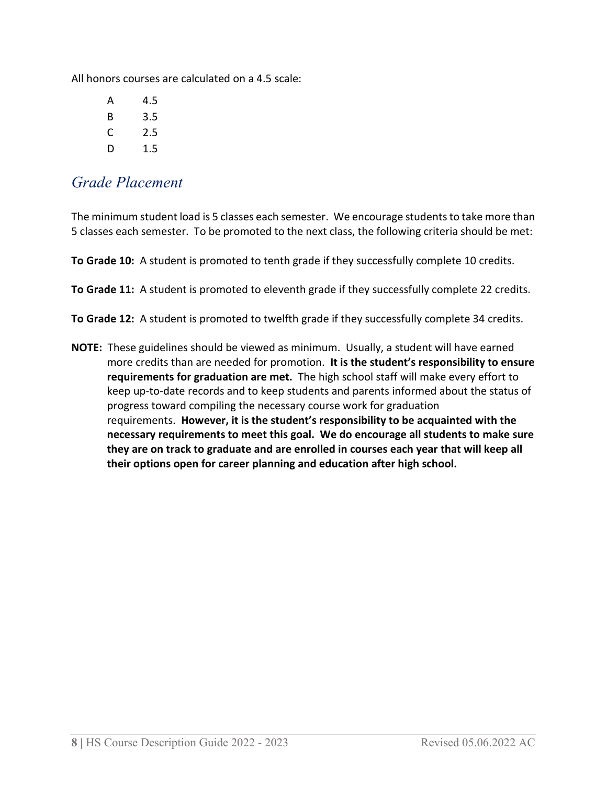All honors courses are calculated on a 4.5 scale:

| A | 4.5 |
|---|-----|
| R | 3.5 |
| C | 2.5 |
| D | 1.5 |

# <span id="page-7-0"></span>*Grade Placement*

The minimum student load is 5 classes each semester. We encourage students to take more than 5 classes each semester. To be promoted to the next class, the following criteria should be met:

**To Grade 10:** A student is promoted to tenth grade if they successfully complete 10 credits.

**To Grade 11:** A student is promoted to eleventh grade if they successfully complete 22 credits.

**To Grade 12:** A student is promoted to twelfth grade if they successfully complete 34 credits.

**NOTE:** These guidelines should be viewed as minimum. Usually, a student will have earned more credits than are needed for promotion. **It is the student's responsibility to ensure requirements for graduation are met.** The high school staff will make every effort to keep up-to-date records and to keep students and parents informed about the status of progress toward compiling the necessary course work for graduation requirements. **However, it is the student's responsibility to be acquainted with the necessary requirements to meet this goal. We do encourage all students to make sure they are on track to graduate and are enrolled in courses each year that will keep all their options open for career planning and education after high school.**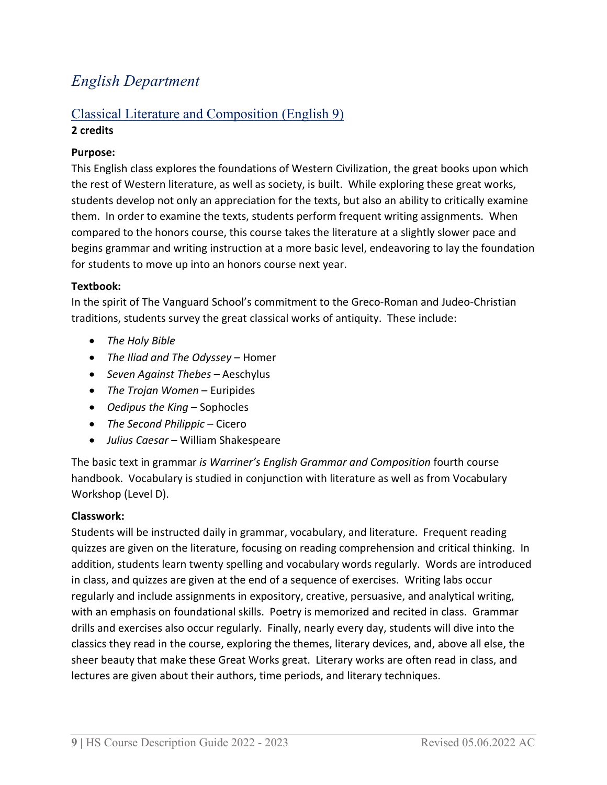# <span id="page-8-0"></span>*English Department*

# <span id="page-8-1"></span>Classical Literature and Composition (English 9) **2 credits**

# **Purpose:**

This English class explores the foundations of Western Civilization, the great books upon which the rest of Western literature, as well as society, is built. While exploring these great works, students develop not only an appreciation for the texts, but also an ability to critically examine them. In order to examine the texts, students perform frequent writing assignments. When compared to the honors course, this course takes the literature at a slightly slower pace and begins grammar and writing instruction at a more basic level, endeavoring to lay the foundation for students to move up into an honors course next year.

# **Textbook:**

In the spirit of The Vanguard School's commitment to the Greco-Roman and Judeo-Christian traditions, students survey the great classical works of antiquity. These include:

- *The Holy Bible*
- *The Iliad and The Odyssey* Homer
- *Seven Against Thebes* Aeschylus
- *The Trojan Women* Euripides
- *Oedipus the King* Sophocles
- *The Second Philippic* Cicero
- *Julius Caesar* William Shakespeare

The basic text in grammar *is Warriner's English Grammar and Composition* fourth course handbook. Vocabulary is studied in conjunction with literature as well as from Vocabulary Workshop (Level D).

# **Classwork:**

Students will be instructed daily in grammar, vocabulary, and literature. Frequent reading quizzes are given on the literature, focusing on reading comprehension and critical thinking. In addition, students learn twenty spelling and vocabulary words regularly. Words are introduced in class, and quizzes are given at the end of a sequence of exercises. Writing labs occur regularly and include assignments in expository, creative, persuasive, and analytical writing, with an emphasis on foundational skills. Poetry is memorized and recited in class. Grammar drills and exercises also occur regularly. Finally, nearly every day, students will dive into the classics they read in the course, exploring the themes, literary devices, and, above all else, the sheer beauty that make these Great Works great. Literary works are often read in class, and lectures are given about their authors, time periods, and literary techniques.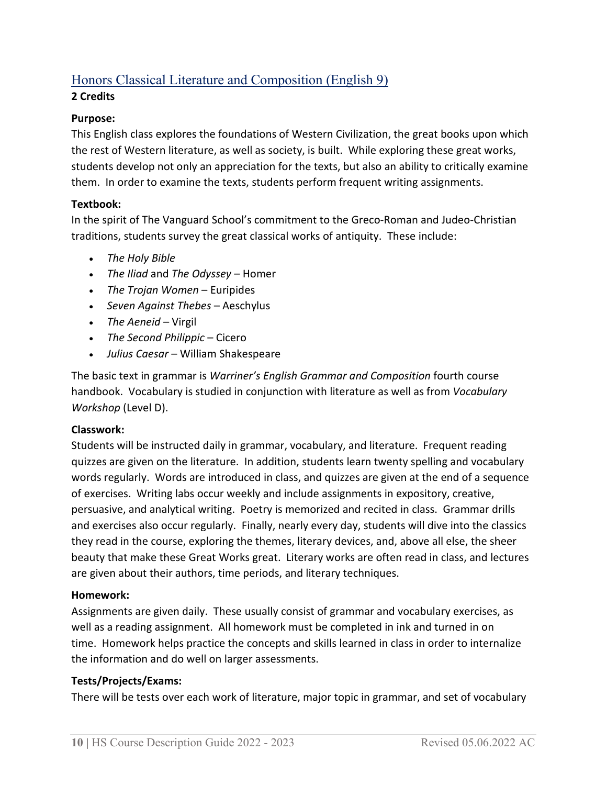# <span id="page-9-0"></span>Honors Classical Literature and Composition (English 9)

# **2 Credits**

# **Purpose:**

This English class explores the foundations of Western Civilization, the great books upon which the rest of Western literature, as well as society, is built. While exploring these great works, students develop not only an appreciation for the texts, but also an ability to critically examine them. In order to examine the texts, students perform frequent writing assignments.

# **Textbook:**

In the spirit of The Vanguard School's commitment to the Greco-Roman and Judeo-Christian traditions, students survey the great classical works of antiquity. These include:

- *The Holy Bible*
- *The Iliad* and *The Odyssey* Homer
- *The Trojan Women* Euripides
- *Seven Against Thebes* Aeschylus
- *The Aeneid* Virgil
- *The Second Philippic* Cicero
- *Julius Caesar* William Shakespeare

The basic text in grammar is *Warriner's English Grammar and Composition* fourth course handbook. Vocabulary is studied in conjunction with literature as well as from *Vocabulary Workshop* (Level D).

# **Classwork:**

Students will be instructed daily in grammar, vocabulary, and literature. Frequent reading quizzes are given on the literature. In addition, students learn twenty spelling and vocabulary words regularly. Words are introduced in class, and quizzes are given at the end of a sequence of exercises. Writing labs occur weekly and include assignments in expository, creative, persuasive, and analytical writing. Poetry is memorized and recited in class. Grammar drills and exercises also occur regularly.Finally, nearly every day, students will dive into the classics they read in the course, exploring the themes, literary devices, and, above all else, the sheer beauty that make these Great Works great. Literary works are often read in class, and lectures are given about their authors, time periods, and literary techniques.

# **Homework:**

Assignments are given daily. These usually consist of grammar and vocabulary exercises, as well as a reading assignment. All homework must be completed in ink and turned in on time. Homework helps practice the concepts and skills learned in class in order to internalize the information and do well on larger assessments.

# **Tests/Projects/Exams:**

There will be tests over each work of literature, major topic in grammar, and set of vocabulary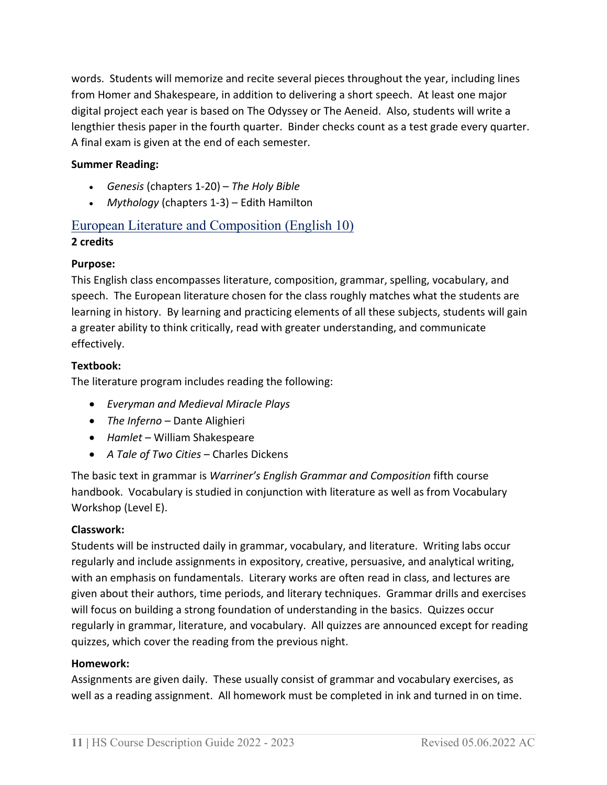words. Students will memorize and recite several pieces throughout the year, including lines from Homer and Shakespeare, in addition to delivering a short speech. At least one major digital project each year is based on The Odyssey or The Aeneid. Also, students will write a lengthier thesis paper in the fourth quarter. Binder checks count as a test grade every quarter. A final exam is given at the end of each semester.

# **Summer Reading:**

- *Genesis* (chapters 1-20) *The Holy Bible*
- *Mythology* (chapters 1-3) Edith Hamilton

# <span id="page-10-0"></span>European Literature and Composition (English 10)

# **2 credits**

# **Purpose:**

This English class encompasses literature, composition, grammar, spelling, vocabulary, and speech. The European literature chosen for the class roughly matches what the students are learning in history. By learning and practicing elements of all these subjects, students will gain a greater ability to think critically, read with greater understanding, and communicate effectively.

# **Textbook:**

The literature program includes reading the following:

- *Everyman and Medieval Miracle Plays*
- *The Inferno* Dante Alighieri
- *Hamlet* William Shakespeare
- *A Tale of Two Cities* Charles Dickens

The basic text in grammar is *Warriner's English Grammar and Composition* fifth course handbook. Vocabulary is studied in conjunction with literature as well as from Vocabulary Workshop (Level E).

# **Classwork:**

Students will be instructed daily in grammar, vocabulary, and literature. Writing labs occur regularly and include assignments in expository, creative, persuasive, and analytical writing, with an emphasis on fundamentals. Literary works are often read in class, and lectures are given about their authors, time periods, and literary techniques. Grammar drills and exercises will focus on building a strong foundation of understanding in the basics. Quizzes occur regularly in grammar, literature, and vocabulary. All quizzes are announced except for reading quizzes, which cover the reading from the previous night.

#### **Homework:**

Assignments are given daily. These usually consist of grammar and vocabulary exercises, as well as a reading assignment. All homework must be completed in ink and turned in on time.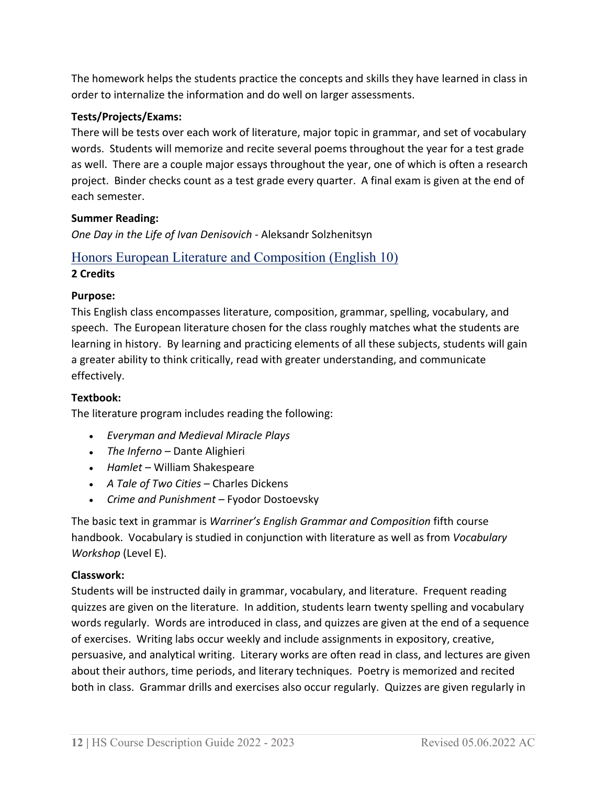The homework helps the students practice the concepts and skills they have learned in class in order to internalize the information and do well on larger assessments.

# **Tests/Projects/Exams:**

There will be tests over each work of literature, major topic in grammar, and set of vocabulary words. Students will memorize and recite several poems throughout the year for a test grade as well. There are a couple major essays throughout the year, one of which is often a research project. Binder checks count as a test grade every quarter. A final exam is given at the end of each semester.

# **Summer Reading:**

*One Day in the Life of Ivan Denisovich* - Aleksandr Solzhenitsyn

# <span id="page-11-0"></span>Honors European Literature and Composition (English 10)

# **2 Credits**

# **Purpose:**

This English class encompasses literature, composition, grammar, spelling, vocabulary, and speech. The European literature chosen for the class roughly matches what the students are learning in history. By learning and practicing elements of all these subjects, students will gain a greater ability to think critically, read with greater understanding, and communicate effectively.

# **Textbook:**

The literature program includes reading the following:

- *Everyman and Medieval Miracle Plays*
- *The Inferno* Dante Alighieri
- *Hamlet* William Shakespeare
- *A Tale of Two Cities* Charles Dickens
- *Crime and Punishment* Fyodor Dostoevsky

The basic text in grammar is *Warriner's English Grammar and Composition* fifth course handbook. Vocabulary is studied in conjunction with literature as well as from *Vocabulary Workshop* (Level E).

# **Classwork:**

Students will be instructed daily in grammar, vocabulary, and literature. Frequent reading quizzes are given on the literature. In addition, students learn twenty spelling and vocabulary words regularly. Words are introduced in class, and quizzes are given at the end of a sequence of exercises. Writing labs occur weekly and include assignments in expository, creative, persuasive, and analytical writing. Literary works are often read in class, and lectures are given about their authors, time periods, and literary techniques. Poetry is memorized and recited both in class. Grammar drills and exercises also occur regularly.Quizzes are given regularly in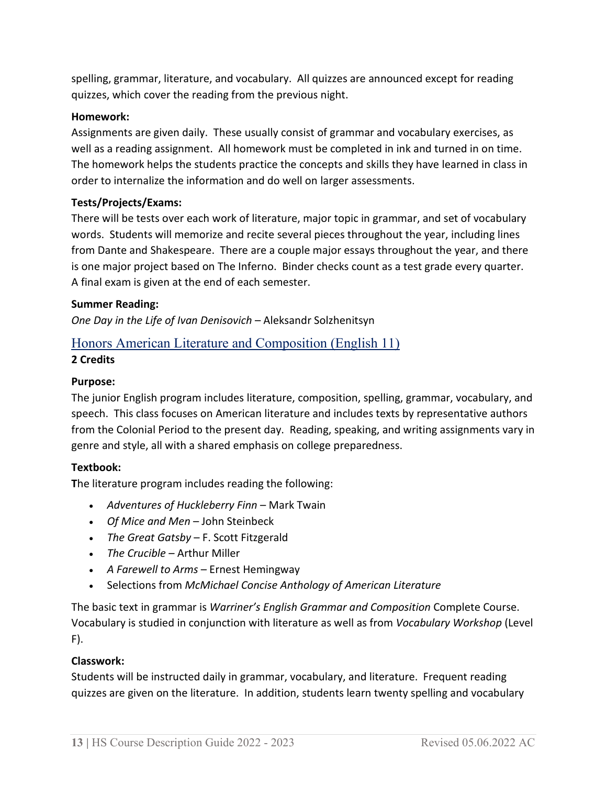spelling, grammar, literature, and vocabulary. All quizzes are announced except for reading quizzes, which cover the reading from the previous night.

# **Homework:**

Assignments are given daily. These usually consist of grammar and vocabulary exercises, as well as a reading assignment. All homework must be completed in ink and turned in on time. The homework helps the students practice the concepts and skills they have learned in class in order to internalize the information and do well on larger assessments.

# **Tests/Projects/Exams:**

There will be tests over each work of literature, major topic in grammar, and set of vocabulary words. Students will memorize and recite several pieces throughout the year, including lines from Dante and Shakespeare. There are a couple major essays throughout the year, and there is one major project based on The Inferno. Binder checks count as a test grade every quarter. A final exam is given at the end of each semester.

#### **Summer Reading:**

*One Day in the Life of Ivan Denisovich* – Aleksandr Solzhenitsyn

# <span id="page-12-0"></span>Honors American Literature and Composition (English 11)

# **2 Credits**

#### **Purpose:**

The junior English program includes literature, composition, spelling, grammar, vocabulary, and speech. This class focuses on American literature and includes texts by representative authors from the Colonial Period to the present day. Reading, speaking, and writing assignments vary in genre and style, all with a shared emphasis on college preparedness.

#### **Textbook:**

**T**he literature program includes reading the following:

- *Adventures of Huckleberry Finn* Mark Twain
- *Of Mice and Men* John Steinbeck
- *The Great Gatsby* F. Scott Fitzgerald
- *The Crucible* Arthur Miller
- *A Farewell to Arms*  Ernest Hemingway
- Selections from *McMichael Concise Anthology of American Literature*

The basic text in grammar is *Warriner's English Grammar and Composition* Complete Course. Vocabulary is studied in conjunction with literature as well as from *Vocabulary Workshop* (Level F).

# **Classwork:**

Students will be instructed daily in grammar, vocabulary, and literature. Frequent reading quizzes are given on the literature. In addition, students learn twenty spelling and vocabulary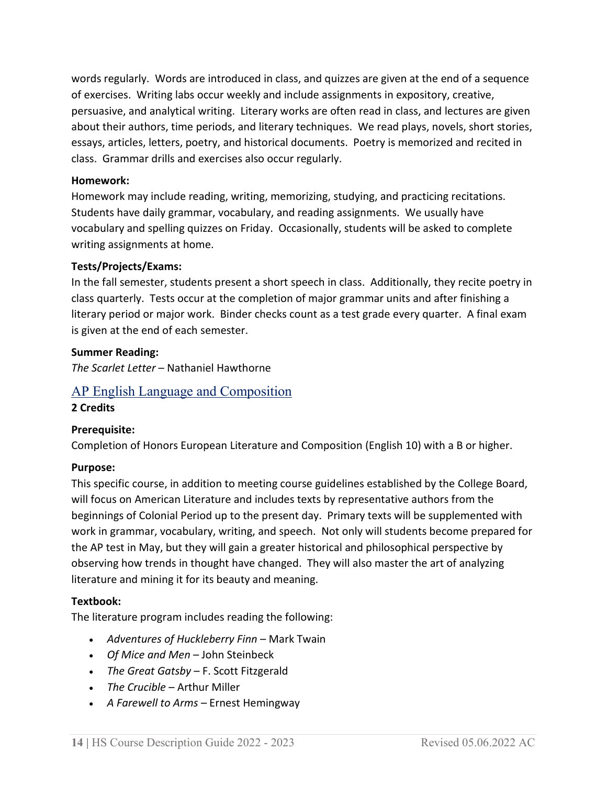words regularly. Words are introduced in class, and quizzes are given at the end of a sequence of exercises. Writing labs occur weekly and include assignments in expository, creative, persuasive, and analytical writing. Literary works are often read in class, and lectures are given about their authors, time periods, and literary techniques. We read plays, novels, short stories, essays, articles, letters, poetry, and historical documents. Poetry is memorized and recited in class. Grammar drills and exercises also occur regularly.

#### **Homework:**

Homework may include reading, writing, memorizing, studying, and practicing recitations. Students have daily grammar, vocabulary, and reading assignments. We usually have vocabulary and spelling quizzes on Friday. Occasionally, students will be asked to complete writing assignments at home.

#### **Tests/Projects/Exams:**

In the fall semester, students present a short speech in class. Additionally, they recite poetry in class quarterly. Tests occur at the completion of major grammar units and after finishing a literary period or major work. Binder checks count as a test grade every quarter. A final exam is given at the end of each semester.

#### **Summer Reading:**

*The Scarlet Letter* – Nathaniel Hawthorne

# <span id="page-13-0"></span>AP English Language and Composition

#### **2 Credits**

# **Prerequisite:**

Completion of Honors European Literature and Composition (English 10) with a B or higher.

#### **Purpose:**

This specific course, in addition to meeting course guidelines established by the College Board, will focus on American Literature and includes texts by representative authors from the beginnings of Colonial Period up to the present day. Primary texts will be supplemented with work in grammar, vocabulary, writing, and speech. Not only will students become prepared for the AP test in May, but they will gain a greater historical and philosophical perspective by observing how trends in thought have changed. They will also master the art of analyzing literature and mining it for its beauty and meaning.

#### **Textbook:**

The literature program includes reading the following:

- *Adventures of Huckleberry Finn* Mark Twain
- *Of Mice and Men* John Steinbeck
- *The Great Gatsby* F. Scott Fitzgerald
- *The Crucible* Arthur Miller
- *A Farewell to Arms* Ernest Hemingway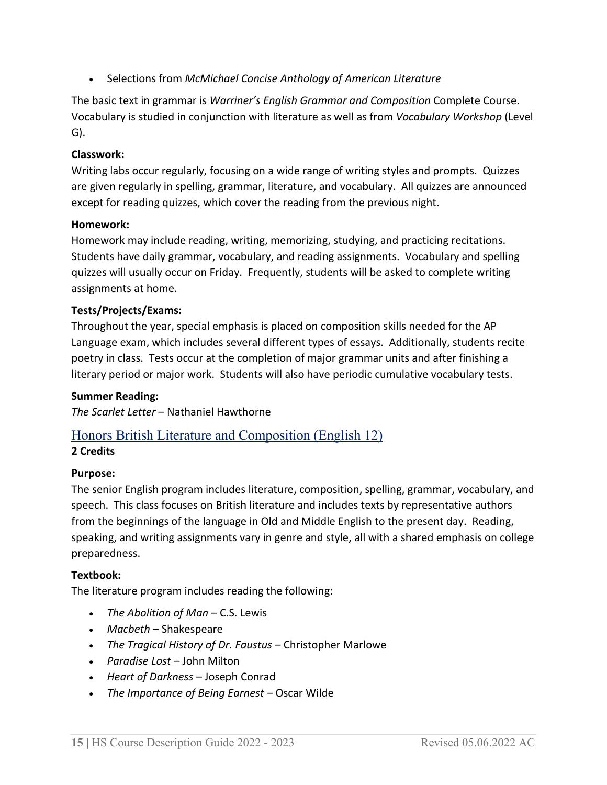• Selections from *McMichael Concise Anthology of American Literature*

The basic text in grammar is *Warriner's English Grammar and Composition* Complete Course. Vocabulary is studied in conjunction with literature as well as from *Vocabulary Workshop* (Level G).

# **Classwork:**

Writing labs occur regularly, focusing on a wide range of writing styles and prompts. Quizzes are given regularly in spelling, grammar, literature, and vocabulary. All quizzes are announced except for reading quizzes, which cover the reading from the previous night.

# **Homework:**

Homework may include reading, writing, memorizing, studying, and practicing recitations. Students have daily grammar, vocabulary, and reading assignments. Vocabulary and spelling quizzes will usually occur on Friday. Frequently, students will be asked to complete writing assignments at home.

# **Tests/Projects/Exams:**

Throughout the year, special emphasis is placed on composition skills needed for the AP Language exam, which includes several different types of essays. Additionally, students recite poetry in class. Tests occur at the completion of major grammar units and after finishing a literary period or major work. Students will also have periodic cumulative vocabulary tests.

# **Summer Reading:**

*The Scarlet Letter* – Nathaniel Hawthorne

# <span id="page-14-0"></span>Honors British Literature and Composition (English 12)

# **2 Credits**

# **Purpose:**

The senior English program includes literature, composition, spelling, grammar, vocabulary, and speech. This class focuses on British literature and includes texts by representative authors from the beginnings of the language in Old and Middle English to the present day. Reading, speaking, and writing assignments vary in genre and style, all with a shared emphasis on college preparedness.

# **Textbook:**

The literature program includes reading the following:

- *The Abolition of Man* C.S. Lewis
- *Macbeth* Shakespeare
- *The Tragical History of Dr. Faustus* Christopher Marlowe
- *Paradise Lost* John Milton
- *Heart of Darkness* Joseph Conrad
- *The Importance of Being Earnest* Oscar Wilde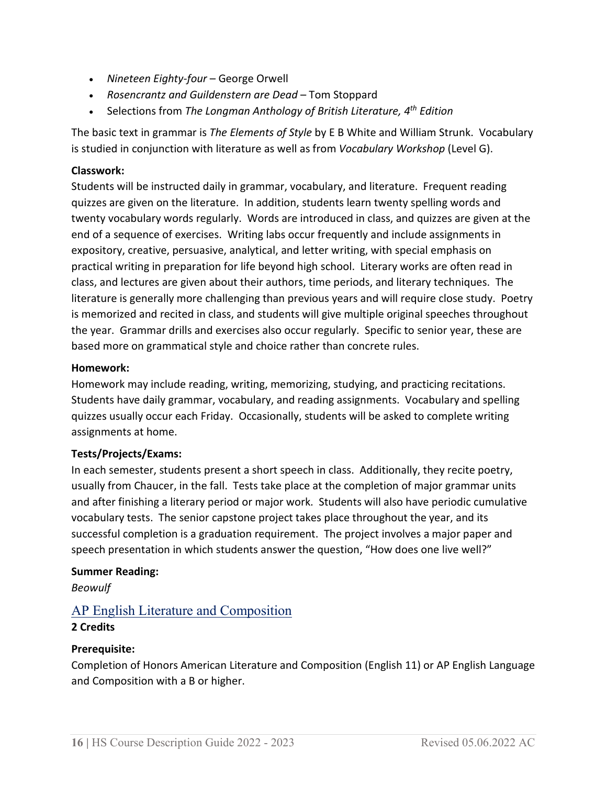- *Nineteen Eighty-four* George Orwell
- *Rosencrantz and Guildenstern are Dead* Tom Stoppard
- Selections from *The Longman Anthology of British Literature, 4th Edition*

The basic text in grammar is *The Elements of Style* by E B White and William Strunk. Vocabulary is studied in conjunction with literature as well as from *Vocabulary Workshop* (Level G).

# **Classwork:**

Students will be instructed daily in grammar, vocabulary, and literature. Frequent reading quizzes are given on the literature. In addition, students learn twenty spelling words and twenty vocabulary words regularly. Words are introduced in class, and quizzes are given at the end of a sequence of exercises. Writing labs occur frequently and include assignments in expository, creative, persuasive, analytical, and letter writing, with special emphasis on practical writing in preparation for life beyond high school. Literary works are often read in class, and lectures are given about their authors, time periods, and literary techniques. The literature is generally more challenging than previous years and will require close study. Poetry is memorized and recited in class, and students will give multiple original speeches throughout the year. Grammar drills and exercises also occur regularly. Specific to senior year, these are based more on grammatical style and choice rather than concrete rules.

# **Homework:**

Homework may include reading, writing, memorizing, studying, and practicing recitations. Students have daily grammar, vocabulary, and reading assignments. Vocabulary and spelling quizzes usually occur each Friday. Occasionally, students will be asked to complete writing assignments at home.

# **Tests/Projects/Exams:**

In each semester, students present a short speech in class. Additionally, they recite poetry, usually from Chaucer, in the fall. Tests take place at the completion of major grammar units and after finishing a literary period or major work. Students will also have periodic cumulative vocabulary tests. The senior capstone project takes place throughout the year, and its successful completion is a graduation requirement. The project involves a major paper and speech presentation in which students answer the question, "How does one live well?"

# **Summer Reading:**

*Beowulf*

# <span id="page-15-0"></span>AP English Literature and Composition

# **2 Credits**

# **Prerequisite:**

Completion of Honors American Literature and Composition (English 11) or AP English Language and Composition with a B or higher.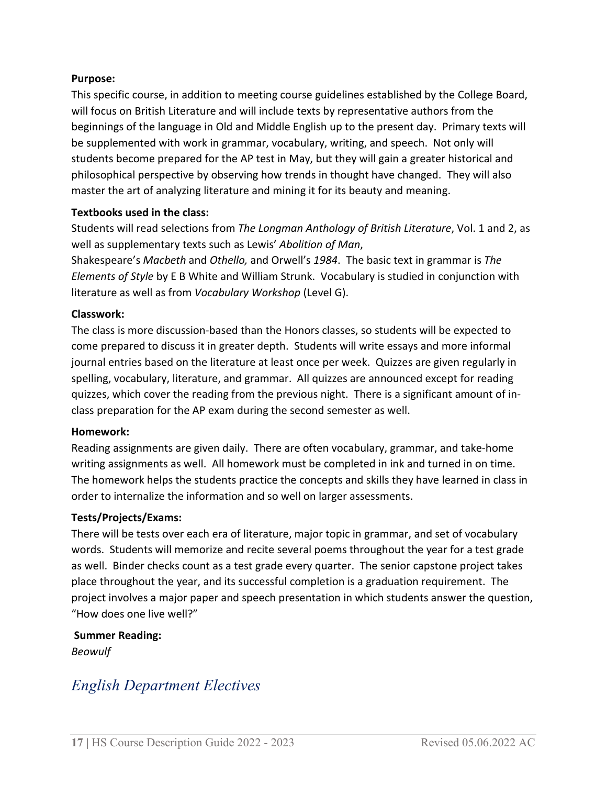#### **Purpose:**

This specific course, in addition to meeting course guidelines established by the College Board, will focus on British Literature and will include texts by representative authors from the beginnings of the language in Old and Middle English up to the present day. Primary texts will be supplemented with work in grammar, vocabulary, writing, and speech. Not only will students become prepared for the AP test in May, but they will gain a greater historical and philosophical perspective by observing how trends in thought have changed. They will also master the art of analyzing literature and mining it for its beauty and meaning.

#### **Textbooks used in the class:**

Students will read selections from *The Longman Anthology of British Literature*, Vol. 1 and 2, as well as supplementary texts such as Lewis' *Abolition of Man*,

Shakespeare's *Macbeth* and *Othello,* and Orwell's *1984*. The basic text in grammar is *The Elements of Style* by E B White and William Strunk. Vocabulary is studied in conjunction with literature as well as from *Vocabulary Workshop* (Level G).

#### **Classwork:**

The class is more discussion-based than the Honors classes, so students will be expected to come prepared to discuss it in greater depth. Students will write essays and more informal journal entries based on the literature at least once per week. Quizzes are given regularly in spelling, vocabulary, literature, and grammar. All quizzes are announced except for reading quizzes, which cover the reading from the previous night. There is a significant amount of inclass preparation for the AP exam during the second semester as well.

#### **Homework:**

Reading assignments are given daily. There are often vocabulary, grammar, and take-home writing assignments as well. All homework must be completed in ink and turned in on time. The homework helps the students practice the concepts and skills they have learned in class in order to internalize the information and so well on larger assessments.

#### **Tests/Projects/Exams:**

There will be tests over each era of literature, major topic in grammar, and set of vocabulary words. Students will memorize and recite several poems throughout the year for a test grade as well. Binder checks count as a test grade every quarter. The senior capstone project takes place throughout the year, and its successful completion is a graduation requirement. The project involves a major paper and speech presentation in which students answer the question, "How does one live well?"

**Summer Reading:**

*Beowulf*

# <span id="page-16-0"></span>*English Department Electives*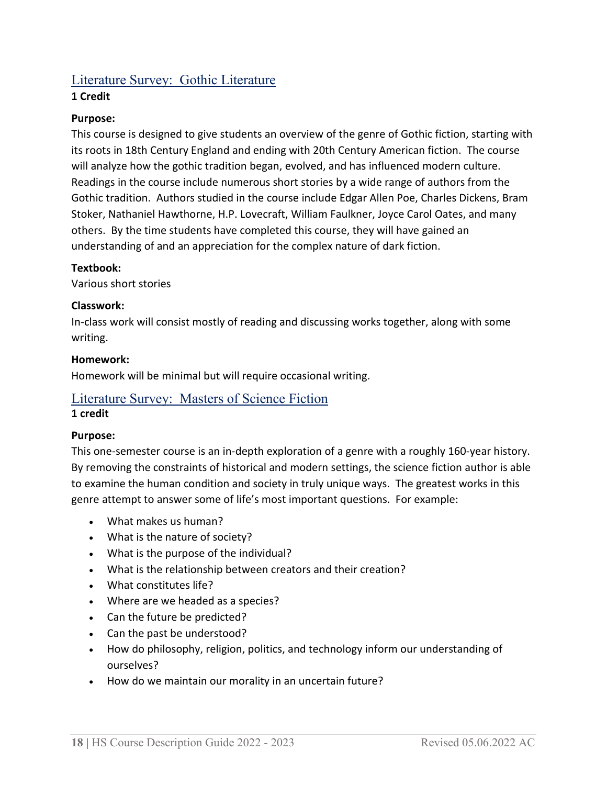# <span id="page-17-0"></span>Literature Survey: Gothic Literature

# **1 Credit**

# **Purpose:**

This course is designed to give students an overview of the genre of Gothic fiction, starting with its roots in 18th Century England and ending with 20th Century American fiction. The course will analyze how the gothic tradition began, evolved, and has influenced modern culture. Readings in the course include numerous short stories by a wide range of authors from the Gothic tradition. Authors studied in the course include Edgar Allen Poe, Charles Dickens, Bram Stoker, Nathaniel Hawthorne, H.P. Lovecraft, William Faulkner, Joyce Carol Oates, and many others. By the time students have completed this course, they will have gained an understanding of and an appreciation for the complex nature of dark fiction.

# **Textbook:**

Various short stories

# **Classwork:**

In-class work will consist mostly of reading and discussing works together, along with some writing.

#### **Homework:**

Homework will be minimal but will require occasional writing.

# <span id="page-17-1"></span>Literature Survey: Masters of Science Fiction

#### **1 credit**

# **Purpose:**

This one-semester course is an in-depth exploration of a genre with a roughly 160-year history. By removing the constraints of historical and modern settings, the science fiction author is able to examine the human condition and society in truly unique ways. The greatest works in this genre attempt to answer some of life's most important questions. For example:

- What makes us human?
- What is the nature of society?
- What is the purpose of the individual?
- What is the relationship between creators and their creation?
- What constitutes life?
- Where are we headed as a species?
- Can the future be predicted?
- Can the past be understood?
- How do philosophy, religion, politics, and technology inform our understanding of ourselves?
- How do we maintain our morality in an uncertain future?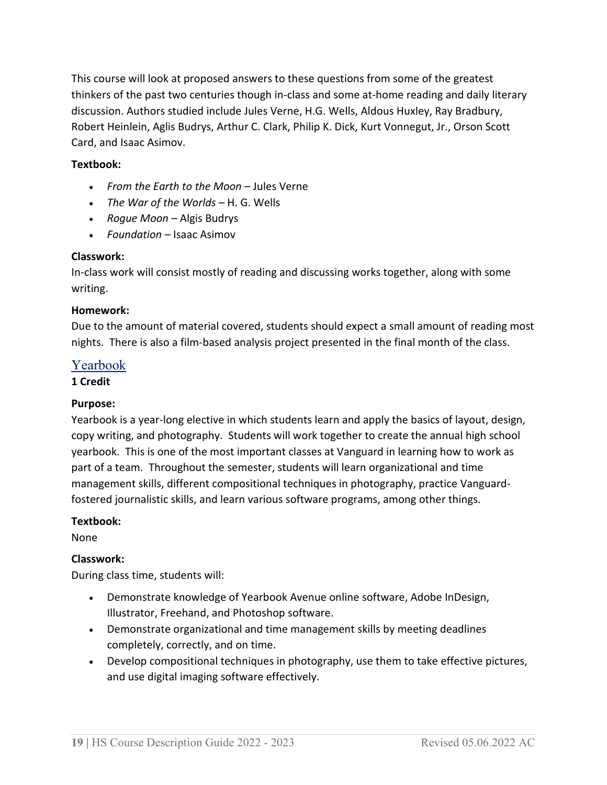This course will look at proposed answers to these questions from some of the greatest thinkers of the past two centuries though in-class and some at-home reading and daily literary discussion. Authors studied include Jules Verne, H.G. Wells, Aldous Huxley, Ray Bradbury, Robert Heinlein, Aglis Budrys, Arthur C. Clark, Philip K. Dick, Kurt Vonnegut, Jr., Orson Scott Card, and Isaac Asimov.

# **Textbook:**

- *From the Earth to the Moon* Jules Verne
- *The War of the Worlds* H. G. Wells
- *Rogue Moon* Algis Budrys
- *Foundation* Isaac Asimov

# **Classwork:**

In-class work will consist mostly of reading and discussing works together, along with some writing.

#### **Homework:**

Due to the amount of material covered, students should expect a small amount of reading most nights. There is also a film-based analysis project presented in the final month of the class.

# <span id="page-18-0"></span>Yearbook

#### **1 Credit**

# **Purpose:**

Yearbook is a year-long elective in which students learn and apply the basics of layout, design, copy writing, and photography. Students will work together to create the annual high school yearbook. This is one of the most important classes at Vanguard in learning how to work as part of a team. Throughout the semester, students will learn organizational and time management skills, different compositional techniques in photography, practice Vanguardfostered journalistic skills, and learn various software programs, among other things.

#### **Textbook:**

None

# **Classwork:**

During class time, students will:

- Demonstrate knowledge of Yearbook Avenue online software, Adobe InDesign, Illustrator, Freehand, and Photoshop software.
- Demonstrate organizational and time management skills by meeting deadlines completely, correctly, and on time.
- Develop compositional techniques in photography, use them to take effective pictures, and use digital imaging software effectively.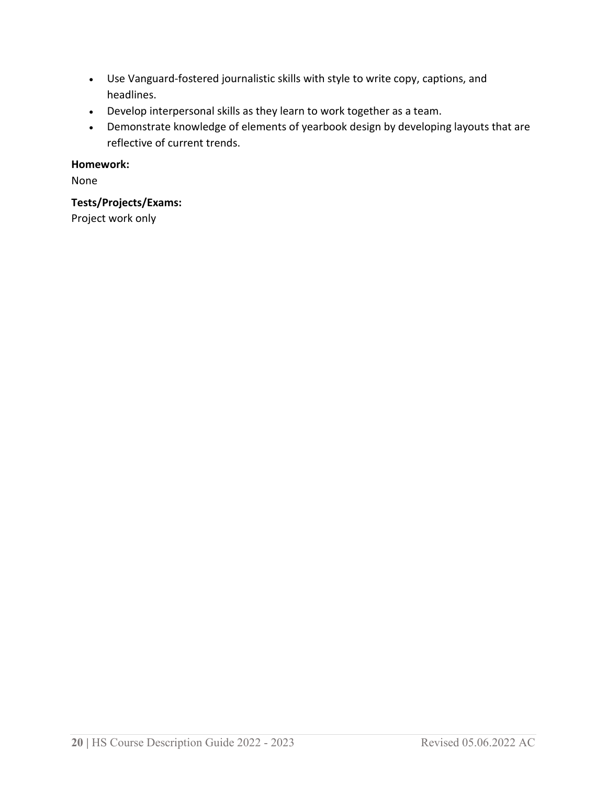- Use Vanguard-fostered journalistic skills with style to write copy, captions, and headlines.
- Develop interpersonal skills as they learn to work together as a team.
- Demonstrate knowledge of elements of yearbook design by developing layouts that are reflective of current trends.

# **Homework:**

None

# **Tests/Projects/Exams:**

Project work only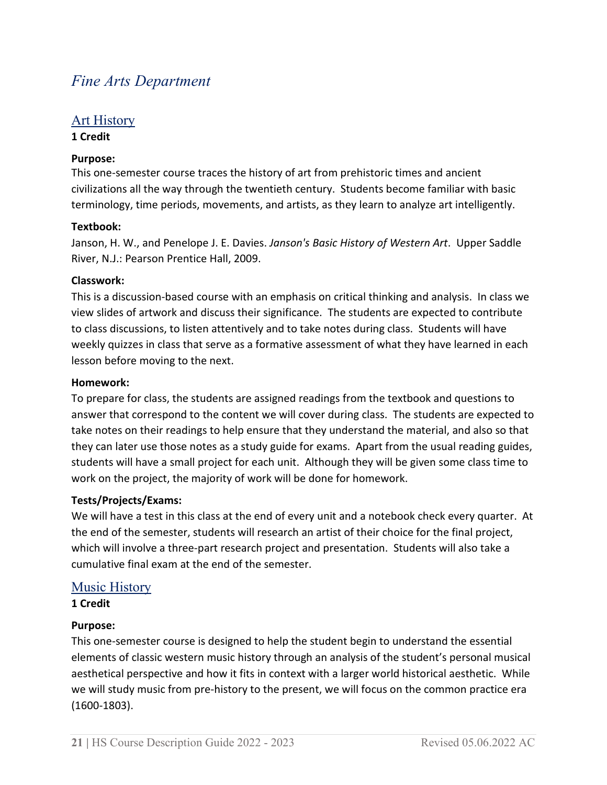# <span id="page-20-0"></span>*Fine Arts Department*

# <span id="page-20-1"></span>Art History

#### **1 Credit**

# **Purpose:**

This one-semester course traces the history of art from prehistoric times and ancient civilizations all the way through the twentieth century. Students become familiar with basic terminology, time periods, movements, and artists, as they learn to analyze art intelligently.

# **Textbook:**

Janson, H. W., and Penelope J. E. Davies. *Janson's Basic History of Western Art*. Upper Saddle River, N.J.: Pearson Prentice Hall, 2009.

# **Classwork:**

This is a discussion-based course with an emphasis on critical thinking and analysis. In class we view slides of artwork and discuss their significance. The students are expected to contribute to class discussions, to listen attentively and to take notes during class. Students will have weekly quizzes in class that serve as a formative assessment of what they have learned in each lesson before moving to the next.

#### **Homework:**

To prepare for class, the students are assigned readings from the textbook and questions to answer that correspond to the content we will cover during class. The students are expected to take notes on their readings to help ensure that they understand the material, and also so that they can later use those notes as a study guide for exams. Apart from the usual reading guides, students will have a small project for each unit. Although they will be given some class time to work on the project, the majority of work will be done for homework.

# **Tests/Projects/Exams:**

We will have a test in this class at the end of every unit and a notebook check every quarter. At the end of the semester, students will research an artist of their choice for the final project, which will involve a three-part research project and presentation. Students will also take a cumulative final exam at the end of the semester.

# <span id="page-20-2"></span>Music History

**1 Credit**

# **Purpose:**

This one-semester course is designed to help the student begin to understand the essential elements of classic western music history through an analysis of the student's personal musical aesthetical perspective and how it fits in context with a larger world historical aesthetic. While we will study music from pre-history to the present, we will focus on the common practice era (1600-1803).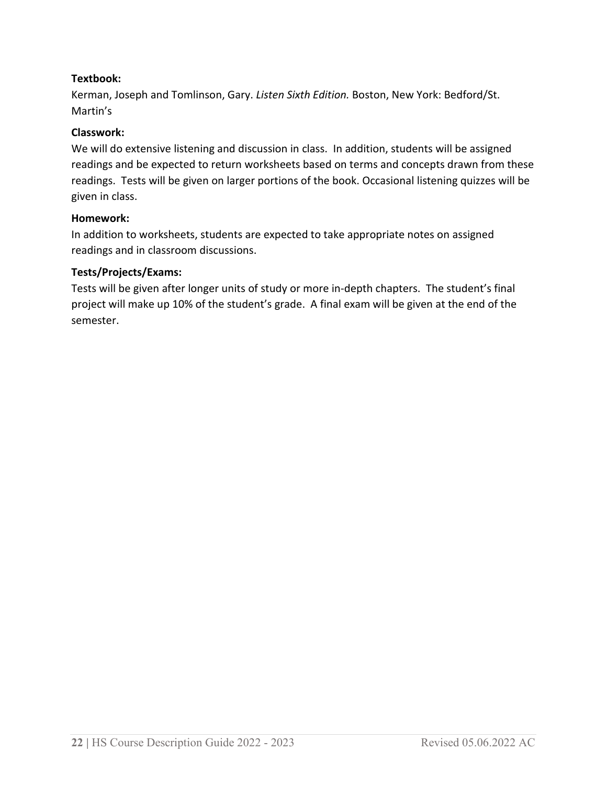# **Textbook:**

Kerman, Joseph and Tomlinson, Gary. *Listen Sixth Edition.* Boston, New York: Bedford/St. Martin's

#### **Classwork:**

We will do extensive listening and discussion in class. In addition, students will be assigned readings and be expected to return worksheets based on terms and concepts drawn from these readings. Tests will be given on larger portions of the book. Occasional listening quizzes will be given in class.

#### **Homework:**

In addition to worksheets, students are expected to take appropriate notes on assigned readings and in classroom discussions.

# **Tests/Projects/Exams:**

Tests will be given after longer units of study or more in-depth chapters. The student's final project will make up 10% of the student's grade. A final exam will be given at the end of the semester.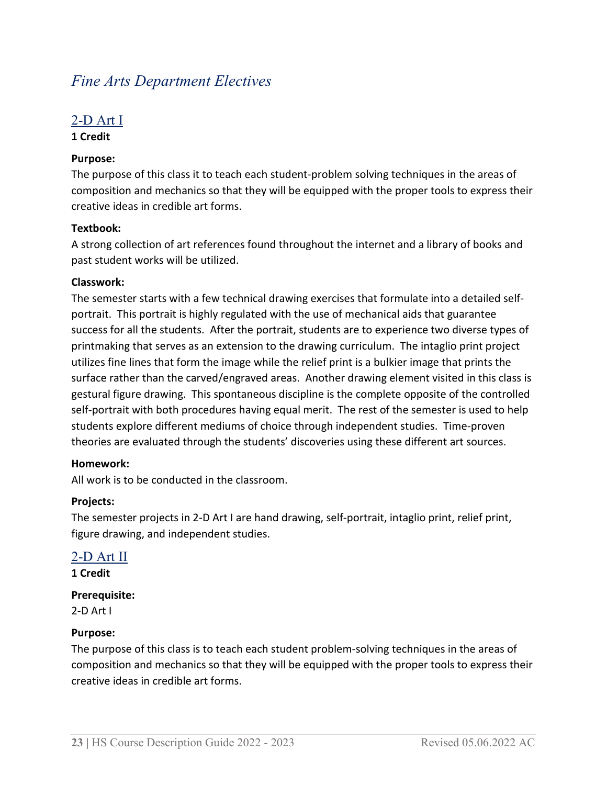# <span id="page-22-0"></span>*Fine Arts Department Electives*

# <span id="page-22-1"></span>2-D Art I

# **1 Credit**

# **Purpose:**

The purpose of this class it to teach each student-problem solving techniques in the areas of composition and mechanics so that they will be equipped with the proper tools to express their creative ideas in credible art forms.

# **Textbook:**

A strong collection of art references found throughout the internet and a library of books and past student works will be utilized.

# **Classwork:**

The semester starts with a few technical drawing exercises that formulate into a detailed selfportrait. This portrait is highly regulated with the use of mechanical aids that guarantee success for all the students. After the portrait, students are to experience two diverse types of printmaking that serves as an extension to the drawing curriculum. The intaglio print project utilizes fine lines that form the image while the relief print is a bulkier image that prints the surface rather than the carved/engraved areas. Another drawing element visited in this class is gestural figure drawing. This spontaneous discipline is the complete opposite of the controlled self-portrait with both procedures having equal merit. The rest of the semester is used to help students explore different mediums of choice through independent studies. Time-proven theories are evaluated through the students' discoveries using these different art sources.

# **Homework:**

All work is to be conducted in the classroom.

# **Projects:**

The semester projects in 2-D Art I are hand drawing, self-portrait, intaglio print, relief print, figure drawing, and independent studies.

# <span id="page-22-2"></span>2-D Art II

**1 Credit**

# **Prerequisite:**

2-D Art I

# **Purpose:**

The purpose of this class is to teach each student problem-solving techniques in the areas of composition and mechanics so that they will be equipped with the proper tools to express their creative ideas in credible art forms.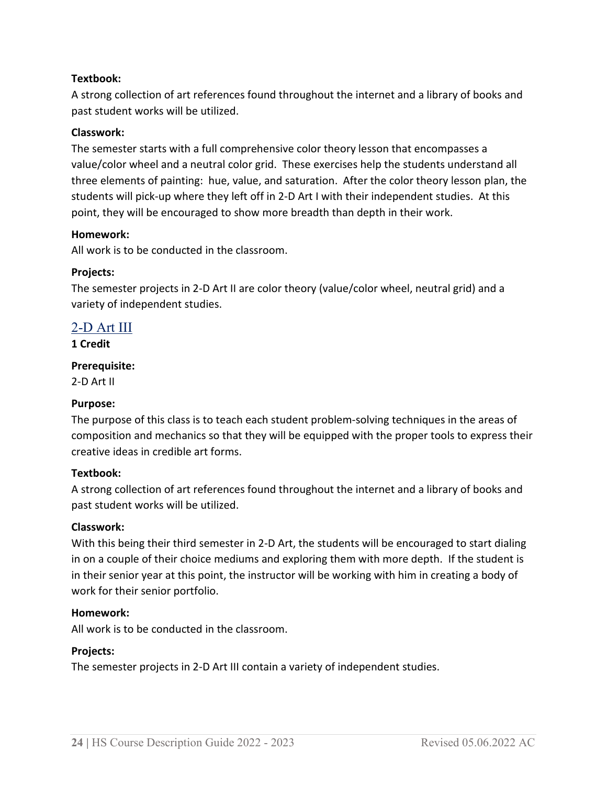# **Textbook:**

A strong collection of art references found throughout the internet and a library of books and past student works will be utilized.

#### **Classwork:**

The semester starts with a full comprehensive color theory lesson that encompasses a value/color wheel and a neutral color grid. These exercises help the students understand all three elements of painting: hue, value, and saturation. After the color theory lesson plan, the students will pick-up where they left off in 2-D Art I with their independent studies. At this point, they will be encouraged to show more breadth than depth in their work.

#### **Homework:**

All work is to be conducted in the classroom.

#### **Projects:**

The semester projects in 2-D Art II are color theory (value/color wheel, neutral grid) and a variety of independent studies.

# <span id="page-23-0"></span>2-D Art III

**1 Credit**

#### **Prerequisite:**

2-D Art II

#### **Purpose:**

The purpose of this class is to teach each student problem-solving techniques in the areas of composition and mechanics so that they will be equipped with the proper tools to express their creative ideas in credible art forms.

#### **Textbook:**

A strong collection of art references found throughout the internet and a library of books and past student works will be utilized.

#### **Classwork:**

With this being their third semester in 2-D Art, the students will be encouraged to start dialing in on a couple of their choice mediums and exploring them with more depth. If the student is in their senior year at this point, the instructor will be working with him in creating a body of work for their senior portfolio.

#### **Homework:**

All work is to be conducted in the classroom.

#### **Projects:**

The semester projects in 2-D Art III contain a variety of independent studies.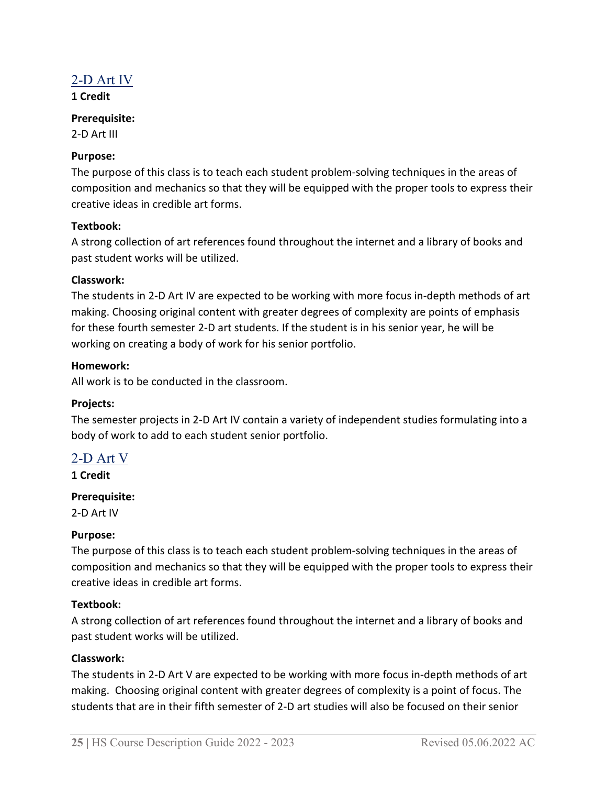# <span id="page-24-0"></span> $2-D$  Art IV

**1 Credit**

#### **Prerequisite:**

2-D Art III

# **Purpose:**

The purpose of this class is to teach each student problem-solving techniques in the areas of composition and mechanics so that they will be equipped with the proper tools to express their creative ideas in credible art forms.

#### **Textbook:**

A strong collection of art references found throughout the internet and a library of books and past student works will be utilized.

#### **Classwork:**

The students in 2-D Art IV are expected to be working with more focus in-depth methods of art making. Choosing original content with greater degrees of complexity are points of emphasis for these fourth semester 2-D art students. If the student is in his senior year, he will be working on creating a body of work for his senior portfolio.

#### **Homework:**

All work is to be conducted in the classroom.

# **Projects:**

The semester projects in 2-D Art IV contain a variety of independent studies formulating into a body of work to add to each student senior portfolio.

# <span id="page-24-1"></span>2-D Art V

**1 Credit**

# **Prerequisite:**

2-D Art IV

#### **Purpose:**

The purpose of this class is to teach each student problem-solving techniques in the areas of composition and mechanics so that they will be equipped with the proper tools to express their creative ideas in credible art forms.

# **Textbook:**

A strong collection of art references found throughout the internet and a library of books and past student works will be utilized.

# **Classwork:**

The students in 2-D Art V are expected to be working with more focus in-depth methods of art making. Choosing original content with greater degrees of complexity is a point of focus. The students that are in their fifth semester of 2-D art studies will also be focused on their senior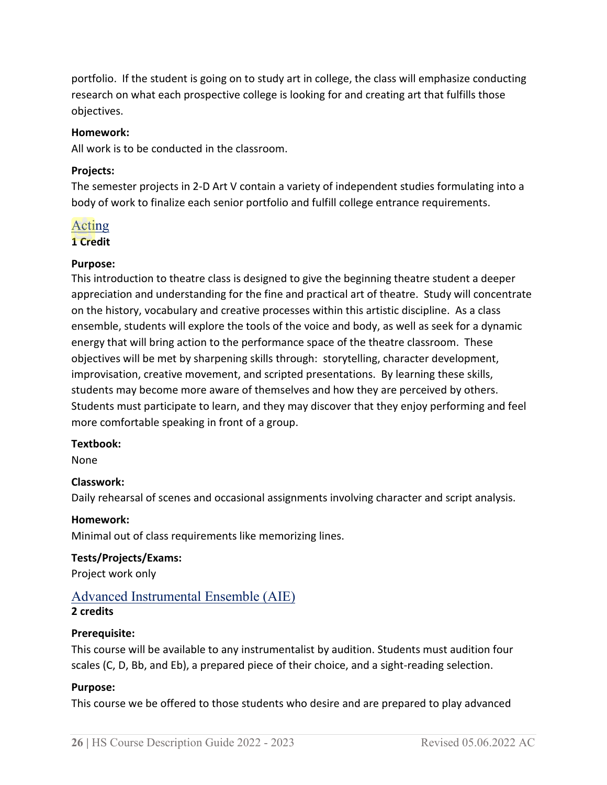portfolio. If the student is going on to study art in college, the class will emphasize conducting research on what each prospective college is looking for and creating art that fulfills those objectives.

#### **Homework:**

All work is to be conducted in the classroom.

#### **Projects:**

The semester projects in 2-D Art V contain a variety of independent studies formulating into a body of work to finalize each senior portfolio and fulfill college entrance requirements.

# <span id="page-25-0"></span>Acting

#### **1 Credit**

# **Purpose:**

This introduction to theatre class is designed to give the beginning theatre student a deeper appreciation and understanding for the fine and practical art of theatre. Study will concentrate on the history, vocabulary and creative processes within this artistic discipline. As a class ensemble, students will explore the tools of the voice and body, as well as seek for a dynamic energy that will bring action to the performance space of the theatre classroom. These objectives will be met by sharpening skills through: storytelling, character development, improvisation, creative movement, and scripted presentations. By learning these skills, students may become more aware of themselves and how they are perceived by others. Students must participate to learn, and they may discover that they enjoy performing and feel more comfortable speaking in front of a group.

# **Textbook:**

None

# **Classwork:**

Daily rehearsal of scenes and occasional assignments involving character and script analysis.

# **Homework:**

Minimal out of class requirements like memorizing lines.

# **Tests/Projects/Exams:**

Project work only

# <span id="page-25-1"></span>Advanced Instrumental Ensemble (AIE)

# **2 credits**

# **Prerequisite:**

This course will be available to any instrumentalist by audition. Students must audition four scales (C, D, Bb, and Eb), a prepared piece of their choice, and a sight-reading selection.

# **Purpose:**

This course we be offered to those students who desire and are prepared to play advanced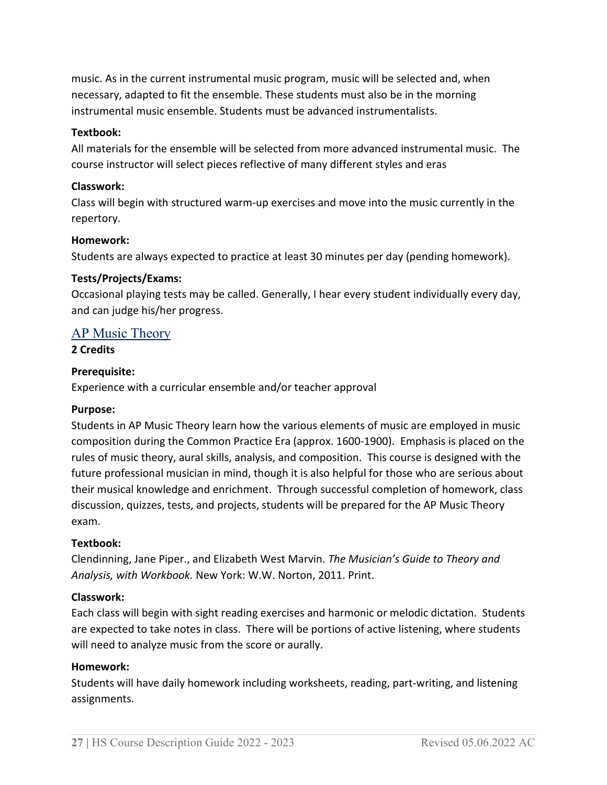music. As in the current instrumental music program, music will be selected and, when necessary, adapted to fit the ensemble. These students must also be in the morning instrumental music ensemble. Students must be advanced instrumentalists.

#### **Textbook:**

All materials for the ensemble will be selected from more advanced instrumental music. The course instructor will select pieces reflective of many different styles and eras

#### **Classwork:**

Class will begin with structured warm-up exercises and move into the music currently in the repertory.

#### **Homework:**

Students are always expected to practice at least 30 minutes per day (pending homework).

#### **Tests/Projects/Exams:**

Occasional playing tests may be called. Generally, I hear every student individually every day, and can judge his/her progress.

# <span id="page-26-0"></span>AP Music Theory

**2 Credits**

#### **Prerequisite:**

Experience with a curricular ensemble and/or teacher approval

#### **Purpose:**

Students in AP Music Theory learn how the various elements of music are employed in music composition during the Common Practice Era (approx. 1600-1900). Emphasis is placed on the rules of music theory, aural skills, analysis, and composition. This course is designed with the future professional musician in mind, though it is also helpful for those who are serious about their musical knowledge and enrichment. Through successful completion of homework, class discussion, quizzes, tests, and projects, students will be prepared for the AP Music Theory exam.

#### **Textbook:**

Clendinning, Jane Piper., and Elizabeth West Marvin. *The Musician's Guide to Theory and Analysis, with Workbook.* New York: W.W. Norton, 2011. Print.

#### **Classwork:**

Each class will begin with sight reading exercises and harmonic or melodic dictation. Students are expected to take notes in class. There will be portions of active listening, where students will need to analyze music from the score or aurally.

#### **Homework:**

Students will have daily homework including worksheets, reading, part-writing, and listening assignments.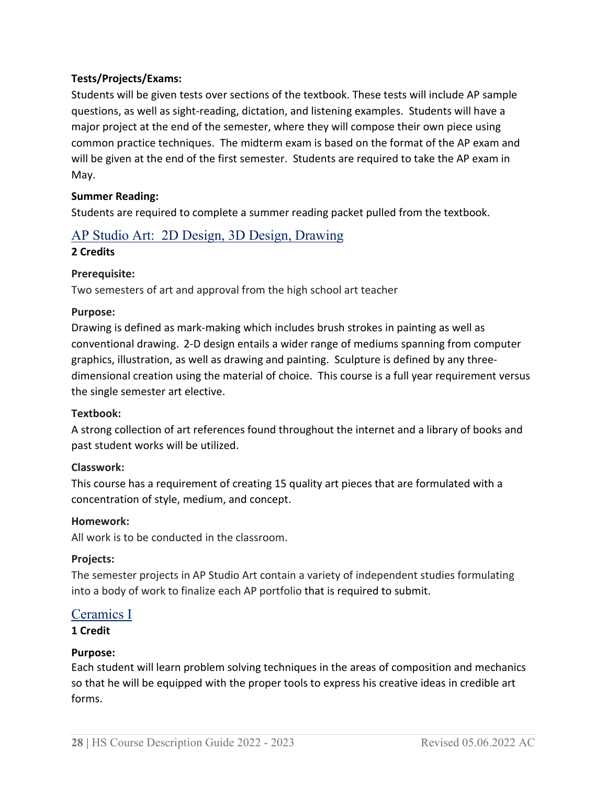# **Tests/Projects/Exams:**

Students will be given tests over sections of the textbook. These tests will include AP sample questions, as well as sight-reading, dictation, and listening examples. Students will have a major project at the end of the semester, where they will compose their own piece using common practice techniques. The midterm exam is based on the format of the AP exam and will be given at the end of the first semester. Students are required to take the AP exam in May.

#### **Summer Reading:**

Students are required to complete a summer reading packet pulled from the textbook.

# <span id="page-27-0"></span>AP Studio Art: 2D Design, 3D Design, Drawing

# **2 Credits**

# **Prerequisite:**

Two semesters of art and approval from the high school art teacher

#### **Purpose:**

Drawing is defined as mark-making which includes brush strokes in painting as well as conventional drawing. 2-D design entails a wider range of mediums spanning from computer graphics, illustration, as well as drawing and painting. Sculpture is defined by any threedimensional creation using the material of choice. This course is a full year requirement versus the single semester art elective.

# **Textbook:**

A strong collection of art references found throughout the internet and a library of books and past student works will be utilized.

# **Classwork:**

This course has a requirement of creating 15 quality art pieces that are formulated with a concentration of style, medium, and concept.

# **Homework:**

All work is to be conducted in the classroom.

# **Projects:**

The semester projects in AP Studio Art contain a variety of independent studies formulating into a body of work to finalize each AP portfolio that is required to submit.

# <span id="page-27-1"></span>Ceramics I

# **1 Credit**

# **Purpose:**

Each student will learn problem solving techniques in the areas of composition and mechanics so that he will be equipped with the proper tools to express his creative ideas in credible art forms.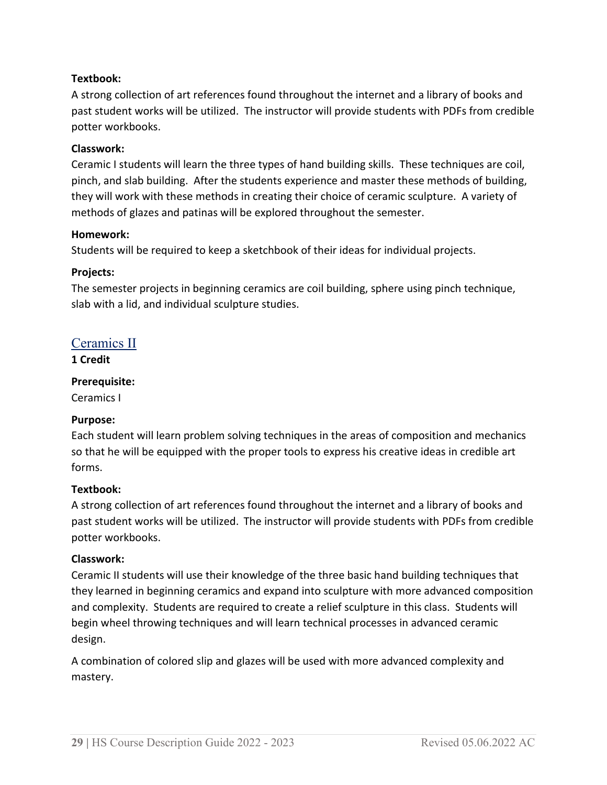# **Textbook:**

A strong collection of art references found throughout the internet and a library of books and past student works will be utilized. The instructor will provide students with PDFs from credible potter workbooks.

#### **Classwork:**

Ceramic I students will learn the three types of hand building skills. These techniques are coil, pinch, and slab building. After the students experience and master these methods of building, they will work with these methods in creating their choice of ceramic sculpture. A variety of methods of glazes and patinas will be explored throughout the semester.

#### **Homework:**

Students will be required to keep a sketchbook of their ideas for individual projects.

# **Projects:**

The semester projects in beginning ceramics are coil building, sphere using pinch technique, slab with a lid, and individual sculpture studies.

# <span id="page-28-0"></span>Ceramics II

**1 Credit**

#### **Prerequisite:**

Ceramics I

# **Purpose:**

Each student will learn problem solving techniques in the areas of composition and mechanics so that he will be equipped with the proper tools to express his creative ideas in credible art forms.

#### **Textbook:**

A strong collection of art references found throughout the internet and a library of books and past student works will be utilized. The instructor will provide students with PDFs from credible potter workbooks.

#### **Classwork:**

Ceramic II students will use their knowledge of the three basic hand building techniques that they learned in beginning ceramics and expand into sculpture with more advanced composition and complexity. Students are required to create a relief sculpture in this class. Students will begin wheel throwing techniques and will learn technical processes in advanced ceramic design.

A combination of colored slip and glazes will be used with more advanced complexity and mastery.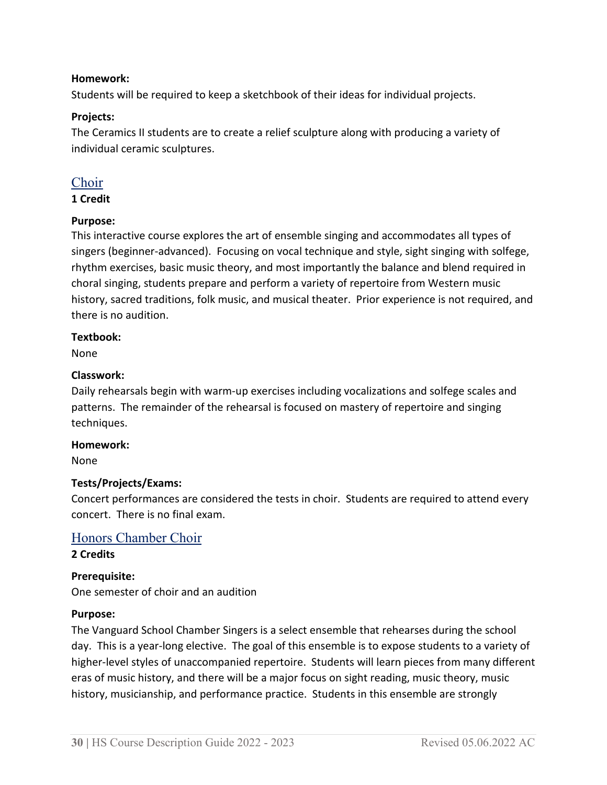#### **Homework:**

Students will be required to keep a sketchbook of their ideas for individual projects.

#### **Projects:**

The Ceramics II students are to create a relief sculpture along with producing a variety of individual ceramic sculptures.

# <span id="page-29-0"></span>Choir

#### **1 Credit**

# **Purpose:**

This interactive course explores the art of ensemble singing and accommodates all types of singers (beginner-advanced). Focusing on vocal technique and style, sight singing with solfege, rhythm exercises, basic music theory, and most importantly the balance and blend required in choral singing, students prepare and perform a variety of repertoire from Western music history, sacred traditions, folk music, and musical theater. Prior experience is not required, and there is no audition.

#### **Textbook:**

None

#### **Classwork:**

Daily rehearsals begin with warm-up exercises including vocalizations and solfege scales and patterns. The remainder of the rehearsal is focused on mastery of repertoire and singing techniques.

#### **Homework:**

None

# **Tests/Projects/Exams:**

Concert performances are considered the tests in choir. Students are required to attend every concert. There is no final exam.

# <span id="page-29-1"></span>Honors Chamber Choir

# **2 Credits**

# **Prerequisite:**

One semester of choir and an audition

#### **Purpose:**

The Vanguard School Chamber Singers is a select ensemble that rehearses during the school day. This is a year-long elective. The goal of this ensemble is to expose students to a variety of higher-level styles of unaccompanied repertoire. Students will learn pieces from many different eras of music history, and there will be a major focus on sight reading, music theory, music history, musicianship, and performance practice. Students in this ensemble are strongly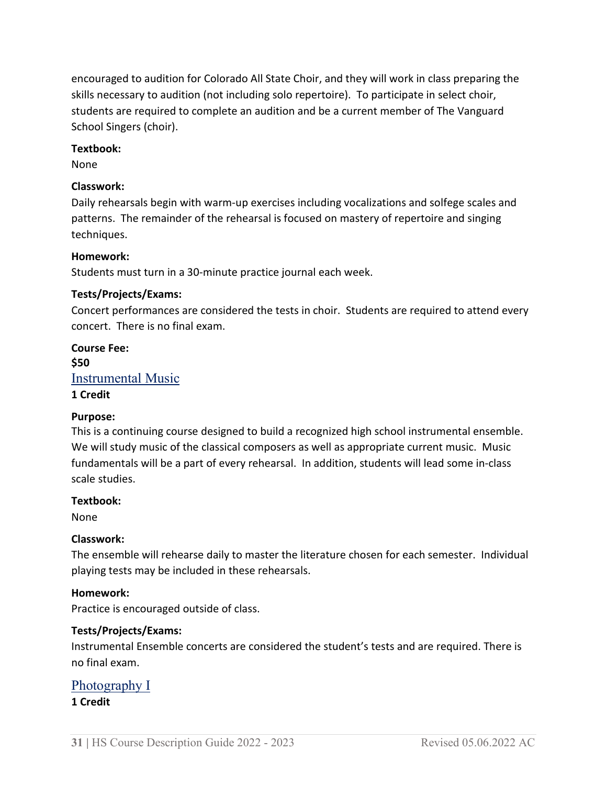encouraged to audition for Colorado All State Choir, and they will work in class preparing the skills necessary to audition (not including solo repertoire). To participate in select choir, students are required to complete an audition and be a current member of The Vanguard School Singers (choir).

#### **Textbook:**

None

#### **Classwork:**

Daily rehearsals begin with warm-up exercises including vocalizations and solfege scales and patterns. The remainder of the rehearsal is focused on mastery of repertoire and singing techniques.

#### **Homework:**

Students must turn in a 30-minute practice journal each week.

#### **Tests/Projects/Exams:**

Concert performances are considered the tests in choir. Students are required to attend every concert. There is no final exam.

# <span id="page-30-0"></span>**Course Fee: \$50** Instrumental Music **1 Credit**

# **Purpose:**

This is a continuing course designed to build a recognized high school instrumental ensemble. We will study music of the classical composers as well as appropriate current music. Music fundamentals will be a part of every rehearsal. In addition, students will lead some in-class scale studies.

#### **Textbook:**

None

#### **Classwork:**

The ensemble will rehearse daily to master the literature chosen for each semester. Individual playing tests may be included in these rehearsals.

#### **Homework:**

Practice is encouraged outside of class.

# **Tests/Projects/Exams:**

Instrumental Ensemble concerts are considered the student's tests and are required. There is no final exam.

# <span id="page-30-1"></span>Photography I

#### **1 Credit**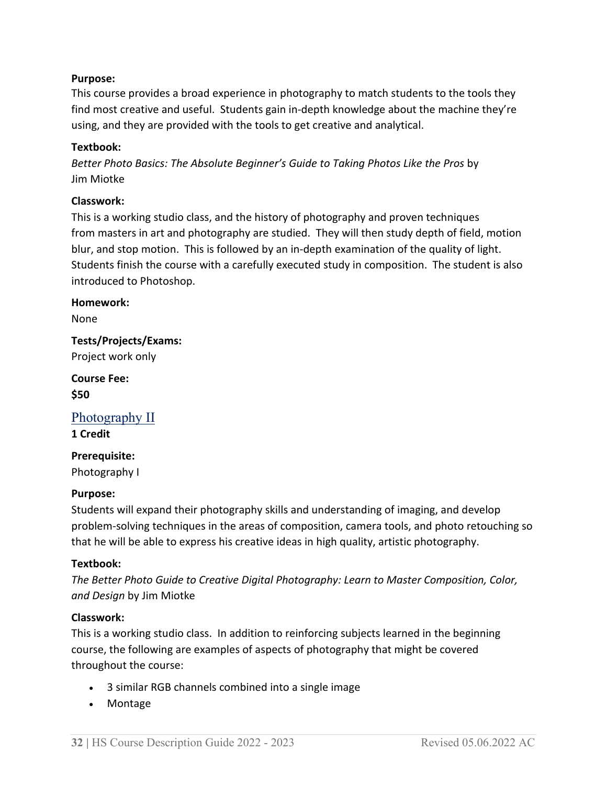# **Purpose:**

This course provides a broad experience in photography to match students to the tools they find most creative and useful. Students gain in-depth knowledge about the machine they're using, and they are provided with the tools to get creative and analytical.

#### **Textbook:**

*Better Photo Basics: The Absolute Beginner's Guide to Taking Photos Like the Pros* by Jim Miotke

#### **Classwork:**

This is a working studio class, and the history of photography and proven techniques from masters in art and photography are studied. They will then study depth of field, motion blur, and stop motion. This is followed by an in-depth examination of the quality of light. Students finish the course with a carefully executed study in composition. The student is also introduced to Photoshop.

#### **Homework:**

None

**Tests/Projects/Exams:** Project work only

**Course Fee: \$50**

<span id="page-31-0"></span>Photography II

**1 Credit** 

# **Prerequisite:**

Photography I

# **Purpose:**

Students will expand their photography skills and understanding of imaging, and develop problem-solving techniques in the areas of composition, camera tools, and photo retouching so that he will be able to express his creative ideas in high quality, artistic photography.

#### **Textbook:**

*The Better Photo Guide to Creative Digital Photography: Learn to Master Composition, Color, and Design* by Jim Miotke

#### **Classwork:**

This is a working studio class. In addition to reinforcing subjects learned in the beginning course, the following are examples of aspects of photography that might be covered throughout the course:

- 3 similar RGB channels combined into a single image
- Montage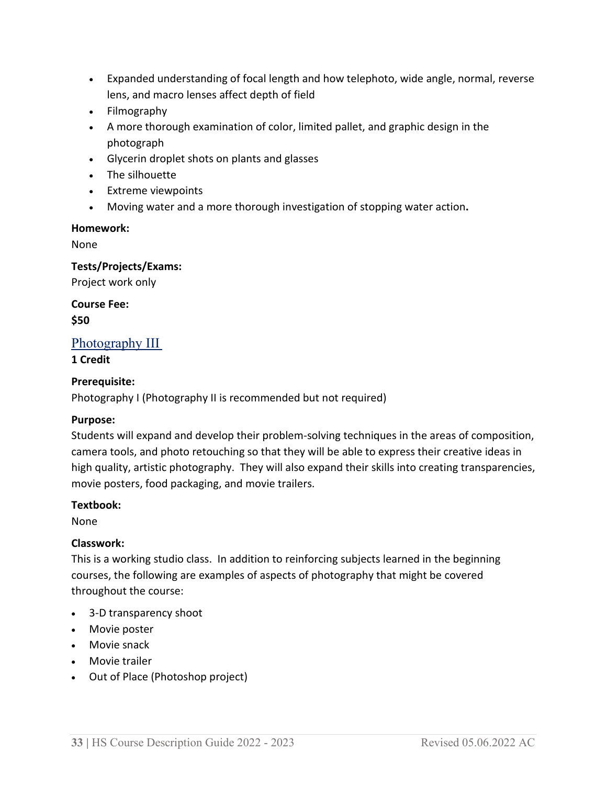- Expanded understanding of focal length and how telephoto, wide angle, normal, reverse lens, and macro lenses affect depth of field
- Filmography
- A more thorough examination of color, limited pallet, and graphic design in the photograph
- Glycerin droplet shots on plants and glasses
- The silhouette
- Extreme viewpoints
- Moving water and a more thorough investigation of stopping water action**.**

#### **Homework:**

None

#### **Tests/Projects/Exams:**

Project work only

**Course Fee: \$50**

# <span id="page-32-0"></span>Photography III

#### **1 Credit**

# **Prerequisite:**

Photography I (Photography II is recommended but not required)

# **Purpose:**

Students will expand and develop their problem-solving techniques in the areas of composition, camera tools, and photo retouching so that they will be able to express their creative ideas in high quality, artistic photography. They will also expand their skills into creating transparencies, movie posters, food packaging, and movie trailers.

# **Textbook:**

None

# **Classwork:**

This is a working studio class. In addition to reinforcing subjects learned in the beginning courses, the following are examples of aspects of photography that might be covered throughout the course:

- 3-D transparency shoot
- Movie poster
- Movie snack
- Movie trailer
- Out of Place (Photoshop project)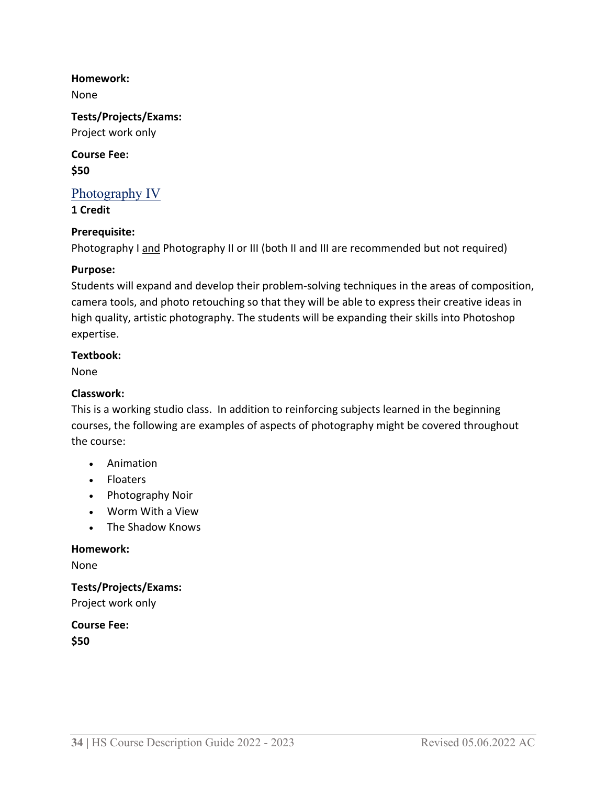**Homework:**

None

**Tests/Projects/Exams:** Project work only

**Course Fee: \$50**

# <span id="page-33-0"></span>Photography IV

**1 Credit**

# **Prerequisite:**

Photography I and Photography II or III (both II and III are recommended but not required)

#### **Purpose:**

Students will expand and develop their problem-solving techniques in the areas of composition, camera tools, and photo retouching so that they will be able to express their creative ideas in high quality, artistic photography. The students will be expanding their skills into Photoshop expertise.

#### **Textbook:**

None

#### **Classwork:**

This is a working studio class. In addition to reinforcing subjects learned in the beginning courses, the following are examples of aspects of photography might be covered throughout the course:

- Animation
- Floaters
- Photography Noir
- Worm With a View
- The Shadow Knows

#### **Homework:**

None

**Tests/Projects/Exams:** Project work only

**Course Fee: \$50**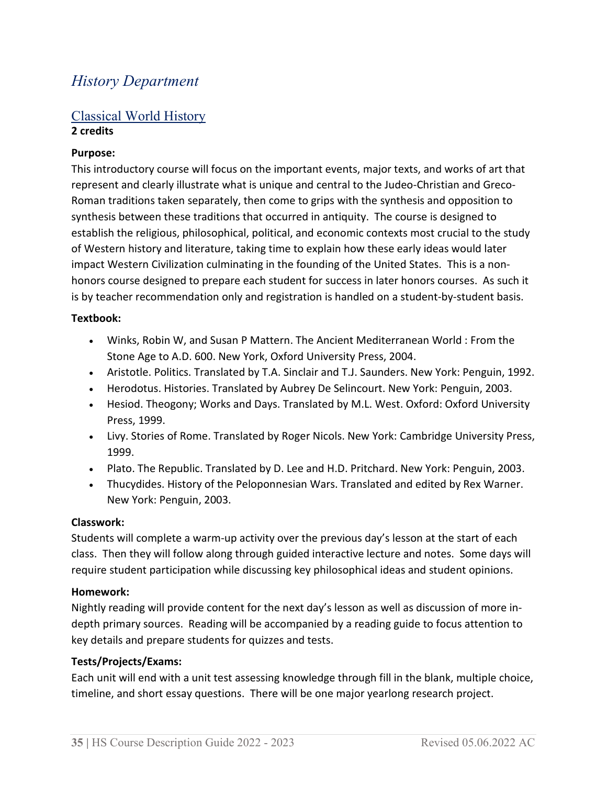# <span id="page-34-0"></span>*History Department*

# <span id="page-34-1"></span>Classical World History **2 credits**

#### **Purpose:**

This introductory course will focus on the important events, major texts, and works of art that represent and clearly illustrate what is unique and central to the Judeo-Christian and Greco-Roman traditions taken separately, then come to grips with the synthesis and opposition to synthesis between these traditions that occurred in antiquity. The course is designed to establish the religious, philosophical, political, and economic contexts most crucial to the study of Western history and literature, taking time to explain how these early ideas would later impact Western Civilization culminating in the founding of the United States. This is a nonhonors course designed to prepare each student for success in later honors courses. As such it is by teacher recommendation only and registration is handled on a student-by-student basis.

#### **Textbook:**

- Winks, Robin W, and Susan P Mattern. The Ancient Mediterranean World : From the Stone Age to A.D. 600. New York, Oxford University Press, 2004.
- Aristotle. Politics. Translated by T.A. Sinclair and T.J. Saunders. New York: Penguin, 1992.
- Herodotus. Histories. Translated by Aubrey De Selincourt. New York: Penguin, 2003.
- Hesiod. Theogony; Works and Days. Translated by M.L. West. Oxford: Oxford University Press, 1999.
- Livy. Stories of Rome. Translated by Roger Nicols. New York: Cambridge University Press, 1999.
- Plato. The Republic. Translated by D. Lee and H.D. Pritchard. New York: Penguin, 2003.
- Thucydides. History of the Peloponnesian Wars. Translated and edited by Rex Warner. New York: Penguin, 2003.

#### **Classwork:**

Students will complete a warm-up activity over the previous day's lesson at the start of each class. Then they will follow along through guided interactive lecture and notes. Some days will require student participation while discussing key philosophical ideas and student opinions.

#### **Homework:**

Nightly reading will provide content for the next day's lesson as well as discussion of more indepth primary sources. Reading will be accompanied by a reading guide to focus attention to key details and prepare students for quizzes and tests.

# **Tests/Projects/Exams:**

Each unit will end with a unit test assessing knowledge through fill in the blank, multiple choice, timeline, and short essay questions. There will be one major yearlong research project.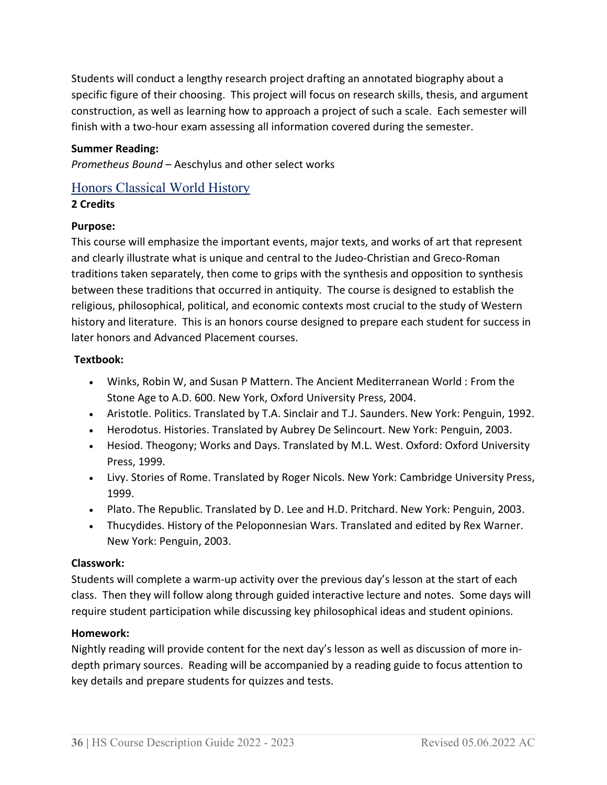Students will conduct a lengthy research project drafting an annotated biography about a specific figure of their choosing. This project will focus on research skills, thesis, and argument construction, as well as learning how to approach a project of such a scale. Each semester will finish with a two-hour exam assessing all information covered during the semester.

# **Summer Reading:**

*Prometheus Bound* – Aeschylus and other select works

# <span id="page-35-0"></span>Honors Classical World History

# **2 Credits**

# **Purpose:**

This course will emphasize the important events, major texts, and works of art that represent and clearly illustrate what is unique and central to the Judeo-Christian and Greco-Roman traditions taken separately, then come to grips with the synthesis and opposition to synthesis between these traditions that occurred in antiquity. The course is designed to establish the religious, philosophical, political, and economic contexts most crucial to the study of Western history and literature. This is an honors course designed to prepare each student for success in later honors and Advanced Placement courses.

# **Textbook:**

- Winks, Robin W, and Susan P Mattern. The Ancient Mediterranean World : From the Stone Age to A.D. 600. New York, Oxford University Press, 2004.
- Aristotle. Politics. Translated by T.A. Sinclair and T.J. Saunders. New York: Penguin, 1992.
- Herodotus. Histories. Translated by Aubrey De Selincourt. New York: Penguin, 2003.
- Hesiod. Theogony; Works and Days. Translated by M.L. West. Oxford: Oxford University Press, 1999.
- Livy. Stories of Rome. Translated by Roger Nicols. New York: Cambridge University Press, 1999.
- Plato. The Republic. Translated by D. Lee and H.D. Pritchard. New York: Penguin, 2003.
- Thucydides. History of the Peloponnesian Wars. Translated and edited by Rex Warner. New York: Penguin, 2003.

# **Classwork:**

Students will complete a warm-up activity over the previous day's lesson at the start of each class. Then they will follow along through guided interactive lecture and notes. Some days will require student participation while discussing key philosophical ideas and student opinions.

# **Homework:**

Nightly reading will provide content for the next day's lesson as well as discussion of more indepth primary sources. Reading will be accompanied by a reading guide to focus attention to key details and prepare students for quizzes and tests.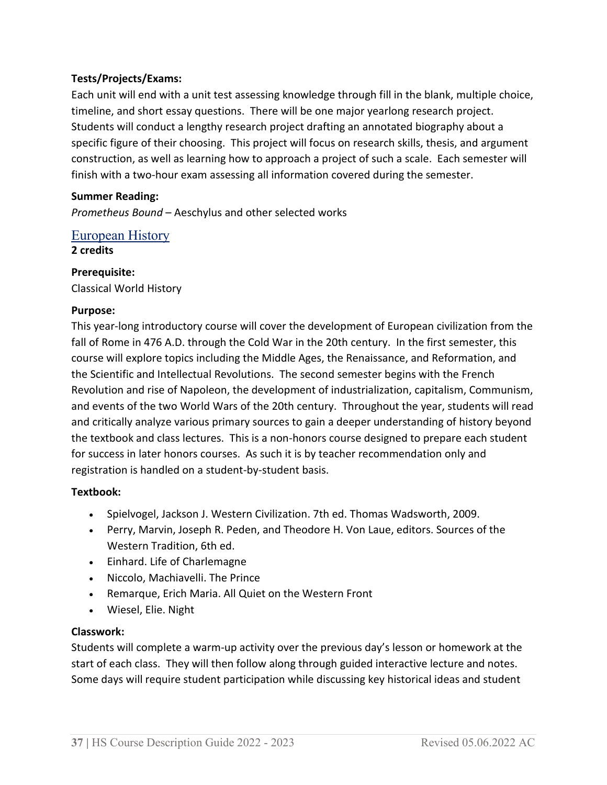# **Tests/Projects/Exams:**

Each unit will end with a unit test assessing knowledge through fill in the blank, multiple choice, timeline, and short essay questions. There will be one major yearlong research project. Students will conduct a lengthy research project drafting an annotated biography about a specific figure of their choosing. This project will focus on research skills, thesis, and argument construction, as well as learning how to approach a project of such a scale. Each semester will finish with a two-hour exam assessing all information covered during the semester.

#### **Summer Reading:**

*Prometheus Bound* – Aeschylus and other selected works

# European History

**2 credits**

# **Prerequisite:**

Classical World History

#### **Purpose:**

This year-long introductory course will cover the development of European civilization from the fall of Rome in 476 A.D. through the Cold War in the 20th century. In the first semester, this course will explore topics including the Middle Ages, the Renaissance, and Reformation, and the Scientific and Intellectual Revolutions. The second semester begins with the French Revolution and rise of Napoleon, the development of industrialization, capitalism, Communism, and events of the two World Wars of the 20th century. Throughout the year, students will read and critically analyze various primary sources to gain a deeper understanding of history beyond the textbook and class lectures. This is a non-honors course designed to prepare each student for success in later honors courses. As such it is by teacher recommendation only and registration is handled on a student-by-student basis.

#### **Textbook:**

- Spielvogel, Jackson J. Western Civilization. 7th ed. Thomas Wadsworth, 2009.
- Perry, Marvin, Joseph R. Peden, and Theodore H. Von Laue, editors. Sources of the Western Tradition, 6th ed.
- Einhard. Life of Charlemagne
- Niccolo, Machiavelli. The Prince
- Remarque, Erich Maria. All Quiet on the Western Front
- Wiesel, Elie. Night

#### **Classwork:**

Students will complete a warm-up activity over the previous day's lesson or homework at the start of each class. They will then follow along through guided interactive lecture and notes. Some days will require student participation while discussing key historical ideas and student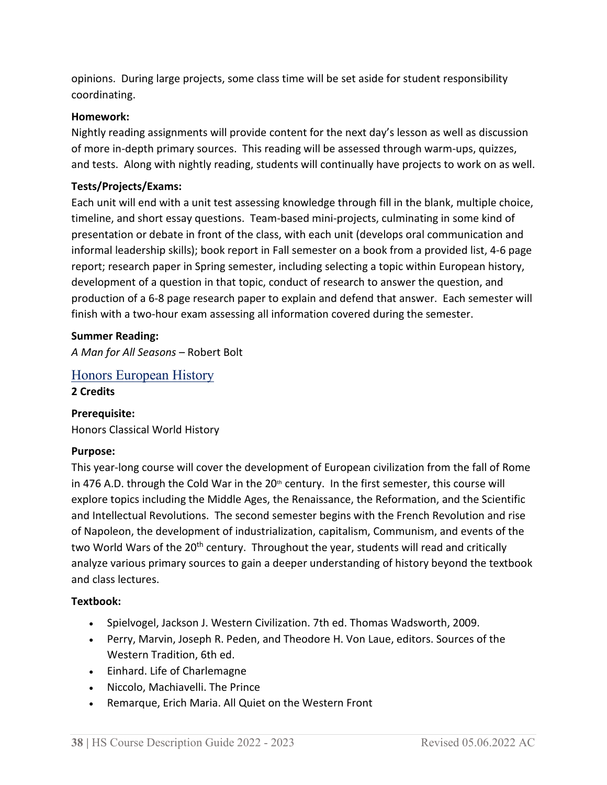opinions. During large projects, some class time will be set aside for student responsibility coordinating.

#### **Homework:**

Nightly reading assignments will provide content for the next day's lesson as well as discussion of more in-depth primary sources. This reading will be assessed through warm-ups, quizzes, and tests. Along with nightly reading, students will continually have projects to work on as well.

#### **Tests/Projects/Exams:**

Each unit will end with a unit test assessing knowledge through fill in the blank, multiple choice, timeline, and short essay questions. Team-based mini-projects, culminating in some kind of presentation or debate in front of the class, with each unit (develops oral communication and informal leadership skills); book report in Fall semester on a book from a provided list, 4-6 page report; research paper in Spring semester, including selecting a topic within European history, development of a question in that topic, conduct of research to answer the question, and production of a 6-8 page research paper to explain and defend that answer. Each semester will finish with a two-hour exam assessing all information covered during the semester.

#### **Summer Reading:**

*A Man for All Seasons* – Robert Bolt

Honors European History **2 Credits**

#### **Prerequisite:**

Honors Classical World History

#### **Purpose:**

This year-long course will cover the development of European civilization from the fall of Rome in 476 A.D. through the Cold War in the  $20<sup>th</sup>$  century. In the first semester, this course will explore topics including the Middle Ages, the Renaissance, the Reformation, and the Scientific and Intellectual Revolutions. The second semester begins with the French Revolution and rise of Napoleon, the development of industrialization, capitalism, Communism, and events of the two World Wars of the 20<sup>th</sup> century. Throughout the year, students will read and critically analyze various primary sources to gain a deeper understanding of history beyond the textbook and class lectures.

#### **Textbook:**

- Spielvogel, Jackson J. Western Civilization. 7th ed. Thomas Wadsworth, 2009.
- Perry, Marvin, Joseph R. Peden, and Theodore H. Von Laue, editors. Sources of the Western Tradition, 6th ed.
- Einhard. Life of Charlemagne
- Niccolo, Machiavelli. The Prince
- Remarque, Erich Maria. All Quiet on the Western Front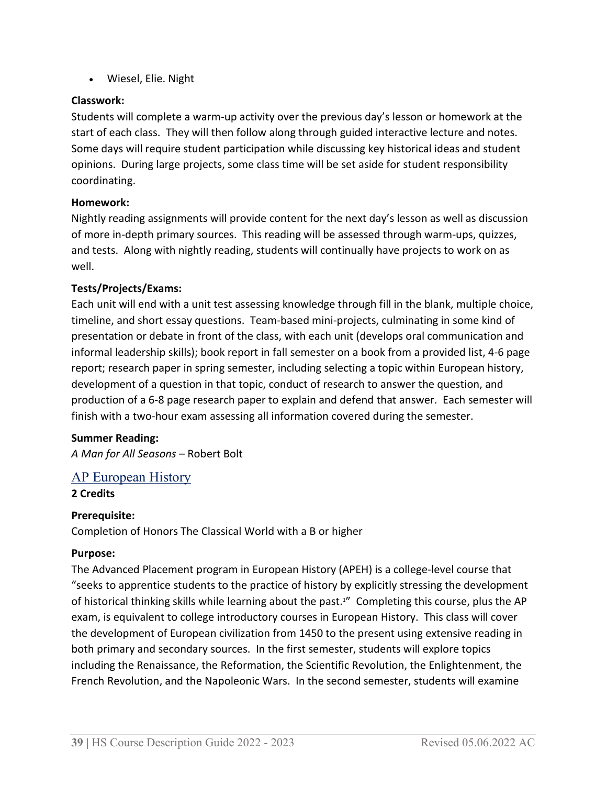• Wiesel, Elie. Night

# **Classwork:**

Students will complete a warm-up activity over the previous day's lesson or homework at the start of each class. They will then follow along through guided interactive lecture and notes. Some days will require student participation while discussing key historical ideas and student opinions. During large projects, some class time will be set aside for student responsibility coordinating.

# **Homework:**

Nightly reading assignments will provide content for the next day's lesson as well as discussion of more in-depth primary sources. This reading will be assessed through warm-ups, quizzes, and tests. Along with nightly reading, students will continually have projects to work on as well.

# **Tests/Projects/Exams:**

Each unit will end with a unit test assessing knowledge through fill in the blank, multiple choice, timeline, and short essay questions. Team-based mini-projects, culminating in some kind of presentation or debate in front of the class, with each unit (develops oral communication and informal leadership skills); book report in fall semester on a book from a provided list, 4-6 page report; research paper in spring semester, including selecting a topic within European history, development of a question in that topic, conduct of research to answer the question, and production of a 6-8 page research paper to explain and defend that answer. Each semester will finish with a two-hour exam assessing all information covered during the semester.

#### **Summer Reading:**

*A Man for All Seasons* – Robert Bolt

# AP European History

#### **2 Credits**

#### **Prerequisite:**

Completion of Honors The Classical World with a B or higher

#### **Purpose:**

The Advanced Placement program in European History (APEH) is a college-level course that "seeks to apprentice students to the practice of history by explicitly stressing the development of historical thinking skills while learning about the past.1" Completing this course, plus the AP exam, is equivalent to college introductory courses in European History. This class will cover the development of European civilization from 1450 to the present using extensive reading in both primary and secondary sources. In the first semester, students will explore topics including the Renaissance, the Reformation, the Scientific Revolution, the Enlightenment, the French Revolution, and the Napoleonic Wars. In the second semester, students will examine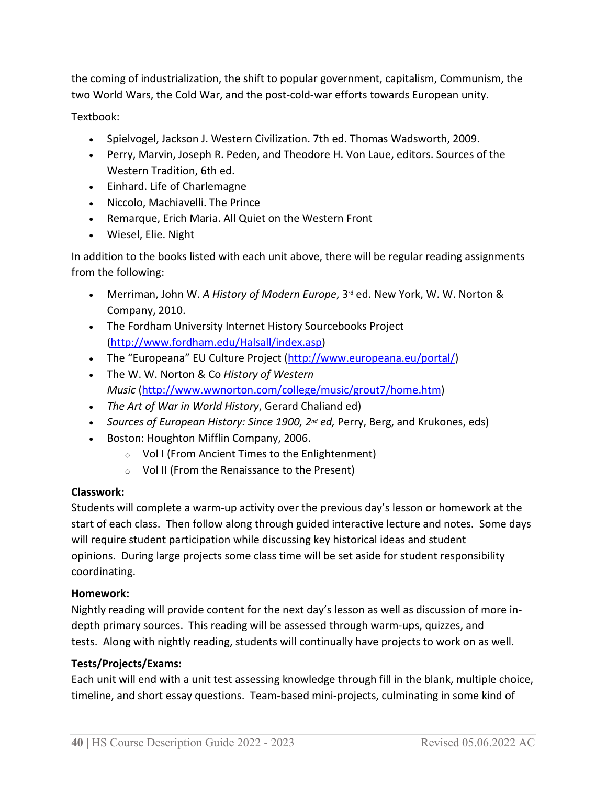the coming of industrialization, the shift to popular government, capitalism, Communism, the two World Wars, the Cold War, and the post-cold-war efforts towards European unity.

Textbook:

- Spielvogel, Jackson J. Western Civilization. 7th ed. Thomas Wadsworth, 2009.
- Perry, Marvin, Joseph R. Peden, and Theodore H. Von Laue, editors. Sources of the Western Tradition, 6th ed.
- Einhard. Life of Charlemagne
- Niccolo, Machiavelli. The Prince
- Remarque, Erich Maria. All Quiet on the Western Front
- Wiesel, Elie. Night

In addition to the books listed with each unit above, there will be regular reading assignments from the following:

- Merriman, John W. A History of Modern Europe, 3<sup>rd</sup> ed. New York, W. W. Norton & Company, 2010.
- The Fordham University Internet History Sourcebooks Project [\(http://www.fordham.edu/Halsall/index.asp\)](http://www.fordham.edu/Halsall/index.asp)
- The "Europeana" EU Culture Project [\(http://www.europeana.eu/portal/\)](http://www.europeana.eu/portal/)
- The W. W. Norton & Co *History of Western Music* [\(http://www.wwnorton.com/college/music/grout7/home.htm\)](http://www.wwnorton.com/college/music/grout7/home.htm)
- *The Art of War in World History*, Gerard Chaliand ed)
- *Sources of European History: Since 1900, 2<sup>nd</sup> ed, Perry, Berg, and Krukones, eds)*
- Boston: Houghton Mifflin Company, 2006.
	- o Vol I (From Ancient Times to the Enlightenment)
	- o Vol II (From the Renaissance to the Present)

#### **Classwork:**

Students will complete a warm-up activity over the previous day's lesson or homework at the start of each class. Then follow along through guided interactive lecture and notes. Some days will require student participation while discussing key historical ideas and student opinions. During large projects some class time will be set aside for student responsibility coordinating.

#### **Homework:**

Nightly reading will provide content for the next day's lesson as well as discussion of more indepth primary sources. This reading will be assessed through warm-ups, quizzes, and tests. Along with nightly reading, students will continually have projects to work on as well.

#### **Tests/Projects/Exams:**

Each unit will end with a unit test assessing knowledge through fill in the blank, multiple choice, timeline, and short essay questions. Team-based mini-projects, culminating in some kind of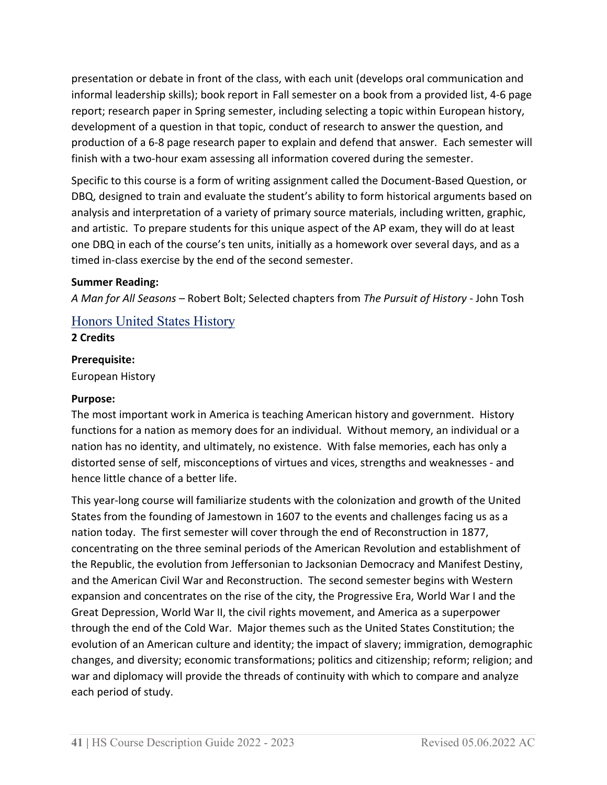presentation or debate in front of the class, with each unit (develops oral communication and informal leadership skills); book report in Fall semester on a book from a provided list, 4-6 page report; research paper in Spring semester, including selecting a topic within European history, development of a question in that topic, conduct of research to answer the question, and production of a 6-8 page research paper to explain and defend that answer. Each semester will finish with a two-hour exam assessing all information covered during the semester.

Specific to this course is a form of writing assignment called the Document-Based Question, or DBQ, designed to train and evaluate the student's ability to form historical arguments based on analysis and interpretation of a variety of primary source materials, including written, graphic, and artistic. To prepare students for this unique aspect of the AP exam, they will do at least one DBQ in each of the course's ten units, initially as a homework over several days, and as a timed in-class exercise by the end of the second semester.

#### **Summer Reading:**

*A Man for All Seasons* – Robert Bolt; Selected chapters from *The Pursuit of History* - John Tosh

# Honors United States History

**2 Credits**

#### **Prerequisite:**

European History

#### **Purpose:**

The most important work in America is teaching American history and government. History functions for a nation as memory does for an individual. Without memory, an individual or a nation has no identity, and ultimately, no existence. With false memories, each has only a distorted sense of self, misconceptions of virtues and vices, strengths and weaknesses - and hence little chance of a better life.

This year-long course will familiarize students with the colonization and growth of the United States from the founding of Jamestown in 1607 to the events and challenges facing us as a nation today. The first semester will cover through the end of Reconstruction in 1877, concentrating on the three seminal periods of the American Revolution and establishment of the Republic, the evolution from Jeffersonian to Jacksonian Democracy and Manifest Destiny, and the American Civil War and Reconstruction. The second semester begins with Western expansion and concentrates on the rise of the city, the Progressive Era, World War I and the Great Depression, World War II, the civil rights movement, and America as a superpower through the end of the Cold War. Major themes such as the United States Constitution; the evolution of an American culture and identity; the impact of slavery; immigration, demographic changes, and diversity; economic transformations; politics and citizenship; reform; religion; and war and diplomacy will provide the threads of continuity with which to compare and analyze each period of study.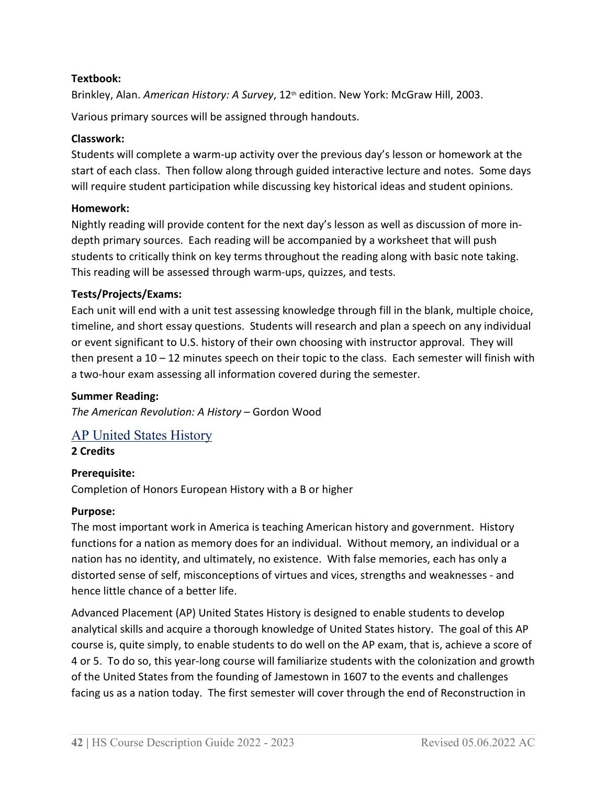#### **Textbook:**

Brinkley, Alan. American History: A Survey, 12<sup>th</sup> edition. New York: McGraw Hill, 2003.

Various primary sources will be assigned through handouts.

#### **Classwork:**

Students will complete a warm-up activity over the previous day's lesson or homework at the start of each class. Then follow along through guided interactive lecture and notes. Some days will require student participation while discussing key historical ideas and student opinions.

# **Homework:**

Nightly reading will provide content for the next day's lesson as well as discussion of more indepth primary sources. Each reading will be accompanied by a worksheet that will push students to critically think on key terms throughout the reading along with basic note taking. This reading will be assessed through warm-ups, quizzes, and tests.

# **Tests/Projects/Exams:**

Each unit will end with a unit test assessing knowledge through fill in the blank, multiple choice, timeline, and short essay questions. Students will research and plan a speech on any individual or event significant to U.S. history of their own choosing with instructor approval. They will then present a 10 – 12 minutes speech on their topic to the class. Each semester will finish with a two-hour exam assessing all information covered during the semester.

### **Summer Reading:**

*The American Revolution: A History* – Gordon Wood

# AP United States History

**2 Credits**

#### **Prerequisite:**

Completion of Honors European History with a B or higher

#### **Purpose:**

The most important work in America is teaching American history and government. History functions for a nation as memory does for an individual. Without memory, an individual or a nation has no identity, and ultimately, no existence. With false memories, each has only a distorted sense of self, misconceptions of virtues and vices, strengths and weaknesses - and hence little chance of a better life.

Advanced Placement (AP) United States History is designed to enable students to develop analytical skills and acquire a thorough knowledge of United States history. The goal of this AP course is, quite simply, to enable students to do well on the AP exam, that is, achieve a score of 4 or 5. To do so, this year-long course will familiarize students with the colonization and growth of the United States from the founding of Jamestown in 1607 to the events and challenges facing us as a nation today. The first semester will cover through the end of Reconstruction in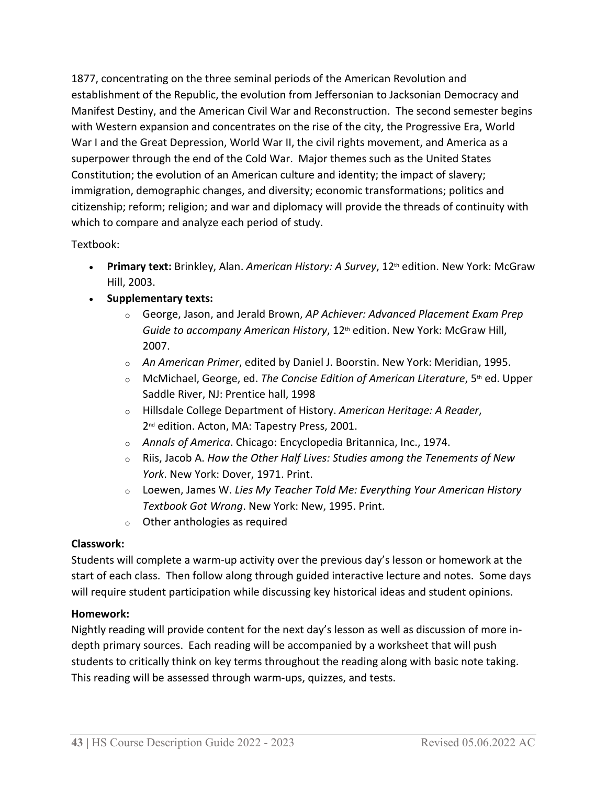1877, concentrating on the three seminal periods of the American Revolution and establishment of the Republic, the evolution from Jeffersonian to Jacksonian Democracy and Manifest Destiny, and the American Civil War and Reconstruction. The second semester begins with Western expansion and concentrates on the rise of the city, the Progressive Era, World War I and the Great Depression, World War II, the civil rights movement, and America as a superpower through the end of the Cold War. Major themes such as the United States Constitution; the evolution of an American culture and identity; the impact of slavery; immigration, demographic changes, and diversity; economic transformations; politics and citizenship; reform; religion; and war and diplomacy will provide the threads of continuity with which to compare and analyze each period of study.

# Textbook:

- Primary text: Brinkley, Alan. American History: A Survey, 12<sup>th</sup> edition. New York: McGraw Hill, 2003.
- **Supplementary texts:**
	- <sup>o</sup> George, Jason, and Jerald Brown, *AP Achiever: Advanced Placement Exam Prep*  Guide to accompany American History, 12<sup>th</sup> edition. New York: McGraw Hill, 2007.
	- <sup>o</sup> *An American Primer*, edited by Daniel J. Boorstin. New York: Meridian, 1995.
	- <sup>o</sup> McMichael, George, ed. *The Concise Edition of American Literature*, 5th ed. Upper Saddle River, NJ: Prentice hall, 1998
	- <sup>o</sup> Hillsdale College Department of History. *American Heritage: A Reader*, 2<sup>nd</sup> edition. Acton, MA: Tapestry Press, 2001.
	- <sup>o</sup> *Annals of America*. Chicago: Encyclopedia Britannica, Inc., 1974.
	- <sup>o</sup> Riis, Jacob A. *How the Other Half Lives: Studies among the Tenements of New York*. New York: Dover, 1971. Print.
	- <sup>o</sup> Loewen, James W. *Lies My Teacher Told Me: Everything Your American History Textbook Got Wrong*. New York: New, 1995. Print.
	- o Other anthologies as required

#### **Classwork:**

Students will complete a warm-up activity over the previous day's lesson or homework at the start of each class. Then follow along through guided interactive lecture and notes. Some days will require student participation while discussing key historical ideas and student opinions.

#### **Homework:**

Nightly reading will provide content for the next day's lesson as well as discussion of more indepth primary sources. Each reading will be accompanied by a worksheet that will push students to critically think on key terms throughout the reading along with basic note taking. This reading will be assessed through warm-ups, quizzes, and tests.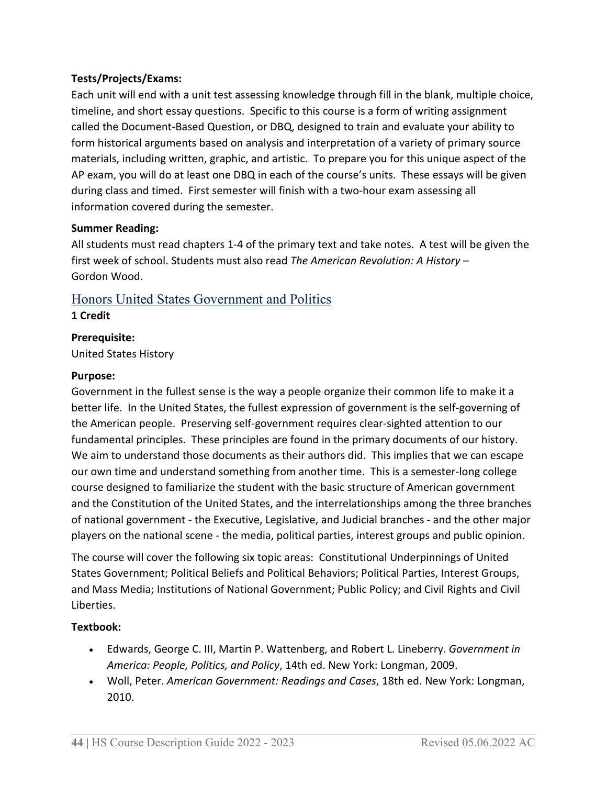# **Tests/Projects/Exams:**

Each unit will end with a unit test assessing knowledge through fill in the blank, multiple choice, timeline, and short essay questions. Specific to this course is a form of writing assignment called the Document-Based Question, or DBQ, designed to train and evaluate your ability to form historical arguments based on analysis and interpretation of a variety of primary source materials, including written, graphic, and artistic. To prepare you for this unique aspect of the AP exam, you will do at least one DBQ in each of the course's units. These essays will be given during class and timed. First semester will finish with a two-hour exam assessing all information covered during the semester.

#### **Summer Reading:**

All students must read chapters 1-4 of the primary text and take notes. A test will be given the first week of school. Students must also read *The American Revolution: A History* – Gordon Wood.

# Honors United States Government and Politics

#### **1 Credit**

# **Prerequisite:**

United States History

#### **Purpose:**

Government in the fullest sense is the way a people organize their common life to make it a better life. In the United States, the fullest expression of government is the self-governing of the American people. Preserving self-government requires clear-sighted attention to our fundamental principles. These principles are found in the primary documents of our history. We aim to understand those documents as their authors did.  This implies that we can escape our own time and understand something from another time. This is a semester-long college course designed to familiarize the student with the basic structure of American government and the Constitution of the United States, and the interrelationships among the three branches of national government - the Executive, Legislative, and Judicial branches - and the other major players on the national scene - the media, political parties, interest groups and public opinion.

The course will cover the following six topic areas: Constitutional Underpinnings of United States Government; Political Beliefs and Political Behaviors; Political Parties, Interest Groups, and Mass Media; Institutions of National Government; Public Policy; and Civil Rights and Civil Liberties.

# **Textbook:**

- Edwards, George C. III, Martin P. Wattenberg, and Robert L. Lineberry. *Government in America: People, Politics, and Policy*, 14th ed. New York: Longman, 2009.
- Woll, Peter. *American Government: Readings and Cases*, 18th ed. New York: Longman, 2010.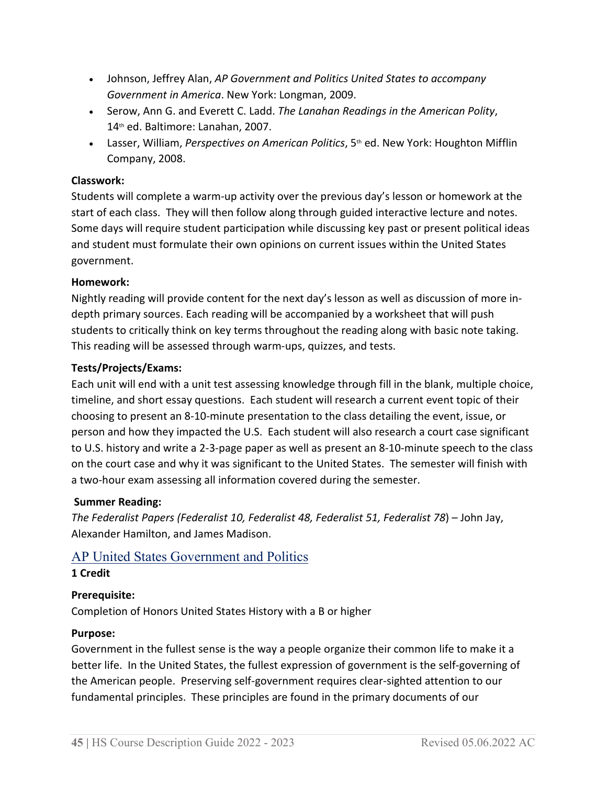- Johnson, Jeffrey Alan, *AP Government and Politics United States to accompany Government in America*. New York: Longman, 2009.
- Serow, Ann G. and Everett C. Ladd. *The Lanahan Readings in the American Polity*, 14th ed. Baltimore: Lanahan, 2007.
- Lasser, William, *Perspectives on American Politics*, 5<sup>th</sup> ed. New York: Houghton Mifflin Company, 2008.

### **Classwork:**

Students will complete a warm-up activity over the previous day's lesson or homework at the start of each class. They will then follow along through guided interactive lecture and notes. Some days will require student participation while discussing key past or present political ideas and student must formulate their own opinions on current issues within the United States government.

# **Homework:**

Nightly reading will provide content for the next day's lesson as well as discussion of more indepth primary sources. Each reading will be accompanied by a worksheet that will push students to critically think on key terms throughout the reading along with basic note taking. This reading will be assessed through warm-ups, quizzes, and tests.

# **Tests/Projects/Exams:**

Each unit will end with a unit test assessing knowledge through fill in the blank, multiple choice, timeline, and short essay questions. Each student will research a current event topic of their choosing to present an 8-10-minute presentation to the class detailing the event, issue, or person and how they impacted the U.S. Each student will also research a court case significant to U.S. history and write a 2-3-page paper as well as present an 8-10-minute speech to the class on the court case and why it was significant to the United States. The semester will finish with a two-hour exam assessing all information covered during the semester.

#### **Summer Reading:**

*The Federalist Papers (Federalist 10, Federalist 48, Federalist 51, Federalist 78*) – John Jay, Alexander Hamilton, and James Madison.

# AP United States Government and Politics

#### **1 Credit**

# **Prerequisite:**

Completion of Honors United States History with a B or higher

#### **Purpose:**

Government in the fullest sense is the way a people organize their common life to make it a better life. In the United States, the fullest expression of government is the self-governing of the American people. Preserving self-government requires clear-sighted attention to our fundamental principles. These principles are found in the primary documents of our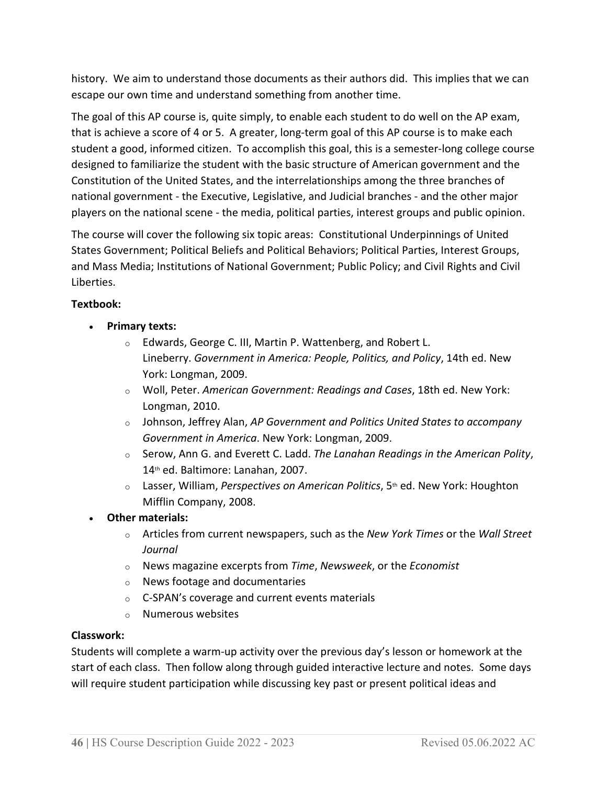history. We aim to understand those documents as their authors did.  This implies that we can escape our own time and understand something from another time.

The goal of this AP course is, quite simply, to enable each student to do well on the AP exam, that is achieve a score of 4 or 5. A greater, long-term goal of this AP course is to make each student a good, informed citizen. To accomplish this goal, this is a semester-long college course designed to familiarize the student with the basic structure of American government and the Constitution of the United States, and the interrelationships among the three branches of national government - the Executive, Legislative, and Judicial branches - and the other major players on the national scene - the media, political parties, interest groups and public opinion.

The course will cover the following six topic areas: Constitutional Underpinnings of United States Government; Political Beliefs and Political Behaviors; Political Parties, Interest Groups, and Mass Media; Institutions of National Government; Public Policy; and Civil Rights and Civil Liberties.

# **Textbook:**

- **Primary texts:**
	- o Edwards, George C. III, Martin P. Wattenberg, and Robert L. Lineberry. *Government in America: People, Politics, and Policy*, 14th ed. New York: Longman, 2009.
	- <sup>o</sup> Woll, Peter. *American Government: Readings and Cases*, 18th ed. New York: Longman, 2010.
	- <sup>o</sup> Johnson, Jeffrey Alan, *AP Government and Politics United States to accompany Government in America*. New York: Longman, 2009.
	- <sup>o</sup> Serow, Ann G. and Everett C. Ladd. *The Lanahan Readings in the American Polity*, 14th ed. Baltimore: Lanahan, 2007.
	- <sup>o</sup> Lasser, William, *Perspectives on American Politics*, 5th ed. New York: Houghton Mifflin Company, 2008.
- **Other materials:**
	- <sup>o</sup> Articles from current newspapers, such as the *New York Times* or the *Wall Street Journal*
	- <sup>o</sup> News magazine excerpts from *Time*, *Newsweek*, or the *Economist*
	- o News footage and documentaries
	- o C-SPAN's coverage and current events materials
	- o Numerous websites

#### **Classwork:**

Students will complete a warm-up activity over the previous day's lesson or homework at the start of each class. Then follow along through guided interactive lecture and notes. Some days will require student participation while discussing key past or present political ideas and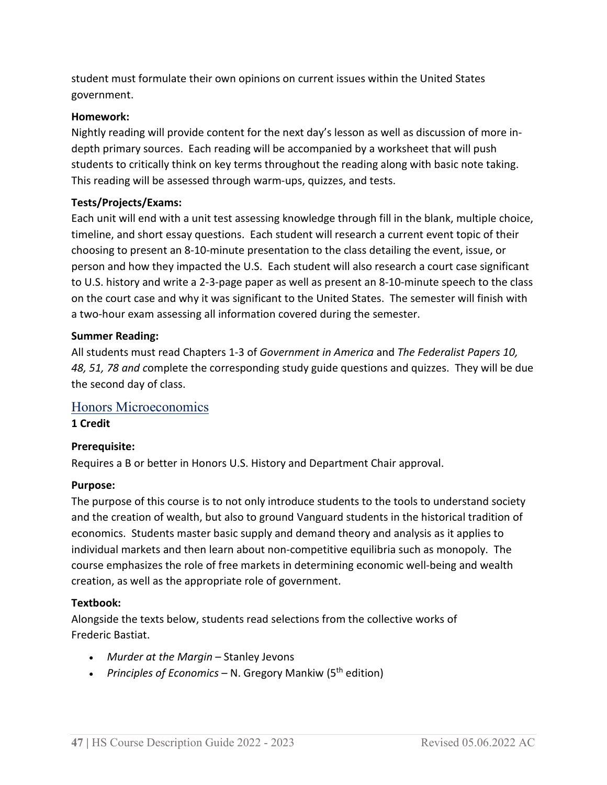student must formulate their own opinions on current issues within the United States government.

#### **Homework:**

Nightly reading will provide content for the next day's lesson as well as discussion of more indepth primary sources. Each reading will be accompanied by a worksheet that will push students to critically think on key terms throughout the reading along with basic note taking. This reading will be assessed through warm-ups, quizzes, and tests.

#### **Tests/Projects/Exams:**

Each unit will end with a unit test assessing knowledge through fill in the blank, multiple choice, timeline, and short essay questions. Each student will research a current event topic of their choosing to present an 8-10-minute presentation to the class detailing the event, issue, or person and how they impacted the U.S. Each student will also research a court case significant to U.S. history and write a 2-3-page paper as well as present an 8-10-minute speech to the class on the court case and why it was significant to the United States. The semester will finish with a two-hour exam assessing all information covered during the semester.

#### **Summer Reading:**

All students must read Chapters 1-3 of *Government in America* and *The Federalist Papers 10, 48, 51, 78 and c*omplete the corresponding study guide questions and quizzes. They will be due the second day of class.

# Honors Microeconomics

#### **1 Credit**

#### **Prerequisite:**

Requires a B or better in Honors U.S. History and Department Chair approval.

#### **Purpose:**

The purpose of this course is to not only introduce students to the tools to understand society and the creation of wealth, but also to ground Vanguard students in the historical tradition of economics. Students master basic supply and demand theory and analysis as it applies to individual markets and then learn about non-competitive equilibria such as monopoly. The course emphasizes the role of free markets in determining economic well-being and wealth creation, as well as the appropriate role of government.

#### **Textbook:**

Alongside the texts below, students read selections from the collective works of Frederic Bastiat.

- *Murder at the Margin* Stanley Jevons
- *Principles of Economics* N. Gregory Mankiw (5<sup>th</sup> edition)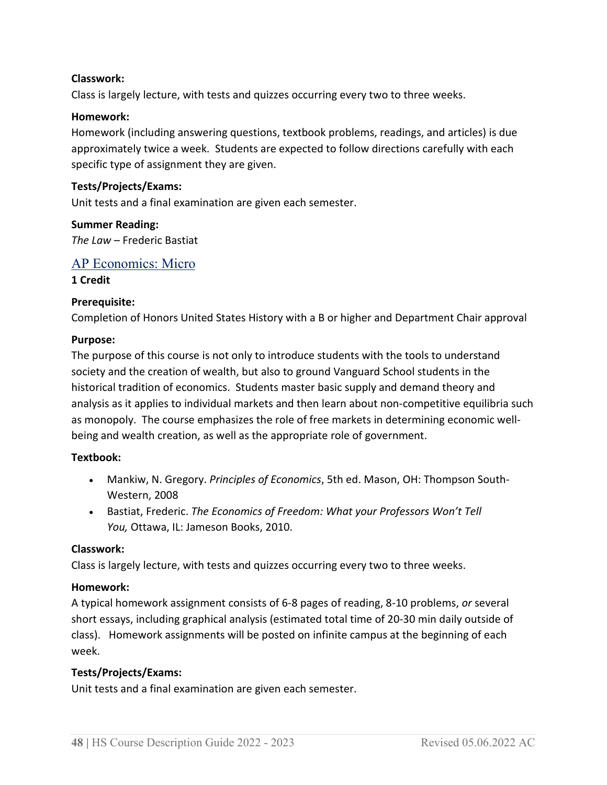#### **Classwork:**

Class is largely lecture, with tests and quizzes occurring every two to three weeks.

#### **Homework:**

Homework (including answering questions, textbook problems, readings, and articles) is due approximately twice a week. Students are expected to follow directions carefully with each specific type of assignment they are given.

#### **Tests/Projects/Exams:**

Unit tests and a final examination are given each semester.

#### **Summer Reading:** *The Law* – Frederic Bastiat

#### AP Economics: Micro

#### **1 Credit**

#### **Prerequisite:**

Completion of Honors United States History with a B or higher and Department Chair approval

#### **Purpose:**

The purpose of this course is not only to introduce students with the tools to understand society and the creation of wealth, but also to ground Vanguard School students in the historical tradition of economics. Students master basic supply and demand theory and analysis as it applies to individual markets and then learn about non-competitive equilibria such as monopoly. The course emphasizes the role of free markets in determining economic wellbeing and wealth creation, as well as the appropriate role of government.

#### **Textbook:**

- Mankiw, N. Gregory. *Principles of Economics*, 5th ed. Mason, OH: Thompson South-Western, 2008
- Bastiat, Frederic. *The Economics of Freedom: What your Professors Won't Tell You,* Ottawa, IL: Jameson Books, 2010.

#### **Classwork:**

Class is largely lecture, with tests and quizzes occurring every two to three weeks.

#### **Homework:**

A typical homework assignment consists of 6-8 pages of reading, 8-10 problems, *or* several short essays, including graphical analysis (estimated total time of 20-30 min daily outside of class). Homework assignments will be posted on infinite campus at the beginning of each week.

#### **Tests/Projects/Exams:**

Unit tests and a final examination are given each semester.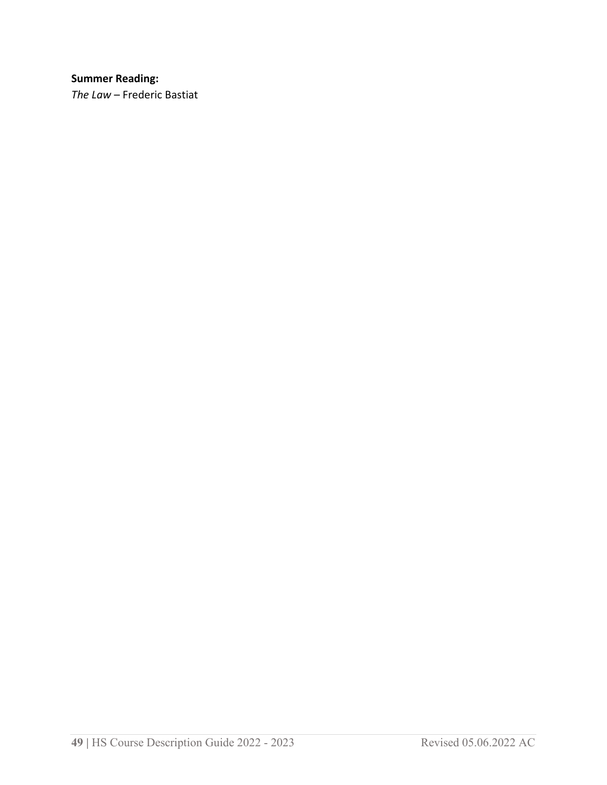# **Summer Reading:**

*The Law* – Frederic Bastiat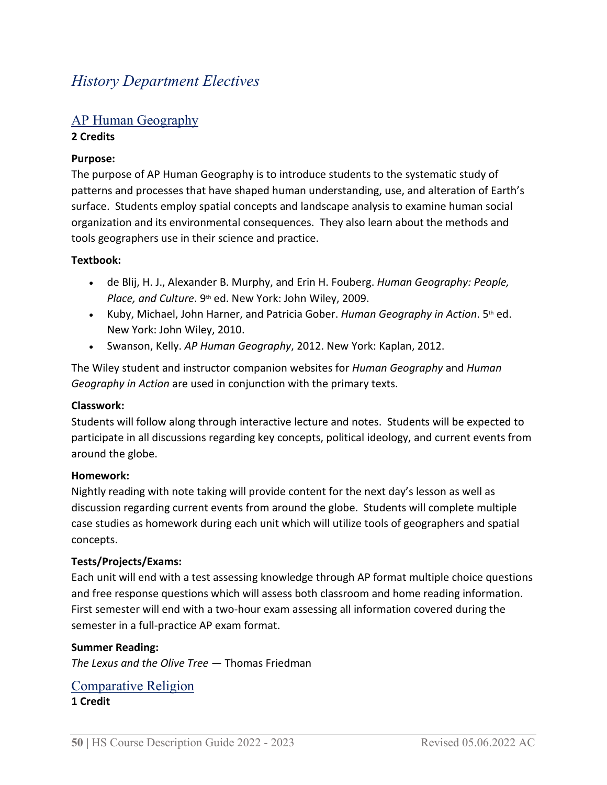# *History Department Electives*

# AP Human Geography

#### **2 Credits**

### **Purpose:**

The purpose of AP Human Geography is to introduce students to the systematic study of patterns and processes that have shaped human understanding, use, and alteration of Earth's surface. Students employ spatial concepts and landscape analysis to examine human social organization and its environmental consequences. They also learn about the methods and tools geographers use in their science and practice.

#### **Textbook:**

- de Blij, H. J., Alexander B. Murphy, and Erin H. Fouberg. *Human Geography: People, Place, and Culture*. 9th ed. New York: John Wiley, 2009.
- Kuby, Michael, John Harner, and Patricia Gober. *Human Geography in Action*. 5<sup>th</sup> ed. New York: John Wiley, 2010.
- Swanson, Kelly. *AP Human Geography*, 2012. New York: Kaplan, 2012.

The Wiley student and instructor companion websites for *Human Geography* and *Human Geography in Action* are used in conjunction with the primary texts.

#### **Classwork:**

Students will follow along through interactive lecture and notes. Students will be expected to participate in all discussions regarding key concepts, political ideology, and current events from around the globe.

#### **Homework:**

Nightly reading with note taking will provide content for the next day's lesson as well as discussion regarding current events from around the globe. Students will complete multiple case studies as homework during each unit which will utilize tools of geographers and spatial concepts.

#### **Tests/Projects/Exams:**

Each unit will end with a test assessing knowledge through AP format multiple choice questions and free response questions which will assess both classroom and home reading information. First semester will end with a two-hour exam assessing all information covered during the semester in a full-practice AP exam format.

#### **Summer Reading:**

*The Lexus and the Olive Tree* — Thomas Friedman

#### Comparative Religion **1 Credit**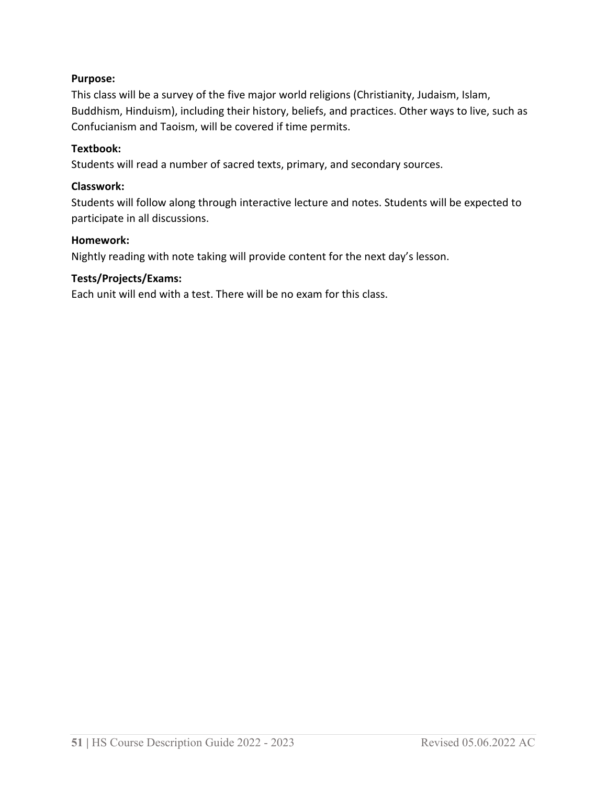# **Purpose:**

This class will be a survey of the five major world religions (Christianity, Judaism, Islam, Buddhism, Hinduism), including their history, beliefs, and practices. Other ways to live, such as Confucianism and Taoism, will be covered if time permits.

#### **Textbook:**

Students will read a number of sacred texts, primary, and secondary sources.

#### **Classwork:**

Students will follow along through interactive lecture and notes. Students will be expected to participate in all discussions.

#### **Homework:**

Nightly reading with note taking will provide content for the next day's lesson.

#### **Tests/Projects/Exams:**

Each unit will end with a test. There will be no exam for this class.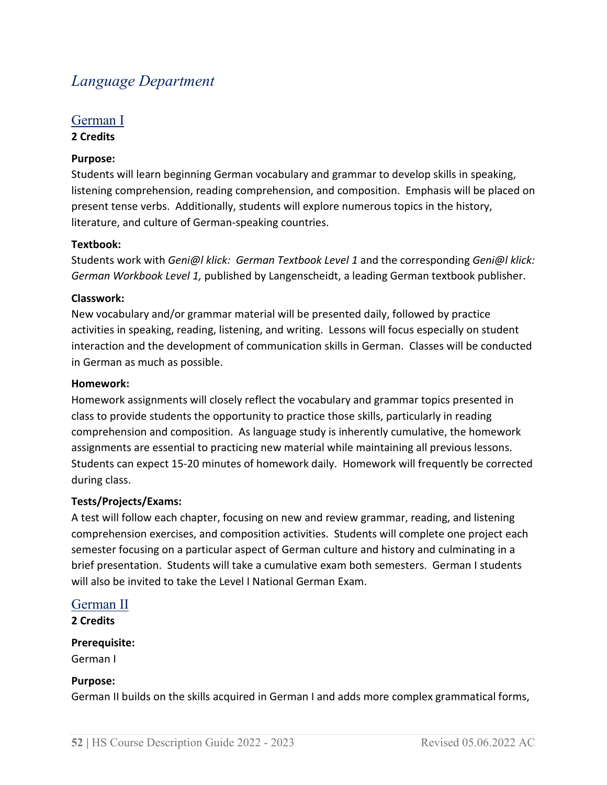# *Language Department*

#### German I **2 Credits**

# **Purpose:**

Students will learn beginning German vocabulary and grammar to develop skills in speaking, listening comprehension, reading comprehension, and composition. Emphasis will be placed on present tense verbs. Additionally, students will explore numerous topics in the history, literature, and culture of German-speaking countries.

#### **Textbook:**

Students work with *Geni@l klick: German Textbook Level 1* and the corresponding *Geni@l klick: German Workbook Level 1,* published by Langenscheidt, a leading German textbook publisher.

#### **Classwork:**

New vocabulary and/or grammar material will be presented daily, followed by practice activities in speaking, reading, listening, and writing. Lessons will focus especially on student interaction and the development of communication skills in German. Classes will be conducted in German as much as possible.

#### **Homework:**

Homework assignments will closely reflect the vocabulary and grammar topics presented in class to provide students the opportunity to practice those skills, particularly in reading comprehension and composition. As language study is inherently cumulative, the homework assignments are essential to practicing new material while maintaining all previous lessons. Students can expect 15-20 minutes of homework daily. Homework will frequently be corrected during class.

#### **Tests/Projects/Exams:**

A test will follow each chapter, focusing on new and review grammar, reading, and listening comprehension exercises, and composition activities. Students will complete one project each semester focusing on a particular aspect of German culture and history and culminating in a brief presentation. Students will take a cumulative exam both semesters. German I students will also be invited to take the Level I National German Exam.

# German II

**2 Credits**

#### **Prerequisite:**

German I

#### **Purpose:**

German II builds on the skills acquired in German I and adds more complex grammatical forms,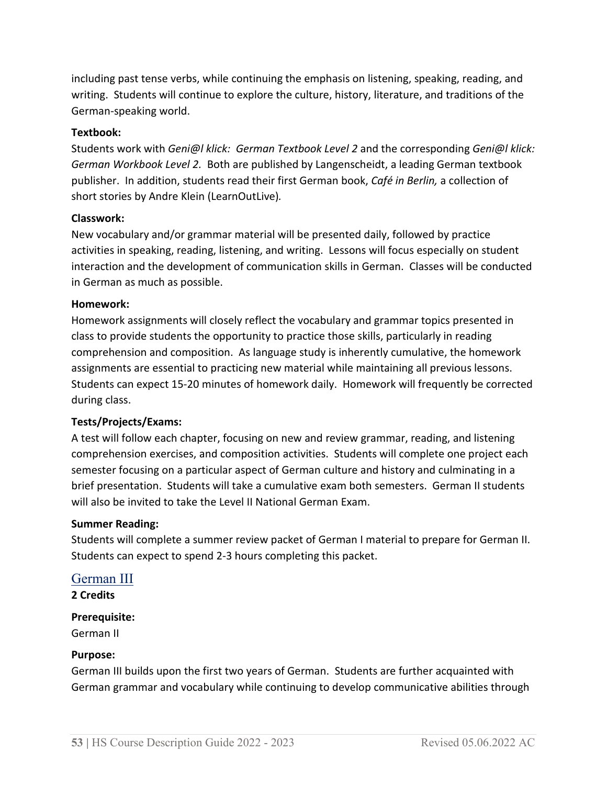including past tense verbs, while continuing the emphasis on listening, speaking, reading, and writing. Students will continue to explore the culture, history, literature, and traditions of the German-speaking world.

#### **Textbook:**

Students work with *Geni@l klick: German Textbook Level 2* and the corresponding *Geni@l klick: German Workbook Level 2.* Both are published by Langenscheidt, a leading German textbook publisher. In addition, students read their first German book, *Café in Berlin,* a collection of short stories by Andre Klein (LearnOutLive)*.*

#### **Classwork:**

New vocabulary and/or grammar material will be presented daily, followed by practice activities in speaking, reading, listening, and writing. Lessons will focus especially on student interaction and the development of communication skills in German. Classes will be conducted in German as much as possible.

#### **Homework:**

Homework assignments will closely reflect the vocabulary and grammar topics presented in class to provide students the opportunity to practice those skills, particularly in reading comprehension and composition. As language study is inherently cumulative, the homework assignments are essential to practicing new material while maintaining all previous lessons. Students can expect 15-20 minutes of homework daily. Homework will frequently be corrected during class.

#### **Tests/Projects/Exams:**

A test will follow each chapter, focusing on new and review grammar, reading, and listening comprehension exercises, and composition activities. Students will complete one project each semester focusing on a particular aspect of German culture and history and culminating in a brief presentation. Students will take a cumulative exam both semesters. German II students will also be invited to take the Level II National German Exam.

#### **Summer Reading:**

Students will complete a summer review packet of German I material to prepare for German II. Students can expect to spend 2-3 hours completing this packet.

#### German III

**2 Credits**

#### **Prerequisite:**

German II

#### **Purpose:**

German III builds upon the first two years of German. Students are further acquainted with German grammar and vocabulary while continuing to develop communicative abilities through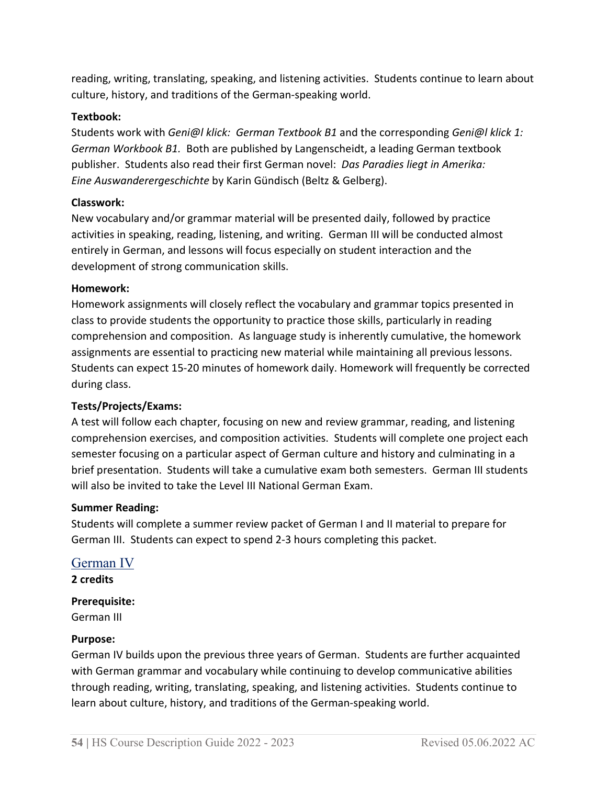reading, writing, translating, speaking, and listening activities. Students continue to learn about culture, history, and traditions of the German-speaking world.

### **Textbook:**

Students work with *Geni@l klick: German Textbook B1* and the corresponding *Geni@l klick 1: German Workbook B1.* Both are published by Langenscheidt, a leading German textbook publisher. Students also read their first German novel: *Das Paradies liegt in Amerika: Eine Auswanderergeschichte* by Karin Gündisch (Beltz & Gelberg).

# **Classwork:**

New vocabulary and/or grammar material will be presented daily, followed by practice activities in speaking, reading, listening, and writing. German III will be conducted almost entirely in German, and lessons will focus especially on student interaction and the development of strong communication skills.

# **Homework:**

Homework assignments will closely reflect the vocabulary and grammar topics presented in class to provide students the opportunity to practice those skills, particularly in reading comprehension and composition. As language study is inherently cumulative, the homework assignments are essential to practicing new material while maintaining all previous lessons. Students can expect 15-20 minutes of homework daily. Homework will frequently be corrected during class.

# **Tests/Projects/Exams:**

A test will follow each chapter, focusing on new and review grammar, reading, and listening comprehension exercises, and composition activities. Students will complete one project each semester focusing on a particular aspect of German culture and history and culminating in a brief presentation. Students will take a cumulative exam both semesters. German III students will also be invited to take the Level III National German Exam.

#### **Summer Reading:**

Students will complete a summer review packet of German I and II material to prepare for German III. Students can expect to spend 2-3 hours completing this packet.

# German IV

**2 credits**

# **Prerequisite:**

German III

#### **Purpose:**

German IV builds upon the previous three years of German. Students are further acquainted with German grammar and vocabulary while continuing to develop communicative abilities through reading, writing, translating, speaking, and listening activities. Students continue to learn about culture, history, and traditions of the German-speaking world.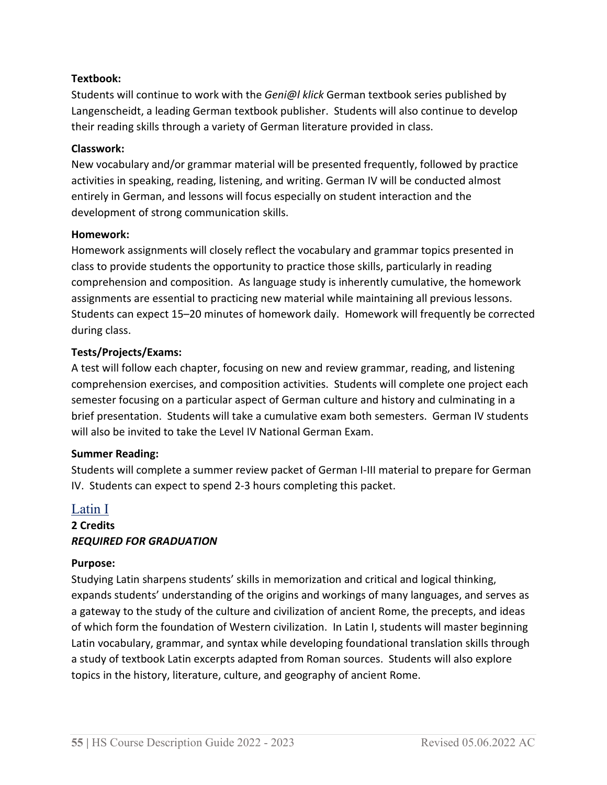#### **Textbook:**

Students will continue to work with the *Geni@l klick* German textbook series published by Langenscheidt, a leading German textbook publisher. Students will also continue to develop their reading skills through a variety of German literature provided in class.

#### **Classwork:**

New vocabulary and/or grammar material will be presented frequently, followed by practice activities in speaking, reading, listening, and writing. German IV will be conducted almost entirely in German, and lessons will focus especially on student interaction and the development of strong communication skills.

#### **Homework:**

Homework assignments will closely reflect the vocabulary and grammar topics presented in class to provide students the opportunity to practice those skills, particularly in reading comprehension and composition. As language study is inherently cumulative, the homework assignments are essential to practicing new material while maintaining all previous lessons. Students can expect 15–20 minutes of homework daily. Homework will frequently be corrected during class.

#### **Tests/Projects/Exams:**

A test will follow each chapter, focusing on new and review grammar, reading, and listening comprehension exercises, and composition activities. Students will complete one project each semester focusing on a particular aspect of German culture and history and culminating in a brief presentation. Students will take a cumulative exam both semesters. German IV students will also be invited to take the Level IV National German Exam.

#### **Summer Reading:**

Students will complete a summer review packet of German I-III material to prepare for German IV. Students can expect to spend 2-3 hours completing this packet.

# Latin I **2 Credits**

#### *REQUIRED FOR GRADUATION*

#### **Purpose:**

Studying Latin sharpens students' skills in memorization and critical and logical thinking, expands students' understanding of the origins and workings of many languages, and serves as a gateway to the study of the culture and civilization of ancient Rome, the precepts, and ideas of which form the foundation of Western civilization. In Latin I, students will master beginning Latin vocabulary, grammar, and syntax while developing foundational translation skills through a study of textbook Latin excerpts adapted from Roman sources. Students will also explore topics in the history, literature, culture, and geography of ancient Rome.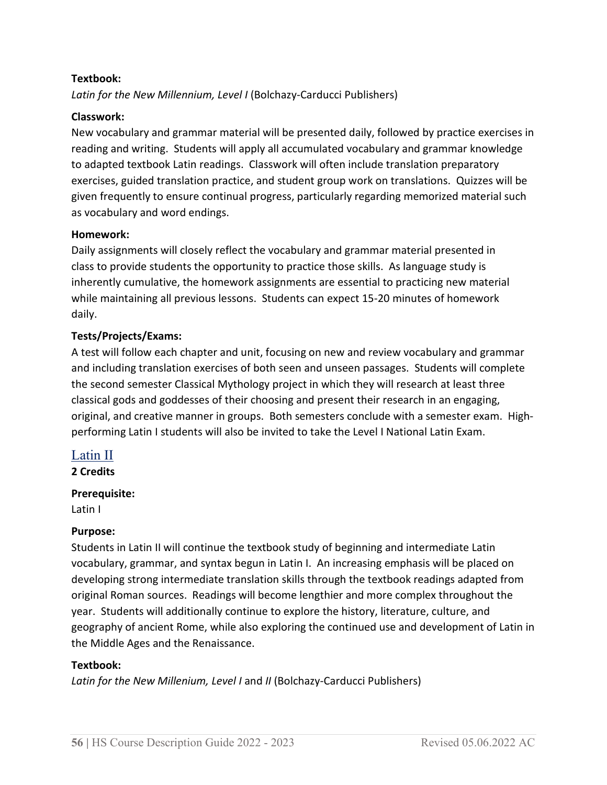#### **Textbook:**

*Latin for the New Millennium, Level I* (Bolchazy-Carducci Publishers)

#### **Classwork:**

New vocabulary and grammar material will be presented daily, followed by practice exercises in reading and writing. Students will apply all accumulated vocabulary and grammar knowledge to adapted textbook Latin readings. Classwork will often include translation preparatory exercises, guided translation practice, and student group work on translations. Quizzes will be given frequently to ensure continual progress, particularly regarding memorized material such as vocabulary and word endings.

#### **Homework:**

Daily assignments will closely reflect the vocabulary and grammar material presented in class to provide students the opportunity to practice those skills. As language study is inherently cumulative, the homework assignments are essential to practicing new material while maintaining all previous lessons. Students can expect 15-20 minutes of homework daily.

#### **Tests/Projects/Exams:**

A test will follow each chapter and unit, focusing on new and review vocabulary and grammar and including translation exercises of both seen and unseen passages. Students will complete the second semester Classical Mythology project in which they will research at least three classical gods and goddesses of their choosing and present their research in an engaging, original, and creative manner in groups. Both semesters conclude with a semester exam. Highperforming Latin I students will also be invited to take the Level I National Latin Exam.

# Latin II

**2 Credits**

#### **Prerequisite:**

Latin I

#### **Purpose:**

Students in Latin II will continue the textbook study of beginning and intermediate Latin vocabulary, grammar, and syntax begun in Latin I. An increasing emphasis will be placed on developing strong intermediate translation skills through the textbook readings adapted from original Roman sources. Readings will become lengthier and more complex throughout the year. Students will additionally continue to explore the history, literature, culture, and geography of ancient Rome, while also exploring the continued use and development of Latin in the Middle Ages and the Renaissance.

#### **Textbook:**

*Latin for the New Millenium, Level I* and *II* (Bolchazy-Carducci Publishers)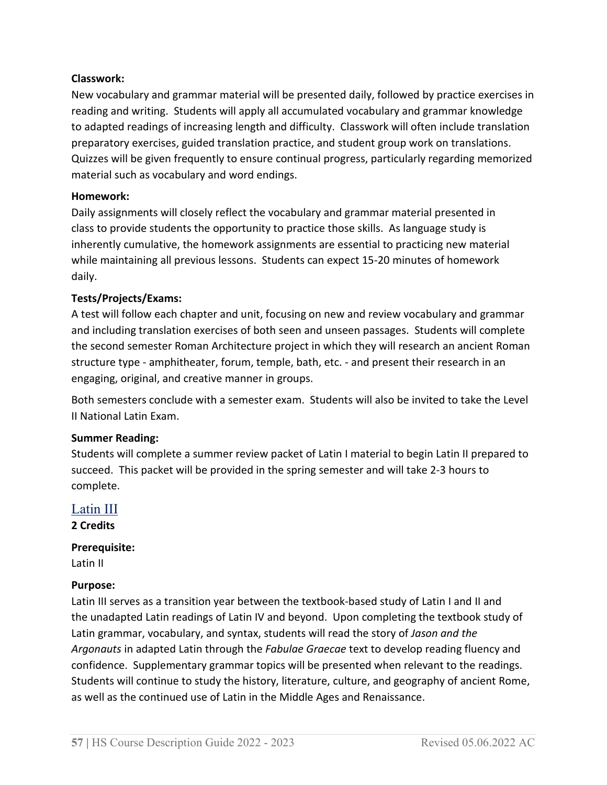#### **Classwork:**

New vocabulary and grammar material will be presented daily, followed by practice exercises in reading and writing. Students will apply all accumulated vocabulary and grammar knowledge to adapted readings of increasing length and difficulty. Classwork will often include translation preparatory exercises, guided translation practice, and student group work on translations. Quizzes will be given frequently to ensure continual progress, particularly regarding memorized material such as vocabulary and word endings.

#### **Homework:**

Daily assignments will closely reflect the vocabulary and grammar material presented in class to provide students the opportunity to practice those skills. As language study is inherently cumulative, the homework assignments are essential to practicing new material while maintaining all previous lessons. Students can expect 15-20 minutes of homework daily.

#### **Tests/Projects/Exams:**

A test will follow each chapter and unit, focusing on new and review vocabulary and grammar and including translation exercises of both seen and unseen passages. Students will complete the second semester Roman Architecture project in which they will research an ancient Roman structure type - amphitheater, forum, temple, bath, etc. - and present their research in an engaging, original, and creative manner in groups.

Both semesters conclude with a semester exam. Students will also be invited to take the Level II National Latin Exam.

#### **Summer Reading:**

Students will complete a summer review packet of Latin I material to begin Latin II prepared to succeed. This packet will be provided in the spring semester and will take 2-3 hours to complete.

# Latin III **2 Credits**

#### **Prerequisite:**

Latin II

#### **Purpose:**

Latin III serves as a transition year between the textbook-based study of Latin I and II and the unadapted Latin readings of Latin IV and beyond. Upon completing the textbook study of Latin grammar, vocabulary, and syntax, students will read the story of *Jason and the Argonauts* in adapted Latin through the *Fabulae Graecae* text to develop reading fluency and confidence. Supplementary grammar topics will be presented when relevant to the readings. Students will continue to study the history, literature, culture, and geography of ancient Rome, as well as the continued use of Latin in the Middle Ages and Renaissance.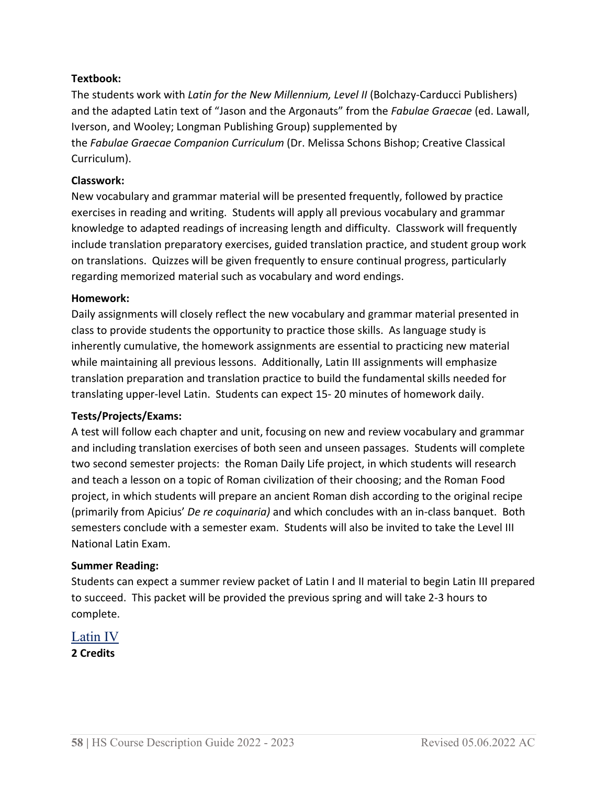### **Textbook:**

The students work with *Latin for the New Millennium, Level II* (Bolchazy-Carducci Publishers) and the adapted Latin text of "Jason and the Argonauts" from the *Fabulae Graecae* (ed. Lawall, Iverson, and Wooley; Longman Publishing Group) supplemented by the *Fabulae Graecae Companion Curriculum* (Dr. Melissa Schons Bishop; Creative Classical Curriculum).

#### **Classwork:**

New vocabulary and grammar material will be presented frequently, followed by practice exercises in reading and writing. Students will apply all previous vocabulary and grammar knowledge to adapted readings of increasing length and difficulty. Classwork will frequently include translation preparatory exercises, guided translation practice, and student group work on translations. Quizzes will be given frequently to ensure continual progress, particularly regarding memorized material such as vocabulary and word endings.

#### **Homework:**

Daily assignments will closely reflect the new vocabulary and grammar material presented in class to provide students the opportunity to practice those skills. As language study is inherently cumulative, the homework assignments are essential to practicing new material while maintaining all previous lessons. Additionally, Latin III assignments will emphasize translation preparation and translation practice to build the fundamental skills needed for translating upper-level Latin. Students can expect 15- 20 minutes of homework daily.

#### **Tests/Projects/Exams:**

A test will follow each chapter and unit, focusing on new and review vocabulary and grammar and including translation exercises of both seen and unseen passages. Students will complete two second semester projects: the Roman Daily Life project, in which students will research and teach a lesson on a topic of Roman civilization of their choosing; and the Roman Food project, in which students will prepare an ancient Roman dish according to the original recipe (primarily from Apicius' *De re coquinaria)* and which concludes with an in-class banquet.Both semesters conclude with a semester exam. Students will also be invited to take the Level III National Latin Exam.

#### **Summer Reading:**

Students can expect a summer review packet of Latin I and II material to begin Latin III prepared to succeed. This packet will be provided the previous spring and will take 2-3 hours to complete.

Latin IV **2 Credits**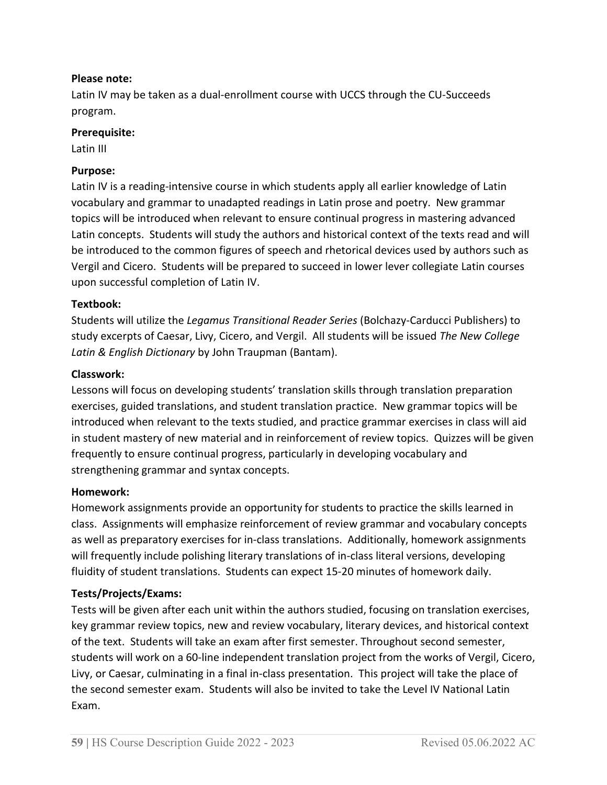#### **Please note:**

Latin IV may be taken as a dual-enrollment course with UCCS through the CU-Succeeds program.

#### **Prerequisite:**

Latin III

#### **Purpose:**

Latin IV is a reading-intensive course in which students apply all earlier knowledge of Latin vocabulary and grammar to unadapted readings in Latin prose and poetry. New grammar topics will be introduced when relevant to ensure continual progress in mastering advanced Latin concepts. Students will study the authors and historical context of the texts read and will be introduced to the common figures of speech and rhetorical devices used by authors such as Vergil and Cicero. Students will be prepared to succeed in lower lever collegiate Latin courses upon successful completion of Latin IV.

#### **Textbook:**

Students will utilize the *Legamus Transitional Reader Series* (Bolchazy-Carducci Publishers) to study excerpts of Caesar, Livy, Cicero, and Vergil. All students will be issued *The New College Latin & English Dictionary* by John Traupman (Bantam).

#### **Classwork:**

Lessons will focus on developing students' translation skills through translation preparation exercises, guided translations, and student translation practice. New grammar topics will be introduced when relevant to the texts studied, and practice grammar exercises in class will aid in student mastery of new material and in reinforcement of review topics. Quizzes will be given frequently to ensure continual progress, particularly in developing vocabulary and strengthening grammar and syntax concepts.

#### **Homework:**

Homework assignments provide an opportunity for students to practice the skills learned in class. Assignments will emphasize reinforcement of review grammar and vocabulary concepts as well as preparatory exercises for in-class translations. Additionally, homework assignments will frequently include polishing literary translations of in-class literal versions, developing fluidity of student translations. Students can expect 15-20 minutes of homework daily.

#### **Tests/Projects/Exams:**

Tests will be given after each unit within the authors studied, focusing on translation exercises, key grammar review topics, new and review vocabulary, literary devices, and historical context of the text. Students will take an exam after first semester. Throughout second semester, students will work on a 60-line independent translation project from the works of Vergil, Cicero, Livy, or Caesar, culminating in a final in-class presentation. This project will take the place of the second semester exam. Students will also be invited to take the Level IV National Latin Exam.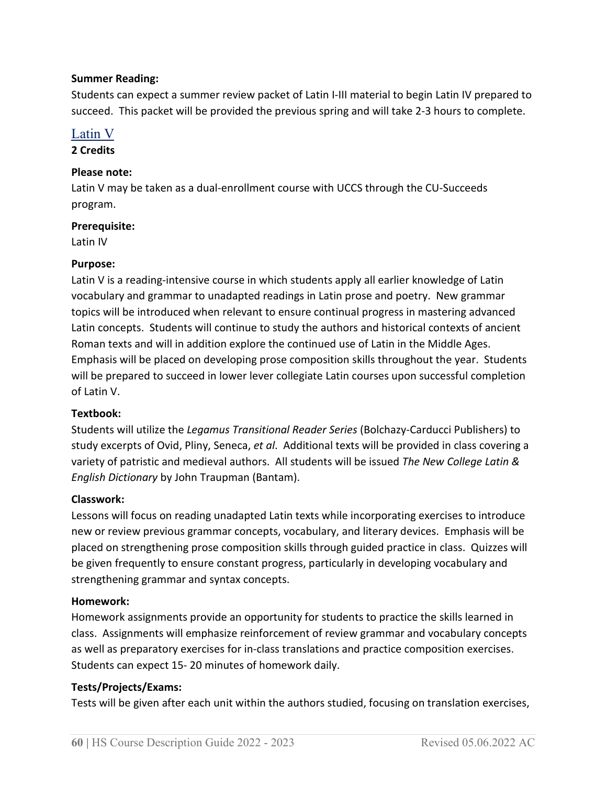#### **Summer Reading:**

Students can expect a summer review packet of Latin I-III material to begin Latin IV prepared to succeed. This packet will be provided the previous spring and will take 2-3 hours to complete.

# Latin V

#### **2 Credits**

#### **Please note:**

Latin V may be taken as a dual-enrollment course with UCCS through the CU-Succeeds program.

#### **Prerequisite:**

Latin IV

#### **Purpose:**

Latin V is a reading-intensive course in which students apply all earlier knowledge of Latin vocabulary and grammar to unadapted readings in Latin prose and poetry. New grammar topics will be introduced when relevant to ensure continual progress in mastering advanced Latin concepts. Students will continue to study the authors and historical contexts of ancient Roman texts and will in addition explore the continued use of Latin in the Middle Ages. Emphasis will be placed on developing prose composition skills throughout the year. Students will be prepared to succeed in lower lever collegiate Latin courses upon successful completion of Latin V.

#### **Textbook:**

Students will utilize the *Legamus Transitional Reader Series* (Bolchazy-Carducci Publishers) to study excerpts of Ovid, Pliny, Seneca, *et al*. Additional texts will be provided in class covering a variety of patristic and medieval authors. All students will be issued *The New College Latin & English Dictionary* by John Traupman (Bantam).

#### **Classwork:**

Lessons will focus on reading unadapted Latin texts while incorporating exercises to introduce new or review previous grammar concepts, vocabulary, and literary devices. Emphasis will be placed on strengthening prose composition skills through guided practice in class. Quizzes will be given frequently to ensure constant progress, particularly in developing vocabulary and strengthening grammar and syntax concepts.

#### **Homework:**

Homework assignments provide an opportunity for students to practice the skills learned in class. Assignments will emphasize reinforcement of review grammar and vocabulary concepts as well as preparatory exercises for in-class translations and practice composition exercises. Students can expect 15- 20 minutes of homework daily.

#### **Tests/Projects/Exams:**

Tests will be given after each unit within the authors studied, focusing on translation exercises,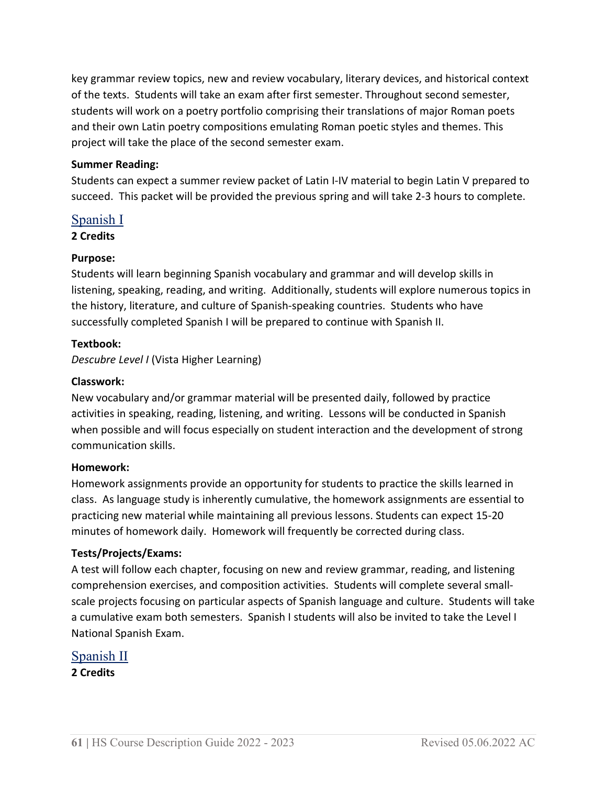key grammar review topics, new and review vocabulary, literary devices, and historical context of the texts. Students will take an exam after first semester. Throughout second semester, students will work on a poetry portfolio comprising their translations of major Roman poets and their own Latin poetry compositions emulating Roman poetic styles and themes. This project will take the place of the second semester exam.

#### **Summer Reading:**

Students can expect a summer review packet of Latin I-IV material to begin Latin V prepared to succeed. This packet will be provided the previous spring and will take 2-3 hours to complete.

#### Spanish I

#### **2 Credits**

#### **Purpose:**

Students will learn beginning Spanish vocabulary and grammar and will develop skills in listening, speaking, reading, and writing. Additionally, students will explore numerous topics in the history, literature, and culture of Spanish-speaking countries. Students who have successfully completed Spanish I will be prepared to continue with Spanish II.

#### **Textbook:**

*Descubre Level I* (Vista Higher Learning)

#### **Classwork:**

New vocabulary and/or grammar material will be presented daily, followed by practice activities in speaking, reading, listening, and writing. Lessons will be conducted in Spanish when possible and will focus especially on student interaction and the development of strong communication skills.

#### **Homework:**

Homework assignments provide an opportunity for students to practice the skills learned in class. As language study is inherently cumulative, the homework assignments are essential to practicing new material while maintaining all previous lessons. Students can expect 15-20 minutes of homework daily. Homework will frequently be corrected during class.

#### **Tests/Projects/Exams:**

A test will follow each chapter, focusing on new and review grammar, reading, and listening comprehension exercises, and composition activities. Students will complete several smallscale projects focusing on particular aspects of Spanish language and culture. Students will take a cumulative exam both semesters. Spanish I students will also be invited to take the Level I National Spanish Exam.

# Spanish II **2 Credits**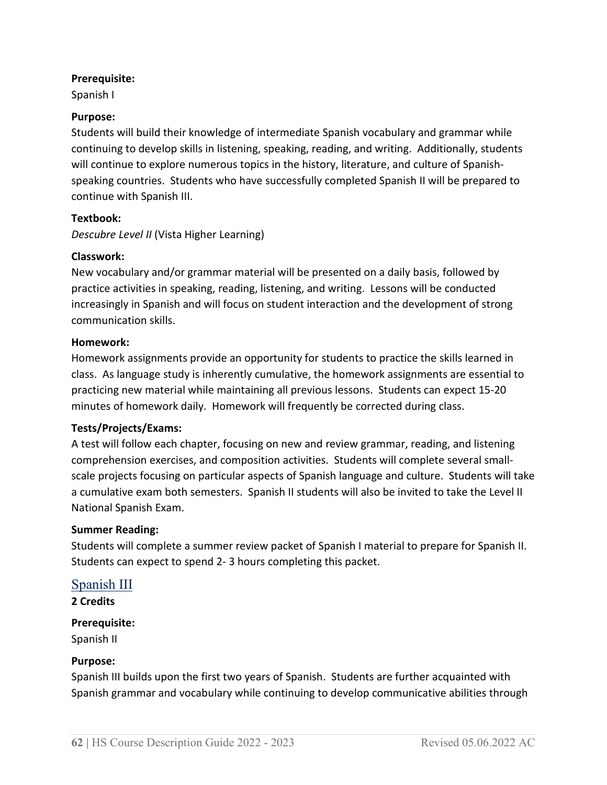#### **Prerequisite:**

Spanish I

#### **Purpose:**

Students will build their knowledge of intermediate Spanish vocabulary and grammar while continuing to develop skills in listening, speaking, reading, and writing. Additionally, students will continue to explore numerous topics in the history, literature, and culture of Spanishspeaking countries. Students who have successfully completed Spanish II will be prepared to continue with Spanish III.

#### **Textbook:**

*Descubre Level II* (Vista Higher Learning)

#### **Classwork:**

New vocabulary and/or grammar material will be presented on a daily basis, followed by practice activities in speaking, reading, listening, and writing. Lessons will be conducted increasingly in Spanish and will focus on student interaction and the development of strong communication skills.

#### **Homework:**

Homework assignments provide an opportunity for students to practice the skills learned in class. As language study is inherently cumulative, the homework assignments are essential to practicing new material while maintaining all previous lessons. Students can expect 15-20 minutes of homework daily. Homework will frequently be corrected during class.

#### **Tests/Projects/Exams:**

A test will follow each chapter, focusing on new and review grammar, reading, and listening comprehension exercises, and composition activities. Students will complete several smallscale projects focusing on particular aspects of Spanish language and culture. Students will take a cumulative exam both semesters. Spanish II students will also be invited to take the Level II National Spanish Exam.

#### **Summer Reading:**

Students will complete a summer review packet of Spanish I material to prepare for Spanish II. Students can expect to spend 2- 3 hours completing this packet.

# Spanish III

**2 Credits**

#### **Prerequisite:**

Spanish II

#### **Purpose:**

Spanish III builds upon the first two years of Spanish. Students are further acquainted with Spanish grammar and vocabulary while continuing to develop communicative abilities through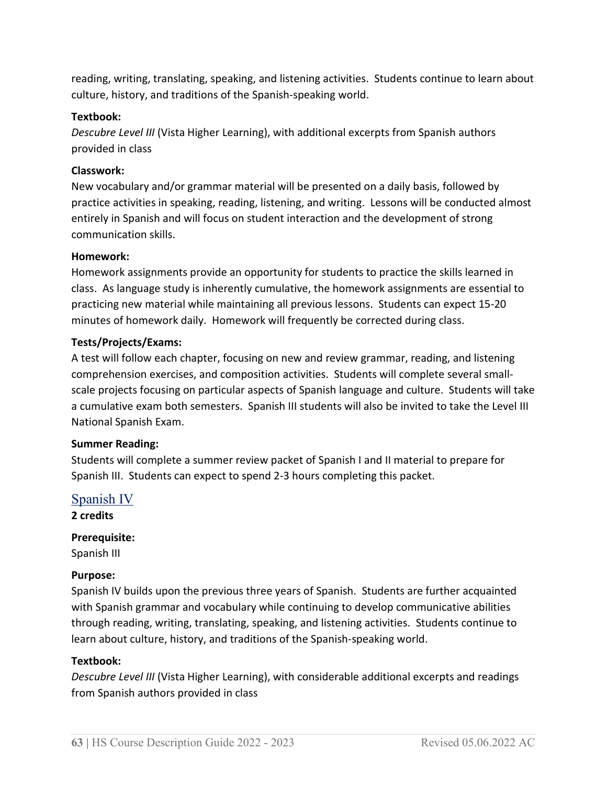reading, writing, translating, speaking, and listening activities. Students continue to learn about culture, history, and traditions of the Spanish-speaking world.

#### **Textbook:**

*Descubre Level III* (Vista Higher Learning), with additional excerpts from Spanish authors provided in class

#### **Classwork:**

New vocabulary and/or grammar material will be presented on a daily basis, followed by practice activities in speaking, reading, listening, and writing. Lessons will be conducted almost entirely in Spanish and will focus on student interaction and the development of strong communication skills.

#### **Homework:**

Homework assignments provide an opportunity for students to practice the skills learned in class. As language study is inherently cumulative, the homework assignments are essential to practicing new material while maintaining all previous lessons. Students can expect 15-20 minutes of homework daily. Homework will frequently be corrected during class.

#### **Tests/Projects/Exams:**

A test will follow each chapter, focusing on new and review grammar, reading, and listening comprehension exercises, and composition activities. Students will complete several smallscale projects focusing on particular aspects of Spanish language and culture. Students will take a cumulative exam both semesters. Spanish III students will also be invited to take the Level III National Spanish Exam.

#### **Summer Reading:**

Students will complete a summer review packet of Spanish I and II material to prepare for Spanish III. Students can expect to spend 2-3 hours completing this packet.

#### Spanish IV

**2 credits**

# **Prerequisite:**  Spanish III

#### **Purpose:**

Spanish IV builds upon the previous three years of Spanish. Students are further acquainted with Spanish grammar and vocabulary while continuing to develop communicative abilities through reading, writing, translating, speaking, and listening activities. Students continue to learn about culture, history, and traditions of the Spanish-speaking world.

#### **Textbook:**

*Descubre Level III* (Vista Higher Learning), with considerable additional excerpts and readings from Spanish authors provided in class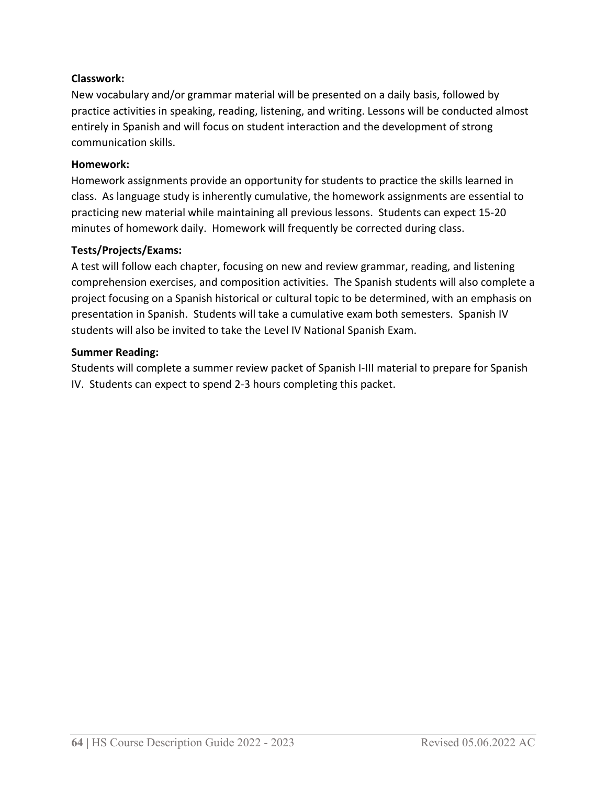# **Classwork:**

New vocabulary and/or grammar material will be presented on a daily basis, followed by practice activities in speaking, reading, listening, and writing. Lessons will be conducted almost entirely in Spanish and will focus on student interaction and the development of strong communication skills.

#### **Homework:**

Homework assignments provide an opportunity for students to practice the skills learned in class. As language study is inherently cumulative, the homework assignments are essential to practicing new material while maintaining all previous lessons. Students can expect 15-20 minutes of homework daily. Homework will frequently be corrected during class.

#### **Tests/Projects/Exams:**

A test will follow each chapter, focusing on new and review grammar, reading, and listening comprehension exercises, and composition activities. The Spanish students will also complete a project focusing on a Spanish historical or cultural topic to be determined, with an emphasis on presentation in Spanish. Students will take a cumulative exam both semesters. Spanish IV students will also be invited to take the Level IV National Spanish Exam.

#### **Summer Reading:**

Students will complete a summer review packet of Spanish I-III material to prepare for Spanish IV. Students can expect to spend 2-3 hours completing this packet.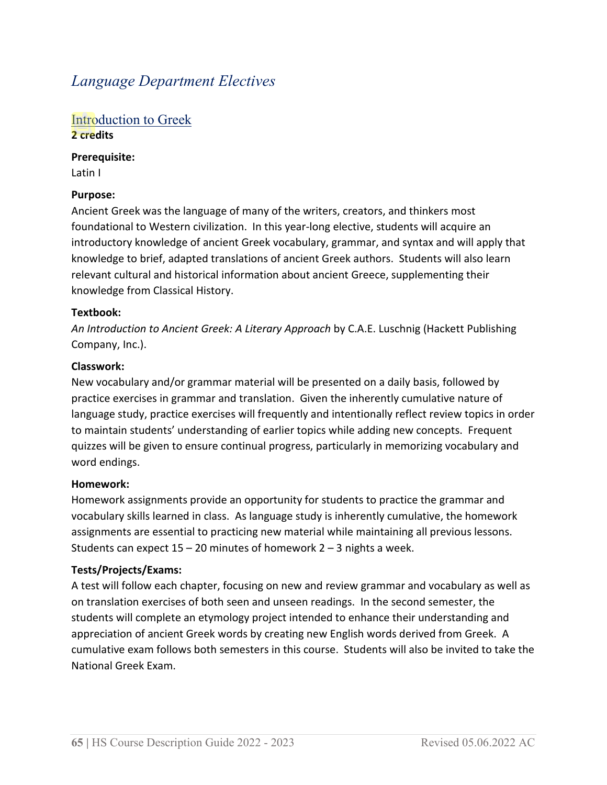# *Language Department Electives*

### Introduction to Greek **2 credits**

**Prerequisite:**

Latin I

# **Purpose:**

Ancient Greek was the language of many of the writers, creators, and thinkers most foundational to Western civilization. In this year-long elective, students will acquire an introductory knowledge of ancient Greek vocabulary, grammar, and syntax and will apply that knowledge to brief, adapted translations of ancient Greek authors. Students will also learn relevant cultural and historical information about ancient Greece, supplementing their knowledge from Classical History.

#### **Textbook:**

*An Introduction to Ancient Greek: A Literary Approach* by C.A.E. Luschnig (Hackett Publishing Company, Inc.).

# **Classwork:**

New vocabulary and/or grammar material will be presented on a daily basis, followed by practice exercises in grammar and translation. Given the inherently cumulative nature of language study, practice exercises will frequently and intentionally reflect review topics in order to maintain students' understanding of earlier topics while adding new concepts. Frequent quizzes will be given to ensure continual progress, particularly in memorizing vocabulary and word endings.

#### **Homework:**

Homework assignments provide an opportunity for students to practice the grammar and vocabulary skills learned in class. As language study is inherently cumulative, the homework assignments are essential to practicing new material while maintaining all previous lessons. Students can expect  $15 - 20$  minutes of homework  $2 - 3$  nights a week.

# **Tests/Projects/Exams:**

A test will follow each chapter, focusing on new and review grammar and vocabulary as well as on translation exercises of both seen and unseen readings. In the second semester, the students will complete an etymology project intended to enhance their understanding and appreciation of ancient Greek words by creating new English words derived from Greek. A cumulative exam follows both semesters in this course. Students will also be invited to take the National Greek Exam.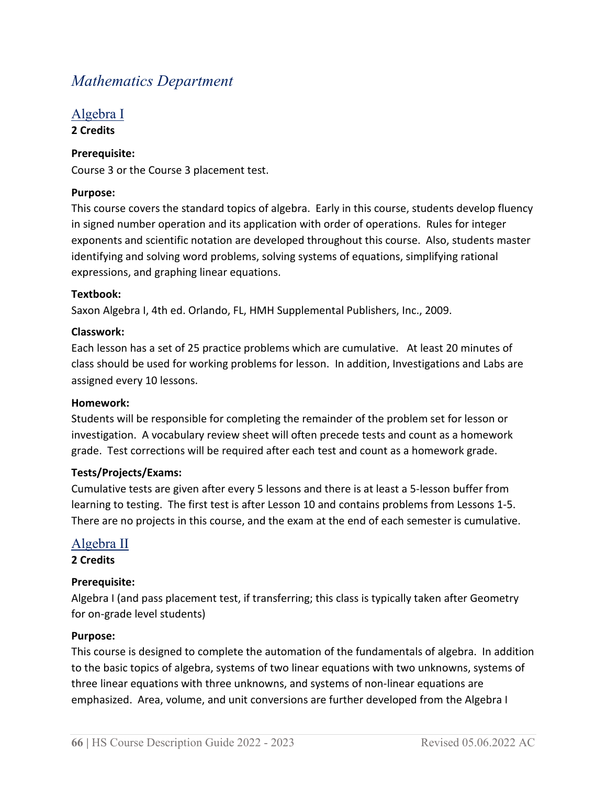# *Mathematics Department*

#### Algebra I **2 Credits**

# **Prerequisite:**

Course 3 or the Course 3 placement test.

# **Purpose:**

This course covers the standard topics of algebra. Early in this course, students develop fluency in signed number operation and its application with order of operations. Rules for integer exponents and scientific notation are developed throughout this course. Also, students master identifying and solving word problems, solving systems of equations, simplifying rational expressions, and graphing linear equations.

# **Textbook:**

Saxon Algebra I, 4th ed. Orlando, FL, HMH Supplemental Publishers, Inc., 2009.

#### **Classwork:**

Each lesson has a set of 25 practice problems which are cumulative. At least 20 minutes of class should be used for working problems for lesson. In addition, Investigations and Labs are assigned every 10 lessons.

#### **Homework:**

Students will be responsible for completing the remainder of the problem set for lesson or investigation. A vocabulary review sheet will often precede tests and count as a homework grade. Test corrections will be required after each test and count as a homework grade.

#### **Tests/Projects/Exams:**

Cumulative tests are given after every 5 lessons and there is at least a 5-lesson buffer from learning to testing. The first test is after Lesson 10 and contains problems from Lessons 1-5. There are no projects in this course, and the exam at the end of each semester is cumulative.

# Algebra II

#### **2 Credits**

#### **Prerequisite:**

Algebra I (and pass placement test, if transferring; this class is typically taken after Geometry for on-grade level students)

#### **Purpose:**

This course is designed to complete the automation of the fundamentals of algebra. In addition to the basic topics of algebra, systems of two linear equations with two unknowns, systems of three linear equations with three unknowns, and systems of non-linear equations are emphasized. Area, volume, and unit conversions are further developed from the Algebra I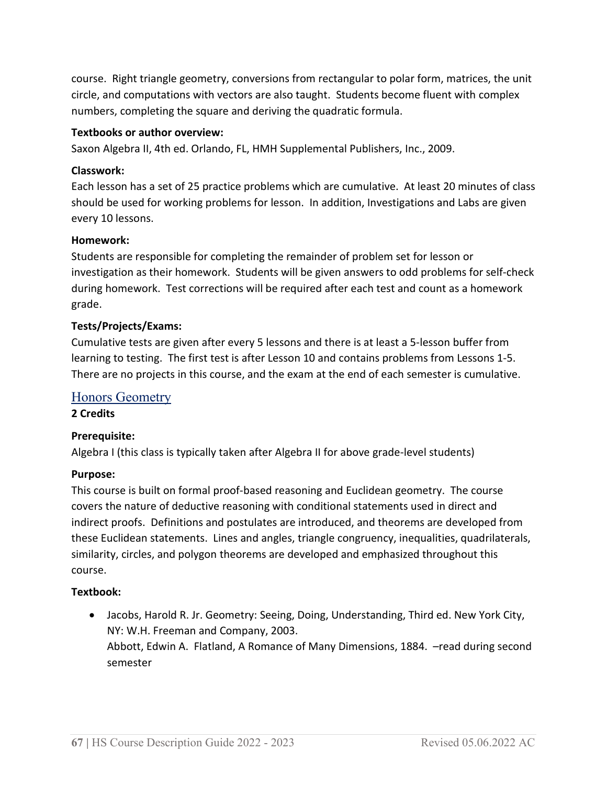course. Right triangle geometry, conversions from rectangular to polar form, matrices, the unit circle, and computations with vectors are also taught. Students become fluent with complex numbers, completing the square and deriving the quadratic formula.

#### **Textbooks or author overview:**

Saxon Algebra II, 4th ed. Orlando, FL, HMH Supplemental Publishers, Inc., 2009.

#### **Classwork:**

Each lesson has a set of 25 practice problems which are cumulative. At least 20 minutes of class should be used for working problems for lesson. In addition, Investigations and Labs are given every 10 lessons.

#### **Homework:**

Students are responsible for completing the remainder of problem set for lesson or investigation as their homework. Students will be given answers to odd problems for self-check during homework. Test corrections will be required after each test and count as a homework grade.

#### **Tests/Projects/Exams:**

Cumulative tests are given after every 5 lessons and there is at least a 5-lesson buffer from learning to testing. The first test is after Lesson 10 and contains problems from Lessons 1-5. There are no projects in this course, and the exam at the end of each semester is cumulative.

### Honors Geometry

#### **2 Credits**

#### **Prerequisite:**

Algebra I (this class is typically taken after Algebra II for above grade-level students)

#### **Purpose:**

This course is built on formal proof-based reasoning and Euclidean geometry. The course covers the nature of deductive reasoning with conditional statements used in direct and indirect proofs. Definitions and postulates are introduced, and theorems are developed from these Euclidean statements. Lines and angles, triangle congruency, inequalities, quadrilaterals, similarity, circles, and polygon theorems are developed and emphasized throughout this course.

#### **Textbook:**

• Jacobs, Harold R. Jr. Geometry: Seeing, Doing, Understanding, Third ed. New York City, NY: W.H. Freeman and Company, 2003. Abbott, Edwin A. Flatland, A Romance of Many Dimensions, 1884. –read during second semester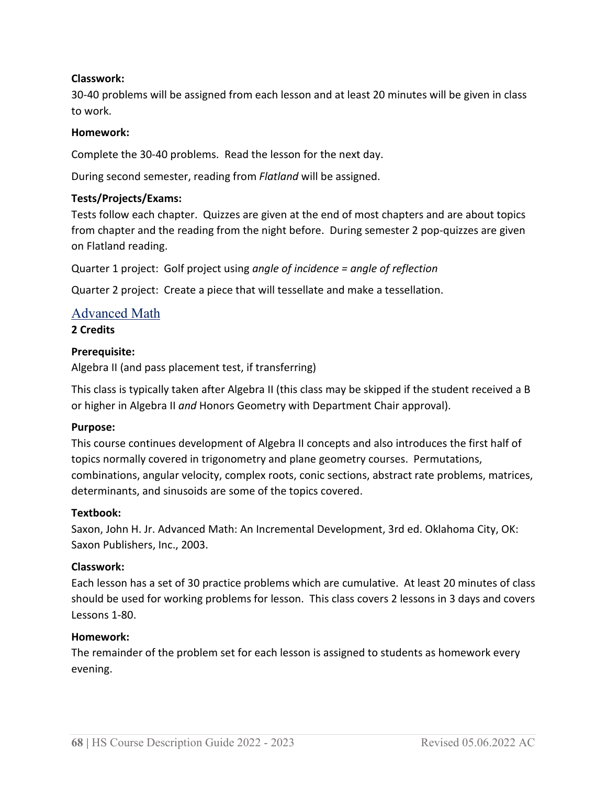### **Classwork:**

30-40 problems will be assigned from each lesson and at least 20 minutes will be given in class to work.

#### **Homework:**

Complete the 30-40 problems. Read the lesson for the next day.

During second semester, reading from *Flatland* will be assigned.

#### **Tests/Projects/Exams:**

Tests follow each chapter. Quizzes are given at the end of most chapters and are about topics from chapter and the reading from the night before. During semester 2 pop-quizzes are given on Flatland reading.

Quarter 1 project: Golf project using *angle of incidence = angle of reflection*

Quarter 2 project: Create a piece that will tessellate and make a tessellation.

# Advanced Math

#### **2 Credits**

#### **Prerequisite:**

Algebra II (and pass placement test, if transferring)

This class is typically taken after Algebra II (this class may be skipped if the student received a B or higher in Algebra II *and* Honors Geometry with Department Chair approval).

#### **Purpose:**

This course continues development of Algebra II concepts and also introduces the first half of topics normally covered in trigonometry and plane geometry courses. Permutations, combinations, angular velocity, complex roots, conic sections, abstract rate problems, matrices, determinants, and sinusoids are some of the topics covered.

#### **Textbook:**

Saxon, John H. Jr. Advanced Math: An Incremental Development, 3rd ed. Oklahoma City, OK: Saxon Publishers, Inc., 2003.

#### **Classwork:**

Each lesson has a set of 30 practice problems which are cumulative. At least 20 minutes of class should be used for working problems for lesson. This class covers 2 lessons in 3 days and covers Lessons 1-80.

#### **Homework:**

The remainder of the problem set for each lesson is assigned to students as homework every evening.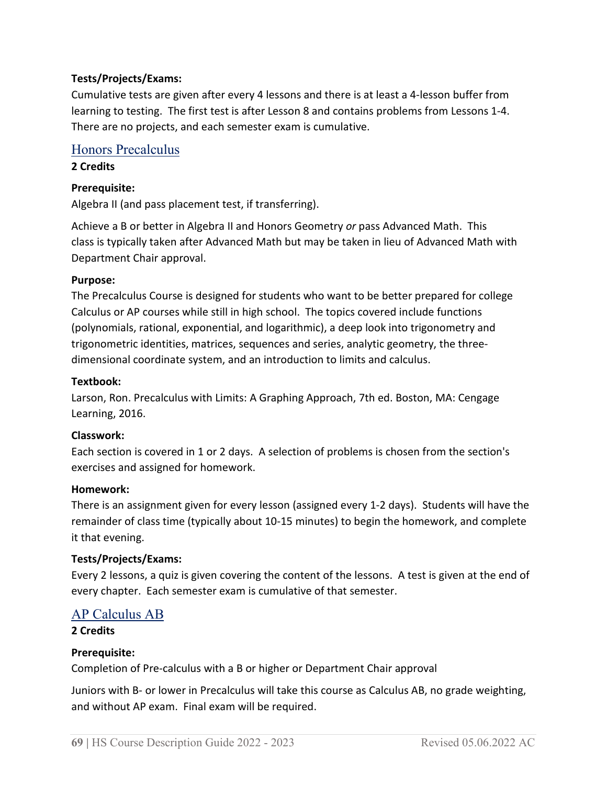# **Tests/Projects/Exams:**

Cumulative tests are given after every 4 lessons and there is at least a 4-lesson buffer from learning to testing. The first test is after Lesson 8 and contains problems from Lessons 1-4. There are no projects, and each semester exam is cumulative.

# Honors Precalculus

#### **2 Credits**

### **Prerequisite:**

Algebra II (and pass placement test, if transferring).

Achieve a B or better in Algebra II and Honors Geometry *or* pass Advanced Math. This class is typically taken after Advanced Math but may be taken in lieu of Advanced Math with Department Chair approval.

#### **Purpose:**

The Precalculus Course is designed for students who want to be better prepared for college Calculus or AP courses while still in high school. The topics covered include functions (polynomials, rational, exponential, and logarithmic), a deep look into trigonometry and trigonometric identities, matrices, sequences and series, analytic geometry, the threedimensional coordinate system, and an introduction to limits and calculus.

#### **Textbook:**

Larson, Ron. Precalculus with Limits: A Graphing Approach, 7th ed. Boston, MA: Cengage Learning, 2016.

#### **Classwork:**

Each section is covered in 1 or 2 days. A selection of problems is chosen from the section's exercises and assigned for homework.

#### **Homework:**

There is an assignment given for every lesson (assigned every 1-2 days). Students will have the remainder of class time (typically about 10-15 minutes) to begin the homework, and complete it that evening.

#### **Tests/Projects/Exams:**

Every 2 lessons, a quiz is given covering the content of the lessons. A test is given at the end of every chapter. Each semester exam is cumulative of that semester.

# AP Calculus AB

#### **2 Credits**

#### **Prerequisite:**

Completion of Pre-calculus with a B or higher or Department Chair approval

Juniors with B- or lower in Precalculus will take this course as Calculus AB, no grade weighting, and without AP exam. Final exam will be required.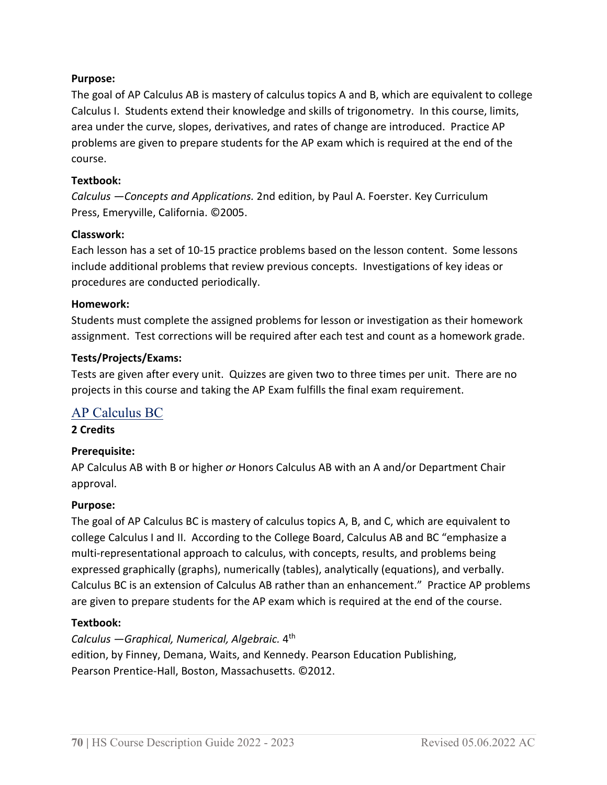#### **Purpose:**

The goal of AP Calculus AB is mastery of calculus topics A and B, which are equivalent to college Calculus I. Students extend their knowledge and skills of trigonometry. In this course, limits, area under the curve, slopes, derivatives, and rates of change are introduced. Practice AP problems are given to prepare students for the AP exam which is required at the end of the course.

#### **Textbook:**

*Calculus —Concepts and Applications.* 2nd edition, by Paul A. Foerster. Key Curriculum Press, Emeryville, California. ©2005.

# **Classwork:**

Each lesson has a set of 10-15 practice problems based on the lesson content. Some lessons include additional problems that review previous concepts. Investigations of key ideas or procedures are conducted periodically.

#### **Homework:**

Students must complete the assigned problems for lesson or investigation as their homework assignment. Test corrections will be required after each test and count as a homework grade.

# **Tests/Projects/Exams:**

Tests are given after every unit. Quizzes are given two to three times per unit. There are no projects in this course and taking the AP Exam fulfills the final exam requirement.

# AP Calculus BC

**2 Credits**

# **Prerequisite:**

AP Calculus AB with B or higher *or* Honors Calculus AB with an A and/or Department Chair approval.

#### **Purpose:**

The goal of AP Calculus BC is mastery of calculus topics A, B, and C, which are equivalent to college Calculus I and II. According to the College Board, Calculus AB and BC "emphasize a multi-representational approach to calculus, with concepts, results, and problems being expressed graphically (graphs), numerically (tables), analytically (equations), and verbally. Calculus BC is an extension of Calculus AB rather than an enhancement." Practice AP problems are given to prepare students for the AP exam which is required at the end of the course.

#### **Textbook:**

*Calculus —Graphical, Numerical, Algebraic.* 4th edition, by Finney, Demana, Waits, and Kennedy. Pearson Education Publishing, Pearson Prentice-Hall, Boston, Massachusetts. ©2012.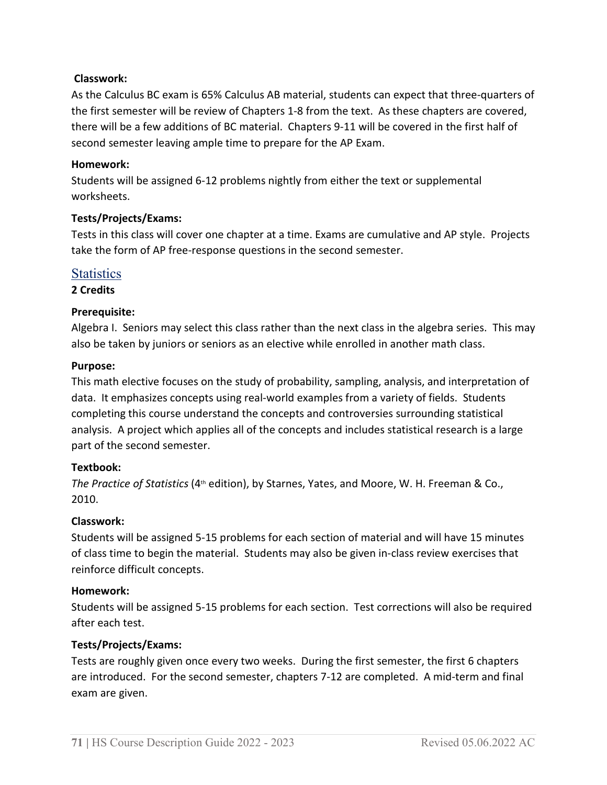#### **Classwork:**

As the Calculus BC exam is 65% Calculus AB material, students can expect that three-quarters of the first semester will be review of Chapters 1-8 from the text. As these chapters are covered, there will be a few additions of BC material. Chapters 9-11 will be covered in the first half of second semester leaving ample time to prepare for the AP Exam.

#### **Homework:**

Students will be assigned 6-12 problems nightly from either the text or supplemental worksheets.

#### **Tests/Projects/Exams:**

Tests in this class will cover one chapter at a time. Exams are cumulative and AP style. Projects take the form of AP free-response questions in the second semester.

# **Statistics**

**2 Credits**

#### **Prerequisite:**

Algebra I. Seniors may select this class rather than the next class in the algebra series. This may also be taken by juniors or seniors as an elective while enrolled in another math class.

#### **Purpose:**

This math elective focuses on the study of probability, sampling, analysis, and interpretation of data. It emphasizes concepts using real-world examples from a variety of fields. Students completing this course understand the concepts and controversies surrounding statistical analysis. A project which applies all of the concepts and includes statistical research is a large part of the second semester.

#### **Textbook:**

*The Practice of Statistics* (4<sup>th</sup> edition), by Starnes, Yates, and Moore, W. H. Freeman & Co., 2010.

#### **Classwork:**

Students will be assigned 5-15 problems for each section of material and will have 15 minutes of class time to begin the material. Students may also be given in-class review exercises that reinforce difficult concepts.

#### **Homework:**

Students will be assigned 5-15 problems for each section. Test corrections will also be required after each test.

#### **Tests/Projects/Exams:**

Tests are roughly given once every two weeks. During the first semester, the first 6 chapters are introduced. For the second semester, chapters 7-12 are completed. A mid-term and final exam are given.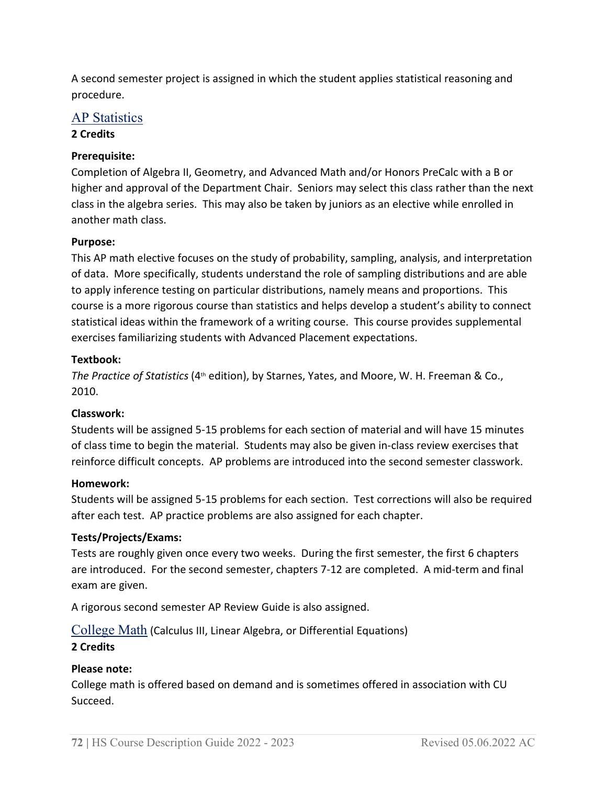A second semester project is assigned in which the student applies statistical reasoning and procedure.

# AP Statistics

#### **2 Credits**

# **Prerequisite:**

Completion of Algebra II, Geometry, and Advanced Math and/or Honors PreCalc with a B or higher and approval of the Department Chair. Seniors may select this class rather than the next class in the algebra series. This may also be taken by juniors as an elective while enrolled in another math class.

# **Purpose:**

This AP math elective focuses on the study of probability, sampling, analysis, and interpretation of data. More specifically, students understand the role of sampling distributions and are able to apply inference testing on particular distributions, namely means and proportions. This course is a more rigorous course than statistics and helps develop a student's ability to connect statistical ideas within the framework of a writing course. This course provides supplemental exercises familiarizing students with Advanced Placement expectations.

#### **Textbook:**

*The Practice of Statistics* (4th edition), by Starnes, Yates, and Moore, W. H. Freeman & Co., 2010.

#### **Classwork:**

Students will be assigned 5-15 problems for each section of material and will have 15 minutes of class time to begin the material. Students may also be given in-class review exercises that reinforce difficult concepts. AP problems are introduced into the second semester classwork.

#### **Homework:**

Students will be assigned 5-15 problems for each section. Test corrections will also be required after each test. AP practice problems are also assigned for each chapter.

# **Tests/Projects/Exams:**

Tests are roughly given once every two weeks. During the first semester, the first 6 chapters are introduced. For the second semester, chapters 7-12 are completed. A mid-term and final exam are given.

A rigorous second semester AP Review Guide is also assigned.

College Math (Calculus III, Linear Algebra, or Differential Equations)

#### **2 Credits**

#### **Please note:**

College math is offered based on demand and is sometimes offered in association with CU Succeed.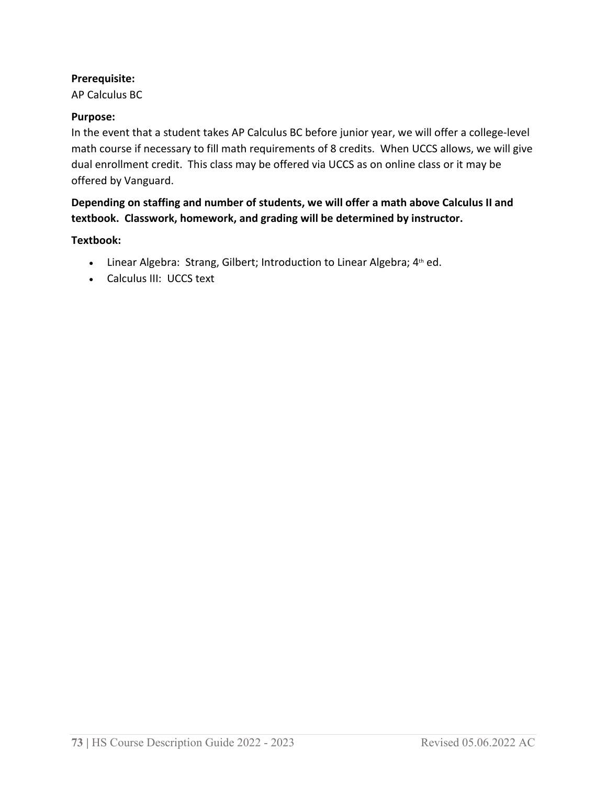#### **Prerequisite:**

AP Calculus BC

#### **Purpose:**

In the event that a student takes AP Calculus BC before junior year, we will offer a college-level math course if necessary to fill math requirements of 8 credits. When UCCS allows, we will give dual enrollment credit. This class may be offered via UCCS as on online class or it may be offered by Vanguard.

# **Depending on staffing and number of students, we will offer a math above Calculus II and textbook. Classwork, homework, and grading will be determined by instructor.**

#### **Textbook:**

- Linear Algebra: Strang, Gilbert; Introduction to Linear Algebra; 4<sup>th</sup> ed.
- Calculus III: UCCS text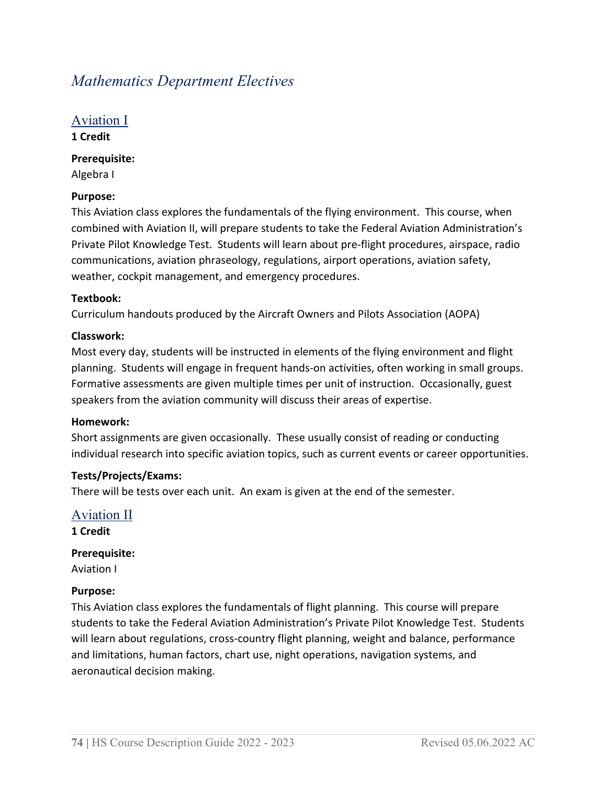# *Mathematics Department Electives*

# Aviation I

**1 Credit**

**Prerequisite:** 

Algebra I

# **Purpose:**

This Aviation class explores the fundamentals of the flying environment. This course, when combined with Aviation II, will prepare students to take the Federal Aviation Administration's Private Pilot Knowledge Test. Students will learn about pre-flight procedures, airspace, radio communications, aviation phraseology, regulations, airport operations, aviation safety, weather, cockpit management, and emergency procedures.

#### **Textbook:**

Curriculum handouts produced by the Aircraft Owners and Pilots Association (AOPA)

# **Classwork:**

Most every day, students will be instructed in elements of the flying environment and flight planning. Students will engage in frequent hands-on activities, often working in small groups. Formative assessments are given multiple times per unit of instruction. Occasionally, guest speakers from the aviation community will discuss their areas of expertise.

#### **Homework:**

Short assignments are given occasionally. These usually consist of reading or conducting individual research into specific aviation topics, such as current events or career opportunities.

# **Tests/Projects/Exams:**

There will be tests over each unit. An exam is given at the end of the semester.

Aviation II **1 Credit**

**Prerequisite:**

Aviation I

#### **Purpose:**

This Aviation class explores the fundamentals of flight planning. This course will prepare students to take the Federal Aviation Administration's Private Pilot Knowledge Test. Students will learn about regulations, cross-country flight planning, weight and balance, performance and limitations, human factors, chart use, night operations, navigation systems, and aeronautical decision making.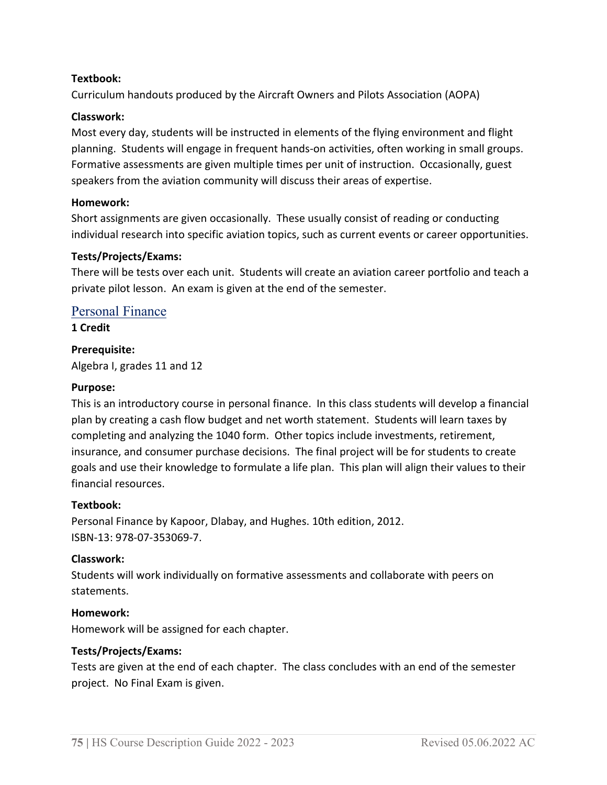# **Textbook:**

Curriculum handouts produced by the Aircraft Owners and Pilots Association (AOPA)

#### **Classwork:**

Most every day, students will be instructed in elements of the flying environment and flight planning. Students will engage in frequent hands-on activities, often working in small groups. Formative assessments are given multiple times per unit of instruction. Occasionally, guest speakers from the aviation community will discuss their areas of expertise.

#### **Homework:**

Short assignments are given occasionally. These usually consist of reading or conducting individual research into specific aviation topics, such as current events or career opportunities.

#### **Tests/Projects/Exams:**

There will be tests over each unit. Students will create an aviation career portfolio and teach a private pilot lesson. An exam is given at the end of the semester.

#### Personal Finance

**1 Credit**

#### **Prerequisite:**

Algebra I, grades 11 and 12

#### **Purpose:**

This is an introductory course in personal finance. In this class students will develop a financial plan by creating a cash flow budget and net worth statement. Students will learn taxes by completing and analyzing the 1040 form. Other topics include investments, retirement, insurance, and consumer purchase decisions. The final project will be for students to create goals and use their knowledge to formulate a life plan. This plan will align their values to their financial resources.

#### **Textbook:**

Personal Finance by Kapoor, Dlabay, and Hughes. 10th edition, 2012. ISBN-13: 978-07-353069-7.

#### **Classwork:**

Students will work individually on formative assessments and collaborate with peers on statements.

#### **Homework:**

Homework will be assigned for each chapter.

#### **Tests/Projects/Exams:**

Tests are given at the end of each chapter. The class concludes with an end of the semester project. No Final Exam is given.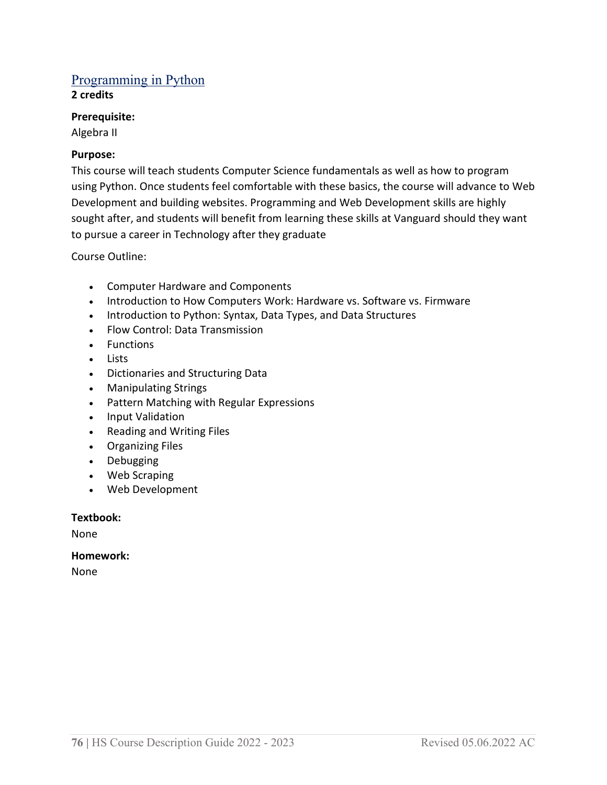# Programming in Python

**2 credits** 

#### **Prerequisite:**

Algebra II

# **Purpose:**

This course will teach students Computer Science fundamentals as well as how to program using Python. Once students feel comfortable with these basics, the course will advance to Web Development and building websites. Programming and Web Development skills are highly sought after, and students will benefit from learning these skills at Vanguard should they want to pursue a career in Technology after they graduate

Course Outline:

- Computer Hardware and Components
- Introduction to How Computers Work: Hardware vs. Software vs. Firmware
- Introduction to Python: Syntax, Data Types, and Data Structures
- Flow Control: Data Transmission
- Functions
- Lists
- Dictionaries and Structuring Data
- Manipulating Strings
- Pattern Matching with Regular Expressions
- Input Validation
- Reading and Writing Files
- Organizing Files
- Debugging
- Web Scraping
- Web Development

# **Textbook:**

None

# **Homework:**

None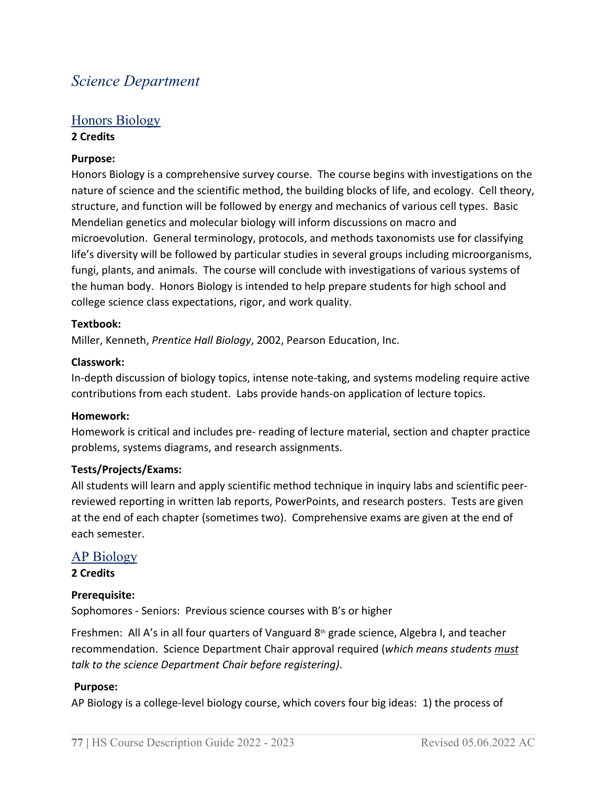# *Science Department*

# Honors Biology **2 Credits**

# **Purpose:**

Honors Biology is a comprehensive survey course. The course begins with investigations on the nature of science and the scientific method, the building blocks of life, and ecology. Cell theory, structure, and function will be followed by energy and mechanics of various cell types. Basic Mendelian genetics and molecular biology will inform discussions on macro and microevolution. General terminology, protocols, and methods taxonomists use for classifying life's diversity will be followed by particular studies in several groups including microorganisms, fungi, plants, and animals. The course will conclude with investigations of various systems of the human body. Honors Biology is intended to help prepare students for high school and college science class expectations, rigor, and work quality.

#### **Textbook:**

Miller, Kenneth, *Prentice Hall Biology*, 2002, Pearson Education, Inc.

#### **Classwork:**

In-depth discussion of biology topics, intense note-taking, and systems modeling require active contributions from each student. Labs provide hands-on application of lecture topics.

#### **Homework:**

Homework is critical and includes pre- reading of lecture material, section and chapter practice problems, systems diagrams, and research assignments.

#### **Tests/Projects/Exams:**

All students will learn and apply scientific method technique in inquiry labs and scientific peerreviewed reporting in written lab reports, PowerPoints, and research posters. Tests are given at the end of each chapter (sometimes two). Comprehensive exams are given at the end of each semester.

#### AP Biology

#### **2 Credits**

#### **Prerequisite:**

Sophomores - Seniors: Previous science courses with B's or higher

Freshmen: All A's in all four quarters of Vanguard  $8<sup>th</sup>$  grade science, Algebra I, and teacher recommendation. Science Department Chair approval required (*which means students must talk to the science Department Chair before registering)*.

#### **Purpose:**

AP Biology is a college-level biology course, which covers four big ideas: 1) the process of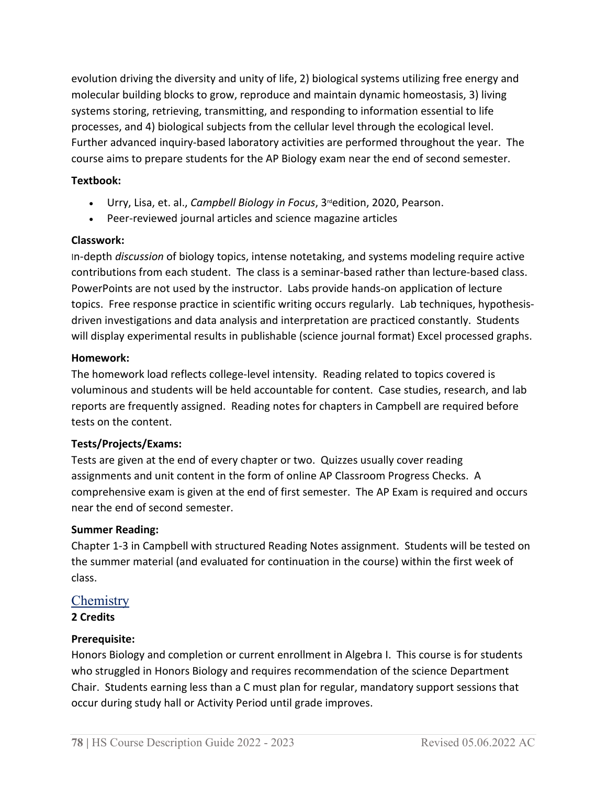evolution driving the diversity and unity of life, 2) biological systems utilizing free energy and molecular building blocks to grow, reproduce and maintain dynamic homeostasis, 3) living systems storing, retrieving, transmitting, and responding to information essential to life processes, and 4) biological subjects from the cellular level through the ecological level. Further advanced inquiry-based laboratory activities are performed throughout the year.  The course aims to prepare students for the AP Biology exam near the end of second semester.

# **Textbook:**

- Urry, Lisa, et. al., *Campbell Biology in Focus*, 3<sup>rd</sup>edition, 2020, Pearson.
- Peer-reviewed journal articles and science magazine articles

# **Classwork:**

In-depth *discussion* of biology topics, intense notetaking, and systems modeling require active contributions from each student. The class is a seminar-based rather than lecture-based class. PowerPoints are not used by the instructor. Labs provide hands-on application of lecture topics. Free response practice in scientific writing occurs regularly. Lab techniques, hypothesisdriven investigations and data analysis and interpretation are practiced constantly. Students will display experimental results in publishable (science journal format) Excel processed graphs.

# **Homework:**

The homework load reflects college-level intensity. Reading related to topics covered is voluminous and students will be held accountable for content. Case studies, research, and lab reports are frequently assigned. Reading notes for chapters in Campbell are required before tests on the content.

# **Tests/Projects/Exams:**

Tests are given at the end of every chapter or two. Quizzes usually cover reading assignments and unit content in the form of online AP Classroom Progress Checks. A comprehensive exam is given at the end of first semester. The AP Exam is required and occurs near the end of second semester.

# **Summer Reading:**

Chapter 1-3 in Campbell with structured Reading Notes assignment. Students will be tested on the summer material (and evaluated for continuation in the course) within the first week of class.

# **Chemistry**

**2 Credits**

# **Prerequisite:**

Honors Biology and completion or current enrollment in Algebra I. This course is for students who struggled in Honors Biology and requires recommendation of the science Department Chair. Students earning less than a C must plan for regular, mandatory support sessions that occur during study hall or Activity Period until grade improves.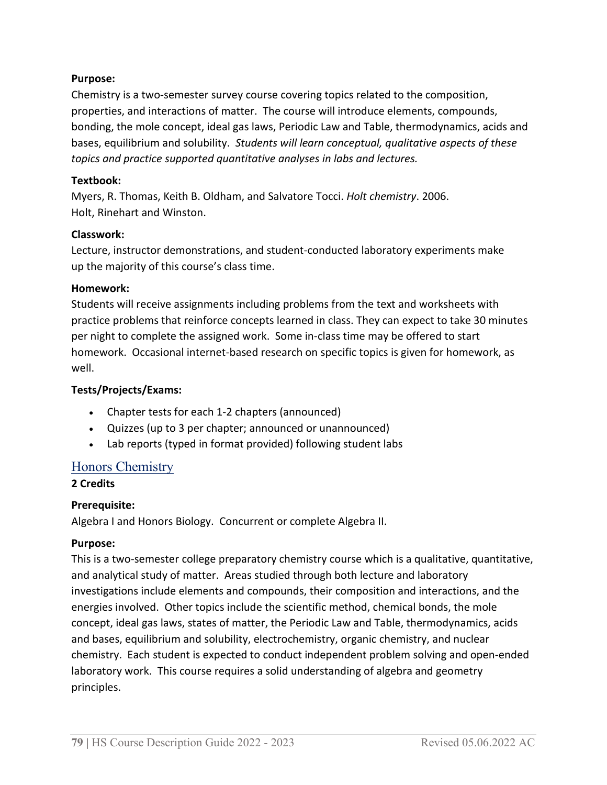# **Purpose:**

Chemistry is a two-semester survey course covering topics related to the composition, properties, and interactions of matter. The course will introduce elements, compounds, bonding, the mole concept, ideal gas laws, Periodic Law and Table, thermodynamics, acids and bases, equilibrium and solubility. *Students will learn conceptual, qualitative aspects of these topics and practice supported quantitative analyses in labs and lectures.*

# **Textbook:**

Myers, R. Thomas, Keith B. Oldham, and Salvatore Tocci. *Holt chemistry*. 2006. Holt, Rinehart and Winston.

# **Classwork:**

Lecture, instructor demonstrations, and student-conducted laboratory experiments make up the majority of this course's class time.

# **Homework:**

Students will receive assignments including problems from the text and worksheets with practice problems that reinforce concepts learned in class. They can expect to take 30 minutes per night to complete the assigned work.  Some in-class time may be offered to start homework.  Occasional internet-based research on specific topics is given for homework, as well.

# **Tests/Projects/Exams:**

- Chapter tests for each 1-2 chapters (announced)
- Quizzes (up to 3 per chapter; announced or unannounced)
- Lab reports (typed in format provided) following student labs

# Honors Chemistry

# **2 Credits**

# **Prerequisite:**

Algebra I and Honors Biology. Concurrent or complete Algebra II.

# **Purpose:**

This is a two-semester college preparatory chemistry course which is a qualitative, quantitative, and analytical study of matter. Areas studied through both lecture and laboratory investigations include elements and compounds, their composition and interactions, and the energies involved. Other topics include the scientific method, chemical bonds, the mole concept, ideal gas laws, states of matter, the Periodic Law and Table, thermodynamics, acids and bases, equilibrium and solubility, electrochemistry, organic chemistry, and nuclear chemistry. Each student is expected to conduct independent problem solving and open-ended laboratory work. This course requires a solid understanding of algebra and geometry principles.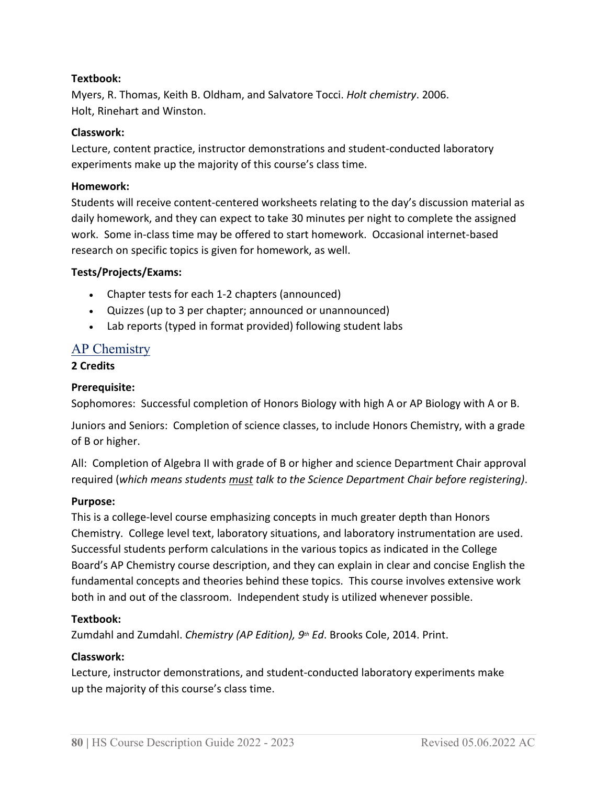# **Textbook:**

Myers, R. Thomas, Keith B. Oldham, and Salvatore Tocci. *Holt chemistry*. 2006. Holt, Rinehart and Winston.

#### **Classwork:**

Lecture, content practice, instructor demonstrations and student-conducted laboratory experiments make up the majority of this course's class time.

#### **Homework:**

Students will receive content-centered worksheets relating to the day's discussion material as daily homework, and they can expect to take 30 minutes per night to complete the assigned work.  Some in-class time may be offered to start homework.  Occasional internet-based research on specific topics is given for homework, as well. 

#### **Tests/Projects/Exams:**

- Chapter tests for each 1-2 chapters (announced)
- Quizzes (up to 3 per chapter; announced or unannounced)
- Lab reports (typed in format provided) following student labs

# AP Chemistry

#### **2 Credits**

#### **Prerequisite:**

Sophomores: Successful completion of Honors Biology with high A or AP Biology with A or B.

Juniors and Seniors: Completion of science classes, to include Honors Chemistry, with a grade of B or higher.

All: Completion of Algebra II with grade of B or higher and science Department Chair approval required (*which means students must talk to the Science Department Chair before registering)*.

# **Purpose:**

This is a college-level course emphasizing concepts in much greater depth than Honors Chemistry. College level text, laboratory situations, and laboratory instrumentation are used. Successful students perform calculations in the various topics as indicated in the College Board's AP Chemistry course description, and they can explain in clear and concise English the fundamental concepts and theories behind these topics. This course involves extensive work both in and out of the classroom. Independent study is utilized whenever possible.

# **Textbook:**

Zumdahl and Zumdahl. *Chemistry (AP Edition), 9th Ed*. Brooks Cole, 2014. Print.

# **Classwork:**

Lecture, instructor demonstrations, and student-conducted laboratory experiments make up the majority of this course's class time.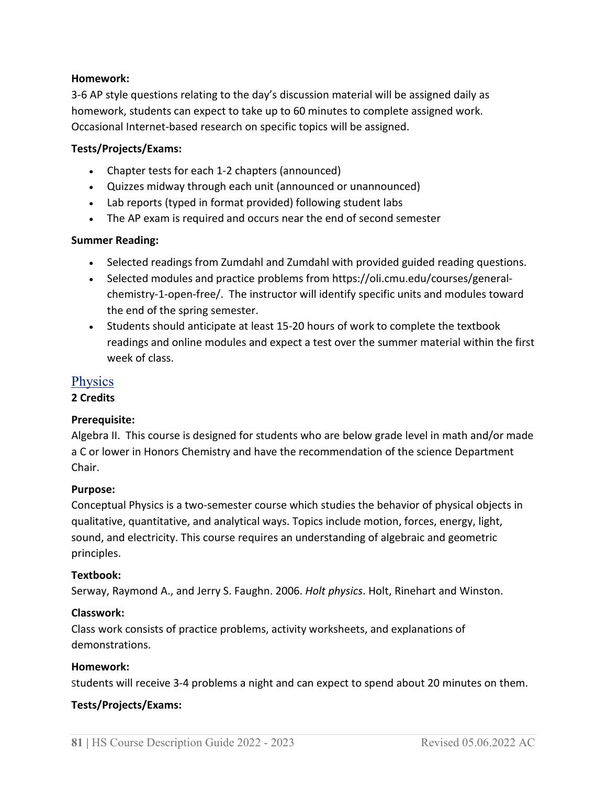#### **Homework:**

3-6 AP style questions relating to the day's discussion material will be assigned daily as homework, students can expect to take up to 60 minutes to complete assigned work. Occasional Internet-based research on specific topics will be assigned. 

#### **Tests/Projects/Exams:**

- Chapter tests for each 1-2 chapters (announced)
- Quizzes midway through each unit (announced or unannounced)
- Lab reports (typed in format provided) following student labs
- The AP exam is required and occurs near the end of second semester

# **Summer Reading:**

- Selected readings from Zumdahl and Zumdahl with provided guided reading questions.
- Selected modules and practice problems from https://oli.cmu.edu/courses/generalchemistry-1-open-free/.  The instructor will identify specific units and modules toward the end of the spring semester.
- Students should anticipate at least 15-20 hours of work to complete the textbook readings and online modules and expect a test over the summer material within the first week of class.

# Physics

# **2 Credits**

# **Prerequisite:**

Algebra II. This course is designed for students who are below grade level in math and/or made a C or lower in Honors Chemistry and have the recommendation of the science Department Chair.

# **Purpose:**

Conceptual Physics is a two-semester course which studies the behavior of physical objects in qualitative, quantitative, and analytical ways. Topics include motion, forces, energy, light, sound, and electricity. This course requires an understanding of algebraic and geometric principles. 

#### **Textbook:**

Serway, Raymond A., and Jerry S. Faughn. 2006. *Holt physics*. Holt, Rinehart and Winston.

#### **Classwork:**

Class work consists of practice problems, activity worksheets, and explanations of demonstrations.

#### **Homework:**

Students will receive 3-4 problems a night and can expect to spend about 20 minutes on them.

# **Tests/Projects/Exams:**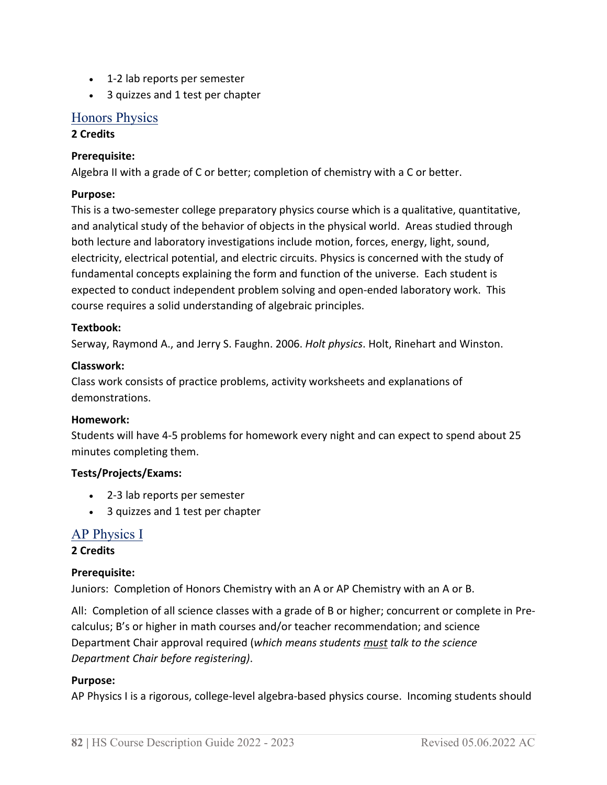- 1-2 lab reports per semester
- 3 quizzes and 1 test per chapter

# Honors Physics

# **2 Credits**

# **Prerequisite:**

Algebra II with a grade of C or better; completion of chemistry with a C or better.

# **Purpose:**

This is a two-semester college preparatory physics course which is a qualitative, quantitative, and analytical study of the behavior of objects in the physical world. Areas studied through both lecture and laboratory investigations include motion, forces, energy, light, sound, electricity, electrical potential, and electric circuits. Physics is concerned with the study of fundamental concepts explaining the form and function of the universe. Each student is expected to conduct independent problem solving and open-ended laboratory work. This course requires a solid understanding of algebraic principles.  

# **Textbook:**

Serway, Raymond A., and Jerry S. Faughn. 2006. *Holt physics*. Holt, Rinehart and Winston.

# **Classwork:**

Class work consists of practice problems, activity worksheets and explanations of demonstrations.

# **Homework:**

Students will have 4-5 problems for homework every night and can expect to spend about 25 minutes completing them.

# **Tests/Projects/Exams:**

- 2-3 lab reports per semester
- 3 quizzes and 1 test per chapter

# AP Physics I

**2 Credits**

# **Prerequisite:**

Juniors: Completion of Honors Chemistry with an A or AP Chemistry with an A or B.

All: Completion of all science classes with a grade of B or higher; concurrent or complete in Precalculus; B's or higher in math courses and/or teacher recommendation; and science Department Chair approval required (*which means students must talk to the science Department Chair before registering)*.

# **Purpose:**

AP Physics I is a rigorous, college-level algebra-based physics course. Incoming students should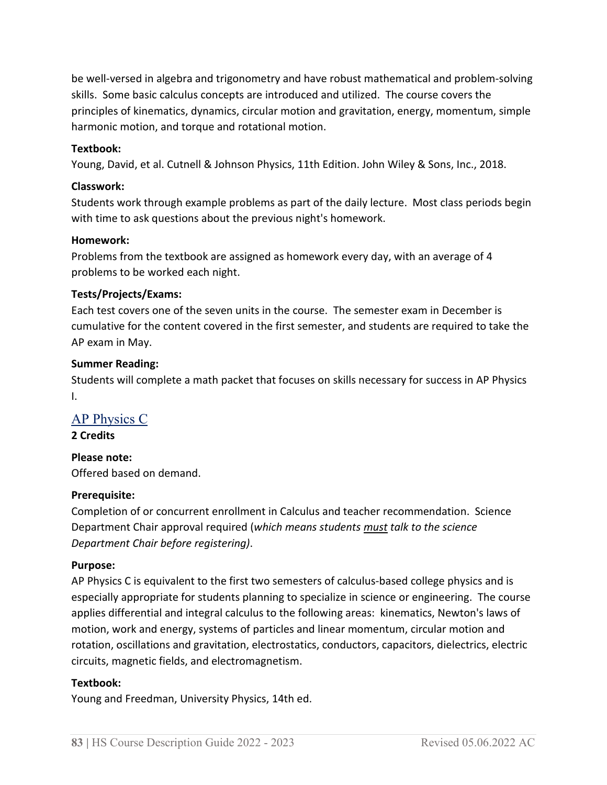be well-versed in algebra and trigonometry and have robust mathematical and problem-solving skills. Some basic calculus concepts are introduced and utilized. The course covers the principles of kinematics, dynamics, circular motion and gravitation, energy, momentum, simple harmonic motion, and torque and rotational motion.  

#### **Textbook:**

Young, David, et al. Cutnell & Johnson Physics, 11th Edition. John Wiley & Sons, Inc., 2018. 

#### **Classwork:**

Students work through example problems as part of the daily lecture. Most class periods begin with time to ask questions about the previous night's homework.  

#### **Homework:**

Problems from the textbook are assigned as homework every day, with an average of 4 problems to be worked each night.  

# **Tests/Projects/Exams:**

Each test covers one of the seven units in the course. The semester exam in December is cumulative for the content covered in the first semester, and students are required to take the AP exam in May.

#### **Summer Reading:**

Students will complete a math packet that focuses on skills necessary for success in AP Physics I.

# AP Physics C

**2 Credits**

# **Please note:**

Offered based on demand.

# **Prerequisite:**

Completion of or concurrent enrollment in Calculus and teacher recommendation. Science Department Chair approval required (*which means students must talk to the science Department Chair before registering)*.

#### **Purpose:**

AP Physics C is equivalent to the first two semesters of calculus-based college physics and is especially appropriate for students planning to specialize in science or engineering. The course applies differential and integral calculus to the following areas: kinematics, Newton's laws of motion, work and energy, systems of particles and linear momentum, circular motion and rotation, oscillations and gravitation, electrostatics, conductors, capacitors, dielectrics, electric circuits, magnetic fields, and electromagnetism.

#### **Textbook:**

Young and Freedman, University Physics, 14th ed.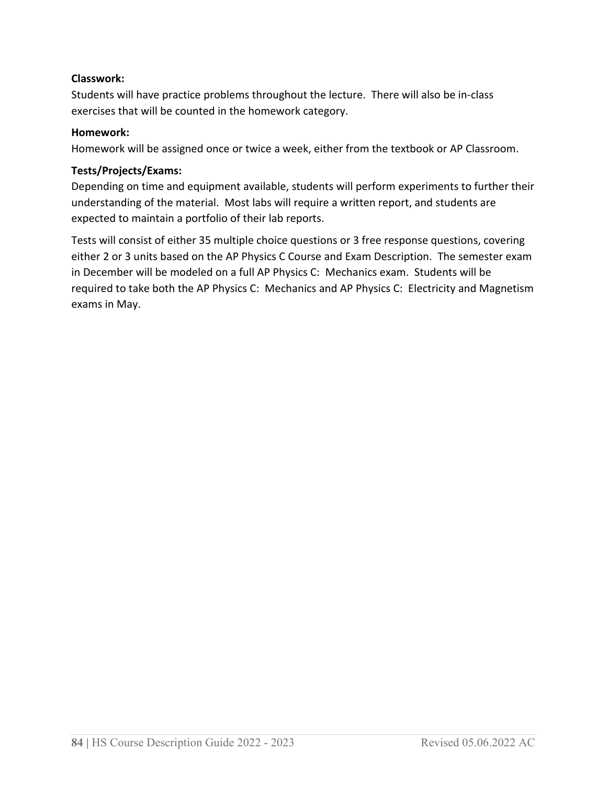# **Classwork:**

Students will have practice problems throughout the lecture.  There will also be in-class exercises that will be counted in the homework category.

# **Homework:**

Homework will be assigned once or twice a week, either from the textbook or AP Classroom.

#### **Tests/Projects/Exams:**

Depending on time and equipment available, students will perform experiments to further their understanding of the material.  Most labs will require a written report, and students are expected to maintain a portfolio of their lab reports.  

Tests will consist of either 35 multiple choice questions or 3 free response questions, covering either 2 or 3 units based on the AP Physics C Course and Exam Description. The semester exam in December will be modeled on a full AP Physics C: Mechanics exam. Students will be required to take both the AP Physics C: Mechanics and AP Physics C: Electricity and Magnetism exams in May.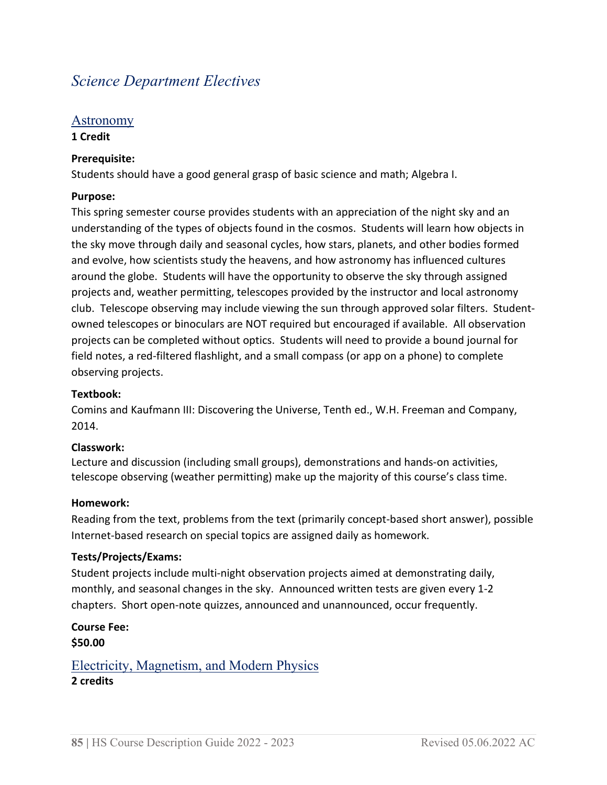# *Science Department Electives*

# Astronomy

# **1 Credit**

# **Prerequisite:**

Students should have a good general grasp of basic science and math; Algebra I.

# **Purpose:**

This spring semester course provides students with an appreciation of the night sky and an understanding of the types of objects found in the cosmos.  Students will learn how objects in the sky move through daily and seasonal cycles, how stars, planets, and other bodies formed and evolve, how scientists study the heavens, and how astronomy has influenced cultures around the globe.  Students will have the opportunity to observe the sky through assigned projects and, weather permitting, telescopes provided by the instructor and local astronomy club.  Telescope observing may include viewing the sun through approved solar filters.  Studentowned telescopes or binoculars are NOT required but encouraged if available.  All observation projects can be completed without optics.  Students will need to provide a bound journal for field notes, a red-filtered flashlight, and a small compass (or app on a phone) to complete observing projects.  

# **Textbook:**

Comins and Kaufmann III: Discovering the Universe, Tenth ed., W.H. Freeman and Company, 2014.

# **Classwork:**

Lecture and discussion (including small groups), demonstrations and hands-on activities, telescope observing (weather permitting) make up the majority of this course's class time.  

# **Homework:**

Reading from the text, problems from the text (primarily concept-based short answer), possible Internet-based research on special topics are assigned daily as homework.  

# **Tests/Projects/Exams:**

Student projects include multi-night observation projects aimed at demonstrating daily, monthly, and seasonal changes in the sky.  Announced written tests are given every 1-2 chapters.  Short open-note quizzes, announced and unannounced, occur frequently.  

# **Course Fee: \$50.00**

Electricity, Magnetism, and Modern Physics **2 credits**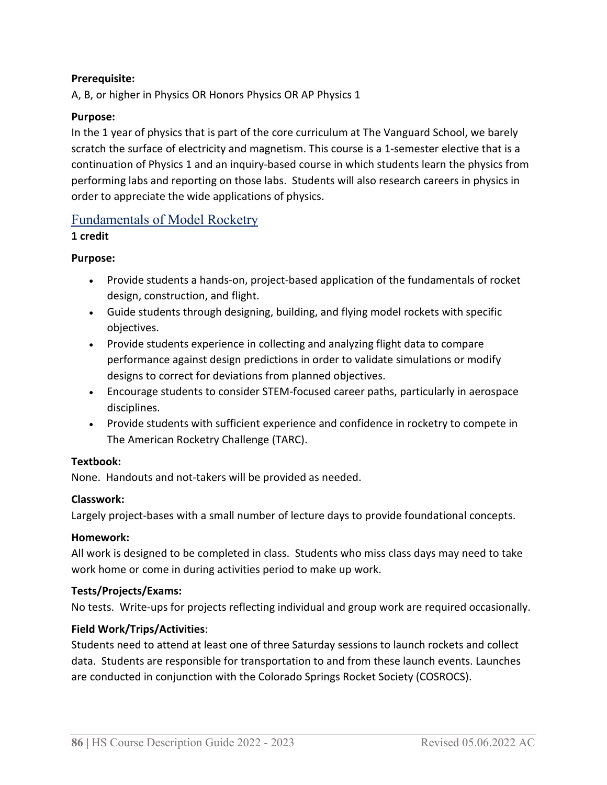# **Prerequisite:**

A, B, or higher in Physics OR Honors Physics OR AP Physics 1

#### **Purpose:**

In the 1 year of physics that is part of the core curriculum at The Vanguard School, we barely scratch the surface of electricity and magnetism. This course is a 1-semester elective that is a continuation of Physics 1 and an inquiry-based course in which students learn the physics from performing labs and reporting on those labs. Students will also research careers in physics in order to appreciate the wide applications of physics.

# Fundamentals of Model Rocketry

#### **1 credit**

#### **Purpose:**

- Provide students a hands-on, project-based application of the fundamentals of rocket design, construction, and flight.
- Guide students through designing, building, and flying model rockets with specific objectives.
- Provide students experience in collecting and analyzing flight data to compare performance against design predictions in order to validate simulations or modify designs to correct for deviations from planned objectives.
- Encourage students to consider STEM-focused career paths, particularly in aerospace disciplines.
- Provide students with sufficient experience and confidence in rocketry to compete in The American Rocketry Challenge (TARC).

#### **Textbook:**

None. Handouts and not-takers will be provided as needed.

# **Classwork:**

Largely project-bases with a small number of lecture days to provide foundational concepts.

#### **Homework:**

All work is designed to be completed in class. Students who miss class days may need to take work home or come in during activities period to make up work.

#### **Tests/Projects/Exams:**

No tests. Write-ups for projects reflecting individual and group work are required occasionally.

# **Field Work/Trips/Activities**:

Students need to attend at least one of three Saturday sessions to launch rockets and collect data.  Students are responsible for transportation to and from these launch events. Launches are conducted in conjunction with the Colorado Springs Rocket Society (COSROCS).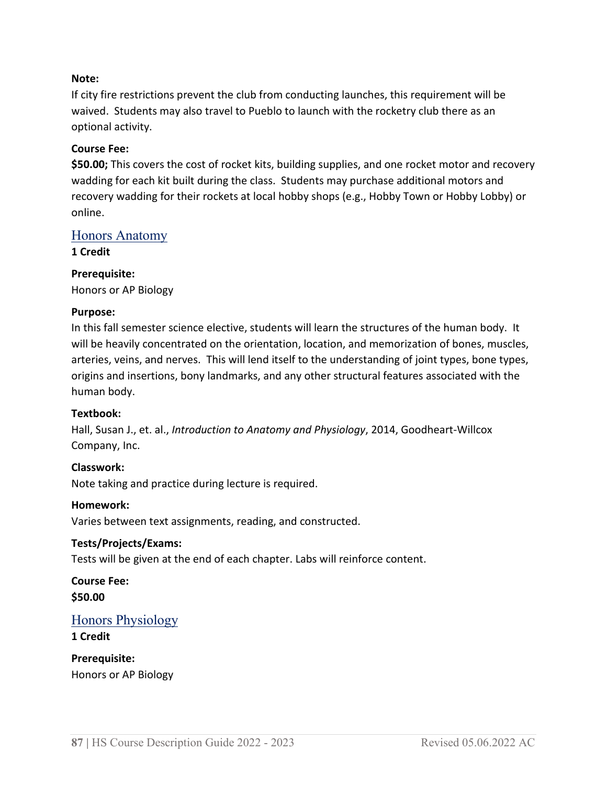#### **Note:**

If city fire restrictions prevent the club from conducting launches, this requirement will be waived. Students may also travel to Pueblo to launch with the rocketry club there as an optional activity.

#### **Course Fee:**

**\$50.00;** This covers the cost of rocket kits, building supplies, and one rocket motor and recovery wadding for each kit built during the class. Students may purchase additional motors and recovery wadding for their rockets at local hobby shops (e.g., Hobby Town or Hobby Lobby) or online.

# Honors Anatomy

**1 Credit**

# **Prerequisite:**

Honors or AP Biology

#### **Purpose:**

In this fall semester science elective, students will learn the structures of the human body. It will be heavily concentrated on the orientation, location, and memorization of bones, muscles, arteries, veins, and nerves. This will lend itself to the understanding of joint types, bone types, origins and insertions, bony landmarks, and any other structural features associated with the human body.

#### **Textbook:**

Hall, Susan J., et. al., *Introduction to Anatomy and Physiology*, 2014, Goodheart-Willcox Company, Inc.

# **Classwork:**

Note taking and practice during lecture is required.

#### **Homework:**

Varies between text assignments, reading, and constructed.

# **Tests/Projects/Exams:**

Tests will be given at the end of each chapter. Labs will reinforce content.

**Course Fee: \$50.00**

# Honors Physiology

#### **1 Credit**

**Prerequisite:** Honors or AP Biology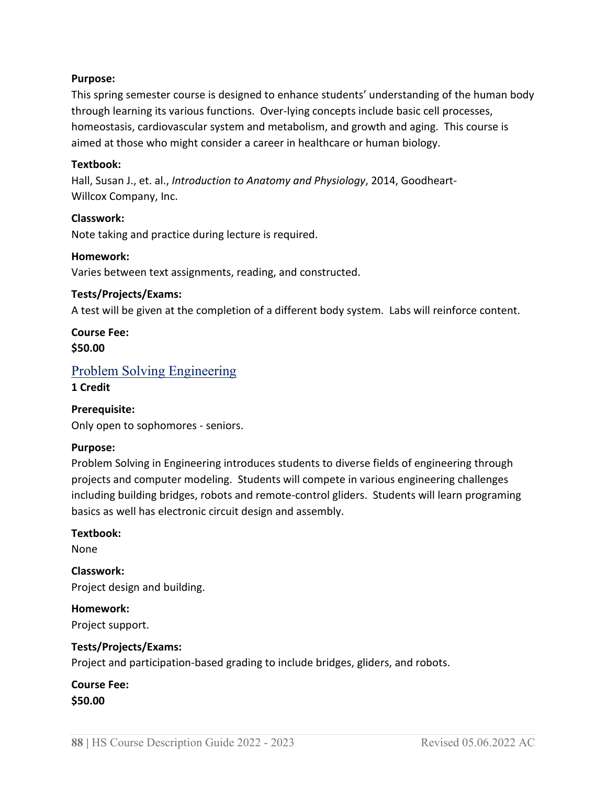#### **Purpose:**

This spring semester course is designed to enhance students' understanding of the human body through learning its various functions. Over-lying concepts include basic cell processes, homeostasis, cardiovascular system and metabolism, and growth and aging. This course is aimed at those who might consider a career in healthcare or human biology.

#### **Textbook:**

Hall, Susan J., et. al., *Introduction to Anatomy and Physiology*, 2014, Goodheart-Willcox Company, Inc.

#### **Classwork:**

Note taking and practice during lecture is required.

#### **Homework:**

Varies between text assignments, reading, and constructed.

#### **Tests/Projects/Exams:**

A test will be given at the completion of a different body system. Labs will reinforce content.

**Course Fee: \$50.00**

# Problem Solving Engineering

**1 Credit**

#### **Prerequisite:**

Only open to sophomores - seniors.

#### **Purpose:**

Problem Solving in Engineering introduces students to diverse fields of engineering through projects and computer modeling. Students will compete in various engineering challenges including building bridges, robots and remote-control gliders. Students will learn programing basics as well has electronic circuit design and assembly.

#### **Textbook:**

None

**Classwork:** Project design and building.

**Homework:** Project support.

#### **Tests/Projects/Exams:**

Project and participation-based grading to include bridges, gliders, and robots.

#### **Course Fee: \$50.00**